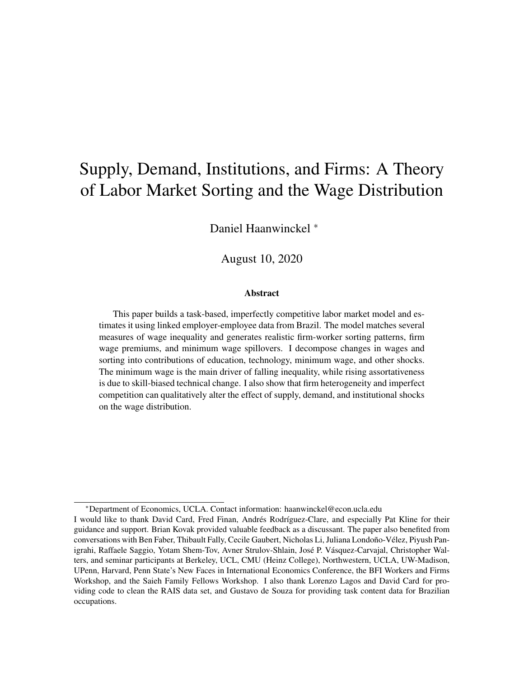# <span id="page-0-0"></span>Supply, Demand, Institutions, and Firms: A Theory of Labor Market Sorting and the Wage Distribution

Daniel Haanwinckel <sup>∗</sup>

August 10, 2020

#### Abstract

This paper builds a task-based, imperfectly competitive labor market model and estimates it using linked employer-employee data from Brazil. The model matches several measures of wage inequality and generates realistic firm-worker sorting patterns, firm wage premiums, and minimum wage spillovers. I decompose changes in wages and sorting into contributions of education, technology, minimum wage, and other shocks. The minimum wage is the main driver of falling inequality, while rising assortativeness is due to skill-biased technical change. I also show that firm heterogeneity and imperfect competition can qualitatively alter the effect of supply, demand, and institutional shocks on the wage distribution.

<sup>∗</sup>Department of Economics, UCLA. Contact information: haanwinckel@econ.ucla.edu

I would like to thank David Card, Fred Finan, Andrés Rodríguez-Clare, and especially Pat Kline for their guidance and support. Brian Kovak provided valuable feedback as a discussant. The paper also benefited from conversations with Ben Faber, Thibault Fally, Cecile Gaubert, Nicholas Li, Juliana Londoño-Vélez, Piyush Panigrahi, Raffaele Saggio, Yotam Shem-Tov, Avner Strulov-Shlain, José P. Vásquez-Carvajal, Christopher Walters, and seminar participants at Berkeley, UCL, CMU (Heinz College), Northwestern, UCLA, UW-Madison, UPenn, Harvard, Penn State's New Faces in International Economics Conference, the BFI Workers and Firms Workshop, and the Saieh Family Fellows Workshop. I also thank Lorenzo Lagos and David Card for providing code to clean the RAIS data set, and Gustavo de Souza for providing task content data for Brazilian occupations.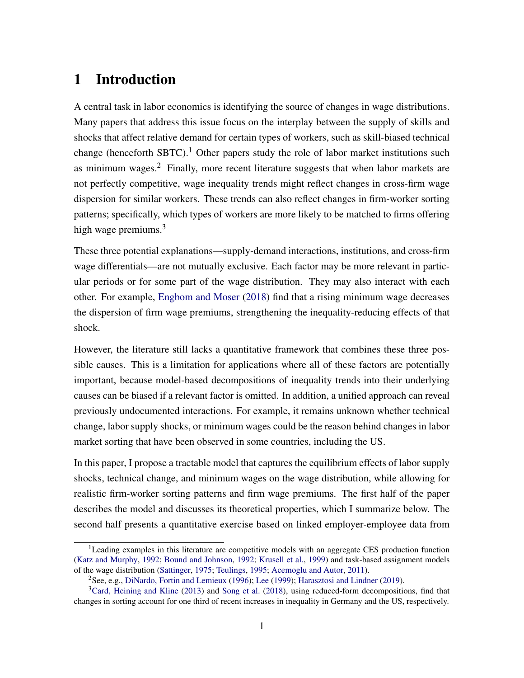## 1 Introduction

A central task in labor economics is identifying the source of changes in wage distributions. Many papers that address this issue focus on the interplay between the supply of skills and shocks that affect relative demand for certain types of workers, such as skill-biased technical change (henceforth SBTC).<sup>1</sup> Other papers study the role of labor market institutions such as minimum wages.<sup>2</sup> Finally, more recent literature suggests that when labor markets are not perfectly competitive, wage inequality trends might reflect changes in cross-firm wage dispersion for similar workers. These trends can also reflect changes in firm-worker sorting patterns; specifically, which types of workers are more likely to be matched to firms offering high wage premiums.<sup>3</sup>

These three potential explanations—supply-demand interactions, institutions, and cross-firm wage differentials—are not mutually exclusive. Each factor may be more relevant in particular periods or for some part of the wage distribution. They may also interact with each other. For example, [Engbom and Moser](#page-45-0) [\(2018\)](#page-45-0) find that a rising minimum wage decreases the dispersion of firm wage premiums, strengthening the inequality-reducing effects of that shock.

However, the literature still lacks a quantitative framework that combines these three possible causes. This is a limitation for applications where all of these factors are potentially important, because model-based decompositions of inequality trends into their underlying causes can be biased if a relevant factor is omitted. In addition, a unified approach can reveal previously undocumented interactions. For example, it remains unknown whether technical change, labor supply shocks, or minimum wages could be the reason behind changes in labor market sorting that have been observed in some countries, including the US.

In this paper, I propose a tractable model that captures the equilibrium effects of labor supply shocks, technical change, and minimum wages on the wage distribution, while allowing for realistic firm-worker sorting patterns and firm wage premiums. The first half of the paper describes the model and discusses its theoretical properties, which I summarize below. The second half presents a quantitative exercise based on linked employer-employee data from

 $1$ Leading examples in this literature are competitive models with an aggregate CES production function [\(Katz and Murphy,](#page-46-0) [1992;](#page-46-0) [Bound and Johnson,](#page-44-0) [1992;](#page-44-0) [Krusell et al.,](#page-47-0) [1999\)](#page-47-0) and task-based assignment models of the wage distribution [\(Sattinger,](#page-47-1) [1975;](#page-47-1) [Teulings,](#page-48-0) [1995;](#page-48-0) [Acemoglu and Autor,](#page-43-0) [2011\)](#page-43-0).

<sup>2</sup>See, e.g., [DiNardo, Fortin and Lemieux](#page-45-1) [\(1996\)](#page-45-1); [Lee](#page-47-2) [\(1999\)](#page-47-2); [Harasztosi and Lindner](#page-46-1) [\(2019\)](#page-46-1).

 $3$ [Card, Heining and Kline](#page-44-1) [\(2013\)](#page-44-1) and [Song et al.](#page-48-1) [\(2018\)](#page-48-1), using reduced-form decompositions, find that changes in sorting account for one third of recent increases in inequality in Germany and the US, respectively.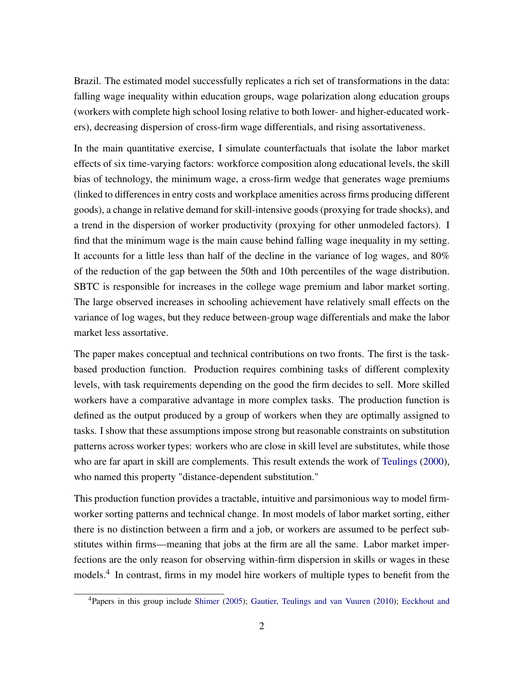Brazil. The estimated model successfully replicates a rich set of transformations in the data: falling wage inequality within education groups, wage polarization along education groups (workers with complete high school losing relative to both lower- and higher-educated workers), decreasing dispersion of cross-firm wage differentials, and rising assortativeness.

In the main quantitative exercise, I simulate counterfactuals that isolate the labor market effects of six time-varying factors: workforce composition along educational levels, the skill bias of technology, the minimum wage, a cross-firm wedge that generates wage premiums (linked to differences in entry costs and workplace amenities across firms producing different goods), a change in relative demand for skill-intensive goods (proxying for trade shocks), and a trend in the dispersion of worker productivity (proxying for other unmodeled factors). I find that the minimum wage is the main cause behind falling wage inequality in my setting. It accounts for a little less than half of the decline in the variance of log wages, and 80% of the reduction of the gap between the 50th and 10th percentiles of the wage distribution. SBTC is responsible for increases in the college wage premium and labor market sorting. The large observed increases in schooling achievement have relatively small effects on the variance of log wages, but they reduce between-group wage differentials and make the labor market less assortative.

The paper makes conceptual and technical contributions on two fronts. The first is the taskbased production function. Production requires combining tasks of different complexity levels, with task requirements depending on the good the firm decides to sell. More skilled workers have a comparative advantage in more complex tasks. The production function is defined as the output produced by a group of workers when they are optimally assigned to tasks. I show that these assumptions impose strong but reasonable constraints on substitution patterns across worker types: workers who are close in skill level are substitutes, while those who are far apart in skill are complements. This result extends the work of [Teulings](#page-48-2) [\(2000\)](#page-48-2), who named this property "distance-dependent substitution."

This production function provides a tractable, intuitive and parsimonious way to model firmworker sorting patterns and technical change. In most models of labor market sorting, either there is no distinction between a firm and a job, or workers are assumed to be perfect substitutes within firms—meaning that jobs at the firm are all the same. Labor market imperfections are the only reason for observing within-firm dispersion in skills or wages in these models.<sup>4</sup> In contrast, firms in my model hire workers of multiple types to benefit from the

<sup>4</sup>Papers in this group include [Shimer](#page-48-3) [\(2005\)](#page-48-3); [Gautier, Teulings and van Vuuren](#page-46-2) [\(2010\)](#page-46-2); [Eeckhout and](#page-45-2)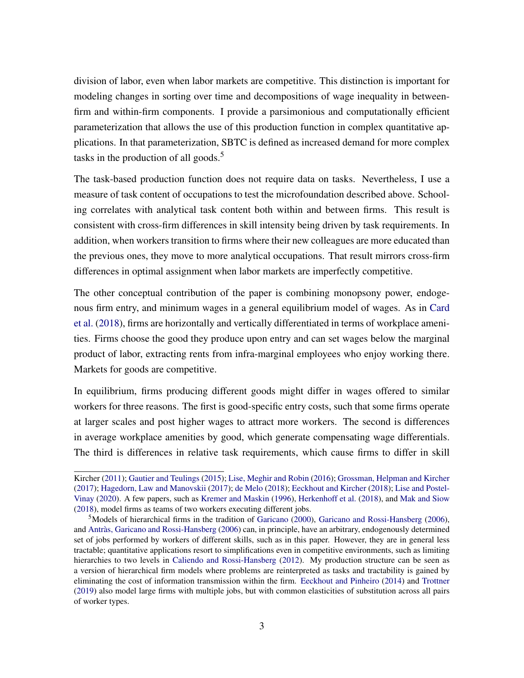[division of labor, even when labor markets are competitive. This distinction is important for](#page-45-2) [modeling changes in sorting over time and decompositions of wage inequality in between](#page-45-2)[firm and within-firm components. I provide a parsimonious and computationally efficient](#page-45-2) [parameterization that allows the use of this production function in complex quantitative ap](#page-45-2)[plications. In that parameterization, SBTC is defined as increased demand for more complex](#page-45-2) [tasks in the production of all goods.](#page-45-2) $5$ 

[The task-based production function does not require data on tasks. Nevertheless, I use a](#page-45-2) [measure of task content of occupations to test the microfoundation described above. School](#page-45-2)[ing correlates with analytical task content both within and between firms. This result is](#page-45-2) [consistent with cross-firm differences in skill intensity being driven by task requirements. In](#page-45-2) [addition, when workers transition to firms where their new colleagues are more educated than](#page-45-2) [the previous ones, they move to more analytical occupations. That result mirrors cross-firm](#page-45-2) [differences in optimal assignment when labor markets are imperfectly competitive.](#page-45-2)

[The other conceptual contribution of the paper is combining monopsony power, endoge](#page-45-2)[nous firm entry, and minimum wages in a general equilibrium model of wages. As in](#page-45-2) [Card](#page-44-2) [et al.](#page-44-2) [\(2018\), firms are horizontally and vertically differentiated in terms of workplace ameni](#page-45-2)[ties. Firms choose the good they produce upon entry and can set wages below the marginal](#page-45-2) [product of labor, extracting rents from infra-marginal employees who enjoy working there.](#page-45-2) [Markets for goods are competitive.](#page-45-2)

[In equilibrium, firms producing different goods might differ in wages offered to similar](#page-45-2) [workers for three reasons. The first is good-specific entry costs, such that some firms operate](#page-45-2) [at larger scales and post higher wages to attract more workers. The second is differences](#page-45-2) [in average workplace amenities by good, which generate compensating wage differentials.](#page-45-2) [The third is differences in relative task requirements, which cause firms to differ in skill](#page-45-2)

[Kircher](#page-45-2) [\(2011\)](#page-45-2); [Gautier and Teulings](#page-46-3) [\(2015\)](#page-46-3); [Lise, Meghir and Robin](#page-47-3) [\(2016\)](#page-47-3); [Grossman, Helpman and Kircher](#page-46-4) [\(2017\)](#page-46-4); [Hagedorn, Law and Manovskii](#page-46-5) [\(2017\)](#page-46-5); [de Melo](#page-45-3) [\(2018\)](#page-45-3); [Eeckhout and Kircher](#page-45-4) [\(2018\)](#page-45-4); [Lise and Postel-](#page-47-4)[Vinay](#page-47-4) [\(2020\)](#page-47-4). A few papers, such as [Kremer and Maskin](#page-47-5) [\(1996\)](#page-47-5), [Herkenhoff et al.](#page-46-6) [\(2018\)](#page-46-6), and [Mak and Siow](#page-47-6) [\(2018\)](#page-47-6), model firms as teams of two workers executing different jobs.

<sup>&</sup>lt;sup>5</sup>Models of hierarchical firms in the tradition of [Garicano](#page-46-7) [\(2000\)](#page-46-7), [Garicano and Rossi-Hansberg](#page-46-8) [\(2006\)](#page-46-8), and [Antràs, Garicano and Rossi-Hansberg](#page-44-3) [\(2006\)](#page-44-3) can, in principle, have an arbitrary, endogenously determined set of jobs performed by workers of different skills, such as in this paper. However, they are in general less tractable; quantitative applications resort to simplifications even in competitive environments, such as limiting hierarchies to two levels in [Caliendo and Rossi-Hansberg](#page-44-4) [\(2012\)](#page-44-4). My production structure can be seen as a version of hierarchical firm models where problems are reinterpreted as tasks and tractability is gained by eliminating the cost of information transmission within the firm. [Eeckhout and Pinheiro](#page-45-5) [\(2014\)](#page-45-5) and [Trottner](#page-48-4) [\(2019\)](#page-48-4) also model large firms with multiple jobs, but with common elasticities of substitution across all pairs of worker types.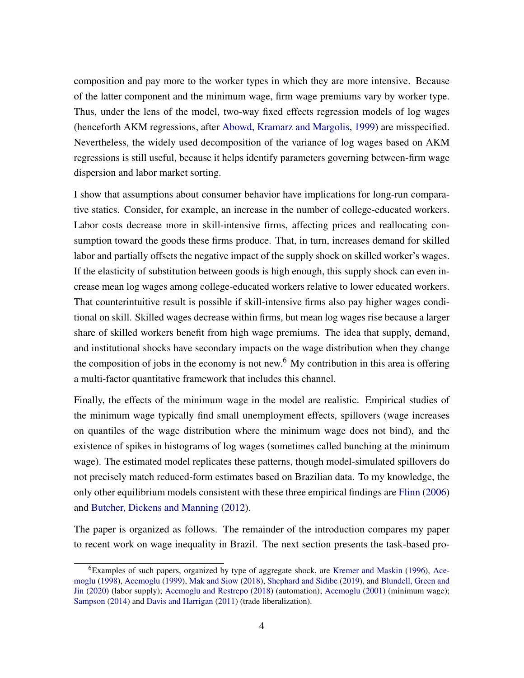composition and pay more to the worker types in which they are more intensive. Because of the latter component and the minimum wage, firm wage premiums vary by worker type. Thus, under the lens of the model, two-way fixed effects regression models of log wages (henceforth AKM regressions, after [Abowd, Kramarz and Margolis,](#page-43-1) [1999\)](#page-43-1) are misspecified. Nevertheless, the widely used decomposition of the variance of log wages based on AKM regressions is still useful, because it helps identify parameters governing between-firm wage dispersion and labor market sorting.

I show that assumptions about consumer behavior have implications for long-run comparative statics. Consider, for example, an increase in the number of college-educated workers. Labor costs decrease more in skill-intensive firms, affecting prices and reallocating consumption toward the goods these firms produce. That, in turn, increases demand for skilled labor and partially offsets the negative impact of the supply shock on skilled worker's wages. If the elasticity of substitution between goods is high enough, this supply shock can even increase mean log wages among college-educated workers relative to lower educated workers. That counterintuitive result is possible if skill-intensive firms also pay higher wages conditional on skill. Skilled wages decrease within firms, but mean log wages rise because a larger share of skilled workers benefit from high wage premiums. The idea that supply, demand, and institutional shocks have secondary impacts on the wage distribution when they change the composition of jobs in the economy is not new.<sup>6</sup> My contribution in this area is offering a multi-factor quantitative framework that includes this channel.

Finally, the effects of the minimum wage in the model are realistic. Empirical studies of the minimum wage typically find small unemployment effects, spillovers (wage increases on quantiles of the wage distribution where the minimum wage does not bind), and the existence of spikes in histograms of log wages (sometimes called bunching at the minimum wage). The estimated model replicates these patterns, though model-simulated spillovers do not precisely match reduced-form estimates based on Brazilian data. To my knowledge, the only other equilibrium models consistent with these three empirical findings are [Flinn](#page-46-9) [\(2006\)](#page-46-9) and [Butcher, Dickens and Manning](#page-44-5) [\(2012\)](#page-44-5).

The paper is organized as follows. The remainder of the introduction compares my paper to recent work on wage inequality in Brazil. The next section presents the task-based pro-

<sup>6</sup>Examples of such papers, organized by type of aggregate shock, are [Kremer and Maskin](#page-47-5) [\(1996\)](#page-47-5), [Ace](#page-43-2)[moglu](#page-43-2) [\(1998\)](#page-43-2), [Acemoglu](#page-43-3) [\(1999\)](#page-43-3), [Mak and Siow](#page-47-6) [\(2018\)](#page-47-6), [Shephard and Sidibe](#page-48-5) [\(2019\)](#page-48-5), and [Blundell, Green and](#page-44-6) [Jin](#page-44-6) [\(2020\)](#page-44-6) (labor supply); [Acemoglu and Restrepo](#page-43-4) [\(2018\)](#page-43-4) (automation); [Acemoglu](#page-43-5) [\(2001\)](#page-43-5) (minimum wage); [Sampson](#page-47-7) [\(2014\)](#page-47-7) and [Davis and Harrigan](#page-45-6) [\(2011\)](#page-45-6) (trade liberalization).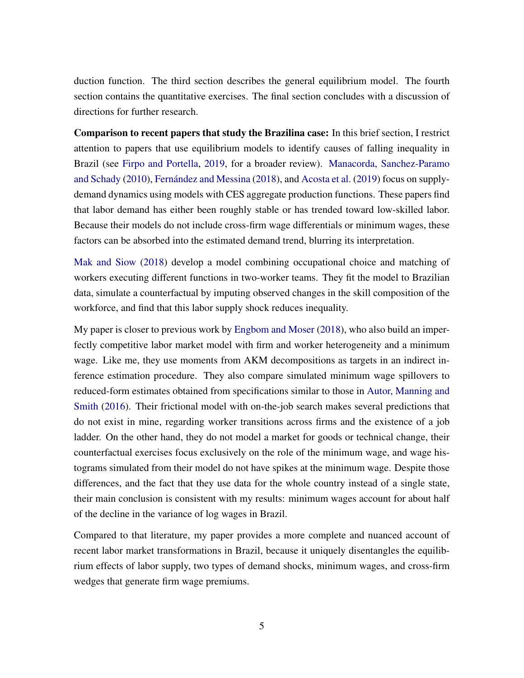duction function. The third section describes the general equilibrium model. The fourth section contains the quantitative exercises. The final section concludes with a discussion of directions for further research.

Comparison to recent papers that study the Brazilina case: In this brief section, I restrict attention to papers that use equilibrium models to identify causes of falling inequality in Brazil (see [Firpo and Portella,](#page-46-10) [2019,](#page-46-10) for a broader review). [Manacorda, Sanchez-Paramo](#page-47-8) [and Schady](#page-47-8) [\(2010\)](#page-47-8), [Fernández and Messina](#page-46-11) [\(2018\)](#page-46-11), and [Acosta et al.](#page-43-6) [\(2019\)](#page-43-6) focus on supplydemand dynamics using models with CES aggregate production functions. These papers find that labor demand has either been roughly stable or has trended toward low-skilled labor. Because their models do not include cross-firm wage differentials or minimum wages, these factors can be absorbed into the estimated demand trend, blurring its interpretation.

[Mak and Siow](#page-47-6) [\(2018\)](#page-47-6) develop a model combining occupational choice and matching of workers executing different functions in two-worker teams. They fit the model to Brazilian data, simulate a counterfactual by imputing observed changes in the skill composition of the workforce, and find that this labor supply shock reduces inequality.

My paper is closer to previous work by [Engbom and Moser](#page-45-0) [\(2018\)](#page-45-0), who also build an imperfectly competitive labor market model with firm and worker heterogeneity and a minimum wage. Like me, they use moments from AKM decompositions as targets in an indirect inference estimation procedure. They also compare simulated minimum wage spillovers to reduced-form estimates obtained from specifications similar to those in [Autor, Manning and](#page-44-7) [Smith](#page-44-7) [\(2016\)](#page-44-7). Their frictional model with on-the-job search makes several predictions that do not exist in mine, regarding worker transitions across firms and the existence of a job ladder. On the other hand, they do not model a market for goods or technical change, their counterfactual exercises focus exclusively on the role of the minimum wage, and wage histograms simulated from their model do not have spikes at the minimum wage. Despite those differences, and the fact that they use data for the whole country instead of a single state, their main conclusion is consistent with my results: minimum wages account for about half of the decline in the variance of log wages in Brazil.

Compared to that literature, my paper provides a more complete and nuanced account of recent labor market transformations in Brazil, because it uniquely disentangles the equilibrium effects of labor supply, two types of demand shocks, minimum wages, and cross-firm wedges that generate firm wage premiums.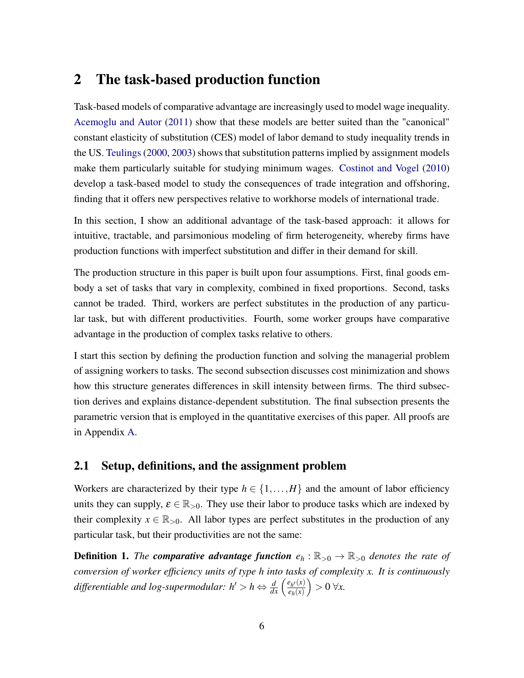## 2 The task-based production function

Task-based models of comparative advantage are increasingly used to model wage inequality. [Acemoglu and Autor](#page-43-0) [\(2011\)](#page-43-0) show that these models are better suited than the "canonical" constant elasticity of substitution (CES) model of labor demand to study inequality trends in the US. [Teulings](#page-48-2) [\(2000,](#page-48-2) [2003\)](#page-48-6) shows that substitution patterns implied by assignment models make them particularly suitable for studying minimum wages. [Costinot and Vogel](#page-44-8) [\(2010\)](#page-44-8) develop a task-based model to study the consequences of trade integration and offshoring, finding that it offers new perspectives relative to workhorse models of international trade.

In this section, I show an additional advantage of the task-based approach: it allows for intuitive, tractable, and parsimonious modeling of firm heterogeneity, whereby firms have production functions with imperfect substitution and differ in their demand for skill.

The production structure in this paper is built upon four assumptions. First, final goods embody a set of tasks that vary in complexity, combined in fixed proportions. Second, tasks cannot be traded. Third, workers are perfect substitutes in the production of any particular task, but with different productivities. Fourth, some worker groups have comparative advantage in the production of complex tasks relative to others.

I start this section by defining the production function and solving the managerial problem of assigning workers to tasks. The second subsection discusses cost minimization and shows how this structure generates differences in skill intensity between firms. The third subsection derives and explains distance-dependent substitution. The final subsection presents the parametric version that is employed in the quantitative exercises of this paper. All proofs are in Appendix [A.](#page-49-0)

## 2.1 Setup, definitions, and the assignment problem

Workers are characterized by their type  $h \in \{1, ..., H\}$  and the amount of labor efficiency units they can supply,  $\varepsilon \in \mathbb{R}_{>0}$ . They use their labor to produce tasks which are indexed by their complexity  $x \in \mathbb{R}_{>0}$ . All labor types are perfect substitutes in the production of any particular task, but their productivities are not the same:

**Definition 1.** *The comparative advantage function*  $e_h$  :  $\mathbb{R}_{>0} \to \mathbb{R}_{>0}$  *denotes the rate of conversion of worker efficiency units of type h into tasks of complexity x. It is continuously differentiable and log-supermodular:*  $h' > h \Leftrightarrow \frac{d}{dx} \left( \frac{e_{h'}(x)}{e_h(x)} \right)$  $e_h(x)$  $\big) > 0 \,\forall x.$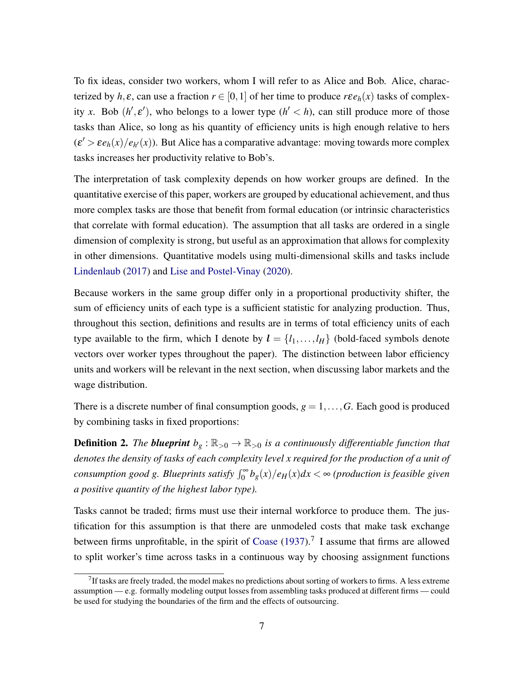To fix ideas, consider two workers, whom I will refer to as Alice and Bob. Alice, characterized by *h*,  $\varepsilon$ , can use a fraction  $r \in [0,1]$  of her time to produce  $r \varepsilon e_h(x)$  tasks of complexity *x*. Bob  $(h', \varepsilon')$ , who belongs to a lower type  $(h' < h)$ , can still produce more of those tasks than Alice, so long as his quantity of efficiency units is high enough relative to hers  $(\varepsilon' > \varepsilon e_h(x)/e_{h'}(x))$ . But Alice has a comparative advantage: moving towards more complex tasks increases her productivity relative to Bob's.

The interpretation of task complexity depends on how worker groups are defined. In the quantitative exercise of this paper, workers are grouped by educational achievement, and thus more complex tasks are those that benefit from formal education (or intrinsic characteristics that correlate with formal education). The assumption that all tasks are ordered in a single dimension of complexity is strong, but useful as an approximation that allows for complexity in other dimensions. Quantitative models using multi-dimensional skills and tasks include [Lindenlaub](#page-47-9) [\(2017\)](#page-47-9) and [Lise and Postel-Vinay](#page-47-4) [\(2020\)](#page-47-4).

Because workers in the same group differ only in a proportional productivity shifter, the sum of efficiency units of each type is a sufficient statistic for analyzing production. Thus, throughout this section, definitions and results are in terms of total efficiency units of each type available to the firm, which I denote by  $\mathbf{l} = \{l_1, \ldots, l_H\}$  (bold-faced symbols denote vectors over worker types throughout the paper). The distinction between labor efficiency units and workers will be relevant in the next section, when discussing labor markets and the wage distribution.

There is a discrete number of final consumption goods,  $g = 1, \ldots, G$ . Each good is produced by combining tasks in fixed proportions:

**Definition 2.** *The blueprint*  $b_g : \mathbb{R}_{>0} \to \mathbb{R}_{>0}$  *is a continuously differentiable function that denotes the density of tasks of each complexity level x required for the production of a unit of consumption good g. Blueprints satisfy*  $\int_0^\infty b_g(x)/e_H(x)dx < \infty$  (production is feasible given *a positive quantity of the highest labor type).*

Tasks cannot be traded; firms must use their internal workforce to produce them. The justification for this assumption is that there are unmodeled costs that make task exchange between firms unprofitable, in the spirit of [Coase](#page-44-9)  $(1937)$ .<sup>7</sup> I assume that firms are allowed to split worker's time across tasks in a continuous way by choosing assignment functions

 $7$ If tasks are freely traded, the model makes no predictions about sorting of workers to firms. A less extreme assumption — e.g. formally modeling output losses from assembling tasks produced at different firms — could be used for studying the boundaries of the firm and the effects of outsourcing.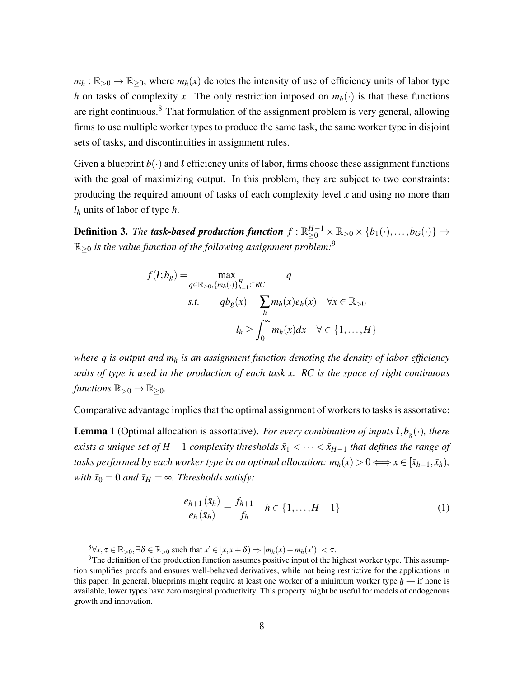$m_h: \mathbb{R}_{>0} \to \mathbb{R}_{\geq 0}$ , where  $m_h(x)$  denotes the intensity of use of efficiency units of labor type *h* on tasks of complexity *x*. The only restriction imposed on  $m_h(\cdot)$  is that these functions are right continuous.<sup>8</sup> That formulation of the assignment problem is very general, allowing firms to use multiple worker types to produce the same task, the same worker type in disjoint sets of tasks, and discontinuities in assignment rules.

Given a blueprint  $b(\cdot)$  and l efficiency units of labor, firms choose these assignment functions with the goal of maximizing output. In this problem, they are subject to two constraints: producing the required amount of tasks of each complexity level *x* and using no more than *l<sup>h</sup>* units of labor of type *h*.

Definition 3. *The task-based production function*  $f: \mathbb{R}_{\geq 0}^{H-1} \times \mathbb{R}_{>0} \times \{b_1(\cdot),\ldots,b_G(\cdot)\} \to$  $\mathbb{R}_{\geq 0}$  *is the value function of the following assignment problem:*<sup>9</sup>

$$
f(l; b_g) = \max_{q \in \mathbb{R}_{\geq 0}, \{m_h(\cdot)\}_{h=1}^H \subset RC} q
$$
  
s.t. 
$$
qb_g(x) = \sum_h m_h(x)e_h(x) \quad \forall x \in \mathbb{R}_{>0}
$$

$$
l_h \geq \int_0^\infty m_h(x)dx \quad \forall \in \{1, ..., H\}
$$

*where q is output and m<sup>h</sup> is an assignment function denoting the density of labor efficiency units of type h used in the production of each task x. RC is the space of right continuous functions*  $\mathbb{R}_{>0} \to \mathbb{R}_{\geq 0}$ *.* 

Comparative advantage implies that the optimal assignment of workers to tasks is assortative:

**Lemma 1** (Optimal allocation is assortative). *For every combination of inputs*  $l, b_g(\cdot)$ *, there exists a unique set of H* − 1 *complexity thresholds*  $\bar{x}_1 < \cdots < \bar{x}_{H-1}$  *that defines the range of tasks performed by each worker type in an optimal allocation:*  $m_h(x) > 0 \Longleftrightarrow x \in [\bar{x}_{h-1}, \bar{x}_h)$ , *with*  $\bar{x}_0 = 0$  *and*  $\bar{x}_H = \infty$ *. Thresholds satisfy:* 

<span id="page-8-0"></span>
$$
\frac{e_{h+1}(\bar{x}_h)}{e_h(\bar{x}_h)} = \frac{f_{h+1}}{f_h} \quad h \in \{1, ..., H-1\}
$$
 (1)

 $\mathcal{B}_{\forall x, \tau \in \mathbb{R}_{>0}, \exists \delta \in \mathbb{R}_{>0}$  such that  $x' \in [x, x + \delta) \Rightarrow |m_h(x) - m_h(x')| < \tau$ .

<sup>&</sup>lt;sup>9</sup>The definition of the production function assumes positive input of the highest worker type. This assumption simplifies proofs and ensures well-behaved derivatives, while not being restrictive for the applications in this paper. In general, blueprints might require at least one worker of a minimum worker type *h* — if none is available, lower types have zero marginal productivity. This property might be useful for models of endogenous growth and innovation.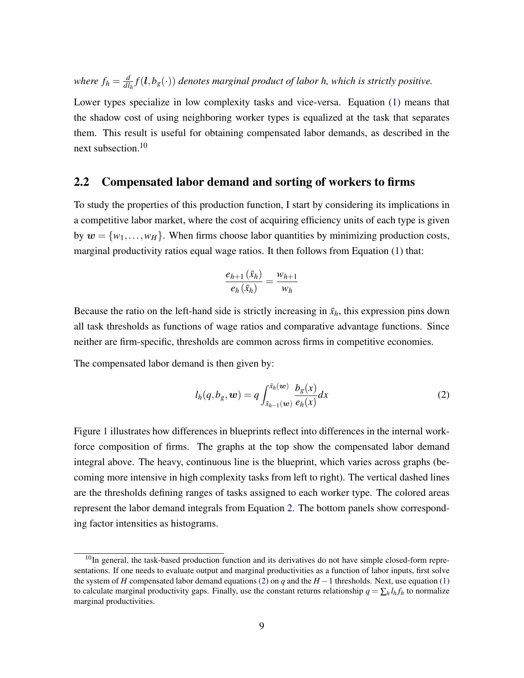*where*  $f_h = \frac{d}{dl}$  $\frac{d}{d l_h} f(\boldsymbol{l}, b_g(\cdot))$  *denotes marginal product of labor h, which is strictly positive.* 

Lower types specialize in low complexity tasks and vice-versa. Equation [\(1\)](#page-8-0) means that the shadow cost of using neighboring worker types is equalized at the task that separates them. This result is useful for obtaining compensated labor demands, as described in the next subsection.<sup>10</sup>

### 2.2 Compensated labor demand and sorting of workers to firms

To study the properties of this production function, I start by considering its implications in a competitive labor market, where the cost of acquiring efficiency units of each type is given by  $w = \{w_1, \ldots, w_H\}$ . When firms choose labor quantities by minimizing production costs, marginal productivity ratios equal wage ratios. It then follows from Equation [\(1\)](#page-8-0) that:

$$
\frac{e_{h+1}(\bar{x}_h)}{e_h(\bar{x}_h)} = \frac{w_{h+1}}{w_h}
$$

Because the ratio on the left-hand side is strictly increasing in  $\bar{x}_h$ , this expression pins down all task thresholds as functions of wage ratios and comparative advantage functions. Since neither are firm-specific, thresholds are common across firms in competitive economies.

The compensated labor demand is then given by:

<span id="page-9-0"></span>
$$
l_h(q, b_g, \mathbf{w}) = q \int_{\bar{x}_{h-1}(\mathbf{w})}^{\bar{x}_h(\mathbf{w})} \frac{b_g(x)}{e_h(x)} dx \tag{2}
$$

Figure [1](#page-10-0) illustrates how differences in blueprints reflect into differences in the internal workforce composition of firms. The graphs at the top show the compensated labor demand integral above. The heavy, continuous line is the blueprint, which varies across graphs (becoming more intensive in high complexity tasks from left to right). The vertical dashed lines are the thresholds defining ranges of tasks assigned to each worker type. The colored areas represent the labor demand integrals from Equation [2.](#page-9-0) The bottom panels show corresponding factor intensities as histograms.

<sup>&</sup>lt;sup>10</sup>In general, the task-based production function and its derivatives do not have simple closed-form representations. If one needs to evaluate output and marginal productivities as a function of labor inputs, first solve the system of *H* compensated labor demand equations [\(2\)](#page-9-0) on *q* and the *H* −1 thresholds. Next, use equation [\(1\)](#page-8-0) to calculate marginal productivity gaps. Finally, use the constant returns relationship  $q = \sum_h l_h f_h$  to normalize marginal productivities.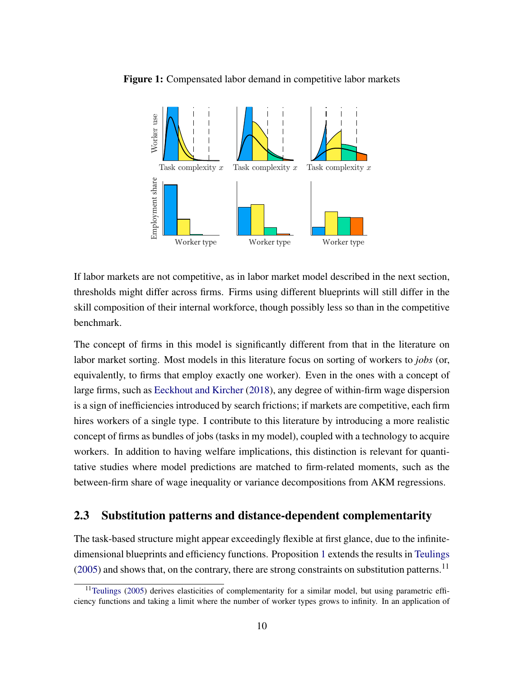

<span id="page-10-0"></span>Figure 1: Compensated labor demand in competitive labor markets

If labor markets are not competitive, as in labor market model described in the next section, thresholds might differ across firms. Firms using different blueprints will still differ in the skill composition of their internal workforce, though possibly less so than in the competitive benchmark.

The concept of firms in this model is significantly different from that in the literature on labor market sorting. Most models in this literature focus on sorting of workers to *jobs* (or, equivalently, to firms that employ exactly one worker). Even in the ones with a concept of large firms, such as [Eeckhout and Kircher](#page-45-4) [\(2018\)](#page-45-4), any degree of within-firm wage dispersion is a sign of inefficiencies introduced by search frictions; if markets are competitive, each firm hires workers of a single type. I contribute to this literature by introducing a more realistic concept of firms as bundles of jobs (tasks in my model), coupled with a technology to acquire workers. In addition to having welfare implications, this distinction is relevant for quantitative studies where model predictions are matched to firm-related moments, such as the between-firm share of wage inequality or variance decompositions from AKM regressions.

### 2.3 Substitution patterns and distance-dependent complementarity

The task-based structure might appear exceedingly flexible at first glance, due to the infinitedimensional blueprints and efficiency functions. Proposition [1](#page-11-0) extends the results in [Teulings](#page-48-7)  $(2005)$  and shows that, on the contrary, there are strong constraints on substitution patterns.<sup>11</sup>

 $11$ [Teulings](#page-48-7) [\(2005\)](#page-48-7) derives elasticities of complementarity for a similar model, but using parametric efficiency functions and taking a limit where the number of worker types grows to infinity. In an application of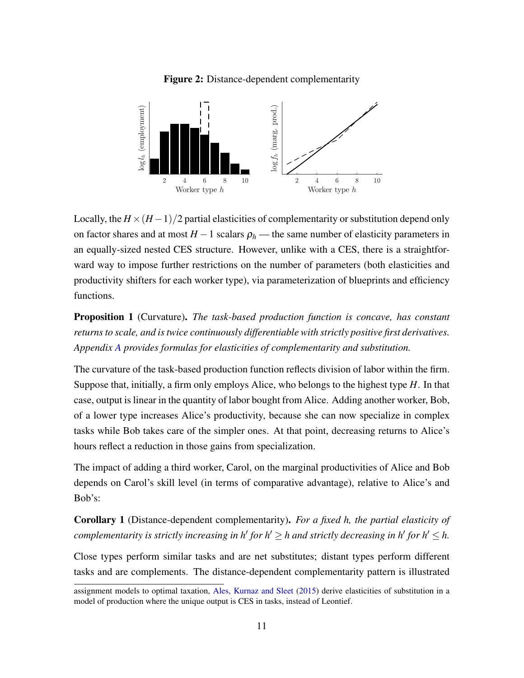<span id="page-11-1"></span>

Figure 2: Distance-dependent complementarity

Locally, the  $H \times (H-1)/2$  partial elasticities of complementarity or substitution depend only on factor shares and at most  $H - 1$  scalars  $\rho_h$  — the same number of elasticity parameters in an equally-sized nested CES structure. However, unlike with a CES, there is a straightforward way to impose further restrictions on the number of parameters (both elasticities and productivity shifters for each worker type), via parameterization of blueprints and efficiency functions.

<span id="page-11-0"></span>Proposition 1 (Curvature). *The task-based production function is concave, has constant returns to scale, and is twice continuously differentiable with strictly positive first derivatives. Appendix [A](#page-49-0) provides formulas for elasticities of complementarity and substitution.*

The curvature of the task-based production function reflects division of labor within the firm. Suppose that, initially, a firm only employs Alice, who belongs to the highest type *H*. In that case, output is linear in the quantity of labor bought from Alice. Adding another worker, Bob, of a lower type increases Alice's productivity, because she can now specialize in complex tasks while Bob takes care of the simpler ones. At that point, decreasing returns to Alice's hours reflect a reduction in those gains from specialization.

The impact of adding a third worker, Carol, on the marginal productivities of Alice and Bob depends on Carol's skill level (in terms of comparative advantage), relative to Alice's and Bob's:

Corollary 1 (Distance-dependent complementarity). *For a fixed h, the partial elasticity of complementarity is strictly increasing in h' for h'*  $\geq$  *h and strictly decreasing in h' for h'*  $\leq$  *h.* 

Close types perform similar tasks and are net substitutes; distant types perform different tasks and are complements. The distance-dependent complementarity pattern is illustrated

assignment models to optimal taxation, [Ales, Kurnaz and Sleet](#page-43-7) [\(2015\)](#page-43-7) derive elasticities of substitution in a model of production where the unique output is CES in tasks, instead of Leontief.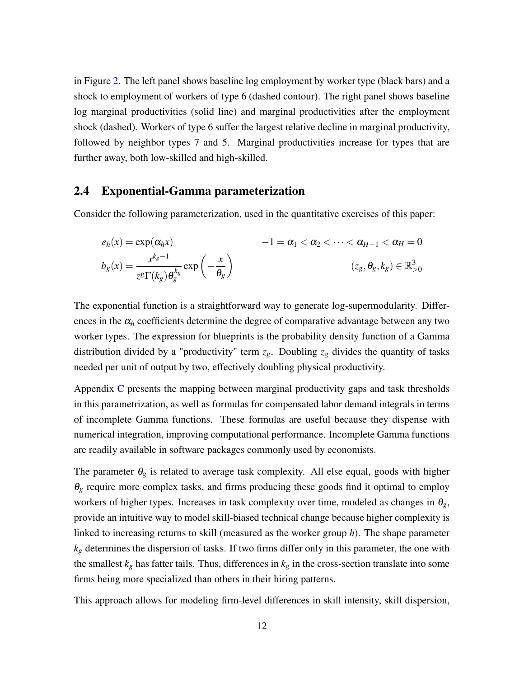in Figure [2.](#page-11-1) The left panel shows baseline log employment by worker type (black bars) and a shock to employment of workers of type 6 (dashed contour). The right panel shows baseline log marginal productivities (solid line) and marginal productivities after the employment shock (dashed). Workers of type 6 suffer the largest relative decline in marginal productivity, followed by neighbor types 7 and 5. Marginal productivities increase for types that are further away, both low-skilled and high-skilled.

## <span id="page-12-0"></span>2.4 Exponential-Gamma parameterization

Consider the following parameterization, used in the quantitative exercises of this paper:

$$
e_h(x) = \exp(\alpha_h x) \qquad -1 = \alpha_1 < \alpha_2 < \dots < \alpha_{H-1} < \alpha_H = 0
$$
\n
$$
b_g(x) = \frac{x^{k_g - 1}}{z^g \Gamma(k_g) \theta_g^{k_g}} \exp\left(-\frac{x}{\theta_g}\right) \qquad (z_g, \theta_g, k_g) \in \mathbb{R}_{>0}^3
$$

The exponential function is a straightforward way to generate log-supermodularity. Differences in the  $\alpha_h$  coefficients determine the degree of comparative advantage between any two worker types. The expression for blueprints is the probability density function of a Gamma distribution divided by a "productivity" term  $z_g$ . Doubling  $z_g$  divides the quantity of tasks needed per unit of output by two, effectively doubling physical productivity.

Appendix [C](#page-61-0) presents the mapping between marginal productivity gaps and task thresholds in this parametrization, as well as formulas for compensated labor demand integrals in terms of incomplete Gamma functions. These formulas are useful because they dispense with numerical integration, improving computational performance. Incomplete Gamma functions are readily available in software packages commonly used by economists.

The parameter  $\theta_g$  is related to average task complexity. All else equal, goods with higher  $\theta_g$  require more complex tasks, and firms producing these goods find it optimal to employ workers of higher types. Increases in task complexity over time, modeled as changes in  $\theta_g$ , provide an intuitive way to model skill-biased technical change because higher complexity is linked to increasing returns to skill (measured as the worker group *h*). The shape parameter *k<sup>g</sup>* determines the dispersion of tasks. If two firms differ only in this parameter, the one with the smallest  $k_g$  has fatter tails. Thus, differences in  $k_g$  in the cross-section translate into some firms being more specialized than others in their hiring patterns.

This approach allows for modeling firm-level differences in skill intensity, skill dispersion,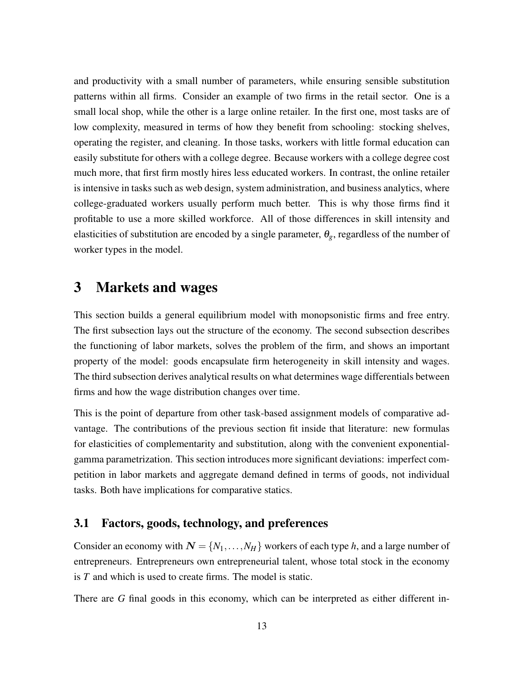and productivity with a small number of parameters, while ensuring sensible substitution patterns within all firms. Consider an example of two firms in the retail sector. One is a small local shop, while the other is a large online retailer. In the first one, most tasks are of low complexity, measured in terms of how they benefit from schooling: stocking shelves, operating the register, and cleaning. In those tasks, workers with little formal education can easily substitute for others with a college degree. Because workers with a college degree cost much more, that first firm mostly hires less educated workers. In contrast, the online retailer is intensive in tasks such as web design, system administration, and business analytics, where college-graduated workers usually perform much better. This is why those firms find it profitable to use a more skilled workforce. All of those differences in skill intensity and elasticities of substitution are encoded by a single parameter,  $\theta_g$ , regardless of the number of worker types in the model.

## 3 Markets and wages

This section builds a general equilibrium model with monopsonistic firms and free entry. The first subsection lays out the structure of the economy. The second subsection describes the functioning of labor markets, solves the problem of the firm, and shows an important property of the model: goods encapsulate firm heterogeneity in skill intensity and wages. The third subsection derives analytical results on what determines wage differentials between firms and how the wage distribution changes over time.

This is the point of departure from other task-based assignment models of comparative advantage. The contributions of the previous section fit inside that literature: new formulas for elasticities of complementarity and substitution, along with the convenient exponentialgamma parametrization. This section introduces more significant deviations: imperfect competition in labor markets and aggregate demand defined in terms of goods, not individual tasks. Both have implications for comparative statics.

## 3.1 Factors, goods, technology, and preferences

Consider an economy with  $N = \{N_1, \ldots, N_H\}$  workers of each type *h*, and a large number of entrepreneurs. Entrepreneurs own entrepreneurial talent, whose total stock in the economy is *T* and which is used to create firms. The model is static.

There are *G* final goods in this economy, which can be interpreted as either different in-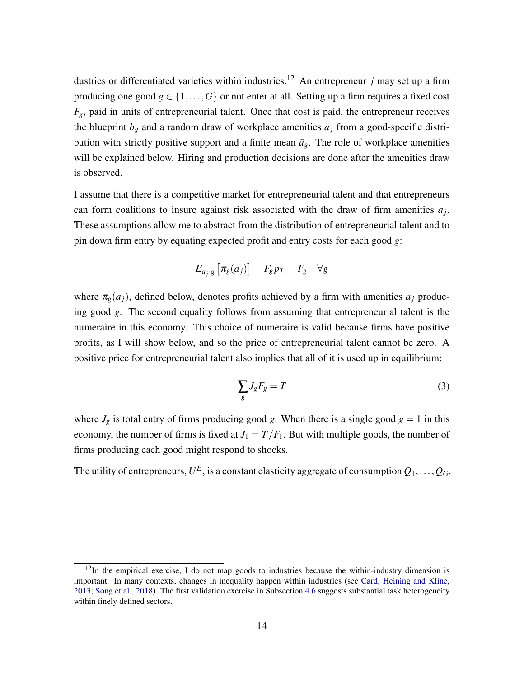dustries or differentiated varieties within industries.<sup>12</sup> An entrepreneur *j* may set up a firm producing one good  $g \in \{1, ..., G\}$  or not enter at all. Setting up a firm requires a fixed cost  $F_g$ , paid in units of entrepreneurial talent. Once that cost is paid, the entrepreneur receives the blueprint  $b_g$  and a random draw of workplace amenities  $a_j$  from a good-specific distribution with strictly positive support and a finite mean  $\bar{a}_g$ . The role of workplace amenities will be explained below. Hiring and production decisions are done after the amenities draw is observed.

I assume that there is a competitive market for entrepreneurial talent and that entrepreneurs can form coalitions to insure against risk associated with the draw of firm amenities  $a_j$ . These assumptions allow me to abstract from the distribution of entrepreneurial talent and to pin down firm entry by equating expected profit and entry costs for each good *g*:

$$
E_{a_j|g}\left[\pi_g(a_j)\right] = F_g p_T = F_g \quad \forall g
$$

where  $\pi_g(a_i)$ , defined below, denotes profits achieved by a firm with amenities  $a_i$  producing good *g*. The second equality follows from assuming that entrepreneurial talent is the numeraire in this economy. This choice of numeraire is valid because firms have positive profits, as I will show below, and so the price of entrepreneurial talent cannot be zero. A positive price for entrepreneurial talent also implies that all of it is used up in equilibrium:

<span id="page-14-0"></span>
$$
\sum_{g} J_g F_g = T \tag{3}
$$

where  $J_g$  is total entry of firms producing good *g*. When there is a single good  $g = 1$  in this economy, the number of firms is fixed at  $J_1 = T/F_1$ . But with multiple goods, the number of firms producing each good might respond to shocks.

The utility of entrepreneurs,  $U^E$  , is a constant elasticity aggregate of consumption  $Q_1,\ldots,Q_G$ .

 $12$ In the empirical exercise, I do not map goods to industries because the within-industry dimension is important. In many contexts, changes in inequality happen within industries (see [Card, Heining and Kline,](#page-44-1) [2013;](#page-44-1) [Song et al.,](#page-48-1) [2018\)](#page-48-1). The first validation exercise in Subsection [4.6](#page-38-0) suggests substantial task heterogeneity within finely defined sectors.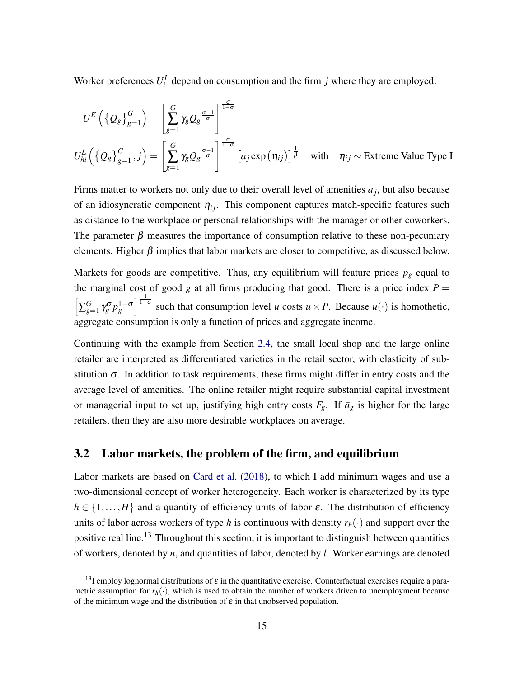Worker preferences  $U_i^L$  depend on consumption and the firm  $j$  where they are employed:

$$
U^{E}\left(\left\{Q_{g}\right\}_{g=1}^{G}\right) = \left[\sum_{g=1}^{G} \gamma_{g} Q_{g} \frac{\sigma-1}{\sigma} \right]^{\frac{\sigma}{1-\sigma}}
$$
  

$$
U_{hi}^{L}\left(\left\{Q_{g}\right\}_{g=1}^{G}, j\right) = \left[\sum_{g=1}^{G} \gamma_{g} Q_{g} \frac{\sigma-1}{\sigma} \right]^{\frac{\sigma}{1-\sigma}} \left[a_{j} \exp\left(\eta_{ij}\right)\right]^{\frac{1}{\beta}} \quad \text{with} \quad \eta_{ij} \sim \text{Extreme Value Type I}
$$

Firms matter to workers not only due to their overall level of amenities  $a_j$ , but also because of an idiosyncratic component  $\eta_{ij}$ . This component captures match-specific features such as distance to the workplace or personal relationships with the manager or other coworkers. The parameter  $\beta$  measures the importance of consumption relative to these non-pecuniary elements. Higher  $\beta$  implies that labor markets are closer to competitive, as discussed below.

Markets for goods are competitive. Thus, any equilibrium will feature prices  $p<sub>g</sub>$  equal to the marginal cost of good *g* at all firms producing that good. There is a price index  $P =$  $\left[\sum_{g=1}^G\right]$  $\int_{g=1}^{G} \gamma_g^{\sigma} p_g^{1-\sigma}$  such that consumption level *u* costs  $u \times P$ . Because  $u(\cdot)$  is homothetic, aggregate consumption is only a function of prices and aggregate income.

Continuing with the example from Section [2.4,](#page-12-0) the small local shop and the large online retailer are interpreted as differentiated varieties in the retail sector, with elasticity of substitution  $\sigma$ . In addition to task requirements, these firms might differ in entry costs and the average level of amenities. The online retailer might require substantial capital investment or managerial input to set up, justifying high entry costs  $F_g$ . If  $\bar{a}_g$  is higher for the large retailers, then they are also more desirable workplaces on average.

## 3.2 Labor markets, the problem of the firm, and equilibrium

Labor markets are based on [Card et al.](#page-44-2) [\(2018\)](#page-44-2), to which I add minimum wages and use a two-dimensional concept of worker heterogeneity. Each worker is characterized by its type  $h \in \{1, ..., H\}$  and a quantity of efficiency units of labor  $\varepsilon$ . The distribution of efficiency units of labor across workers of type *h* is continuous with density  $r_h(\cdot)$  and support over the positive real line.<sup>13</sup> Throughout this section, it is important to distinguish between quantities of workers, denoted by *n*, and quantities of labor, denoted by *l*. Worker earnings are denoted

<sup>&</sup>lt;sup>13</sup>I employ lognormal distributions of  $\varepsilon$  in the quantitative exercise. Counterfactual exercises require a parametric assumption for  $r_h(\cdot)$ , which is used to obtain the number of workers driven to unemployment because of the minimum wage and the distribution of  $\varepsilon$  in that unobserved population.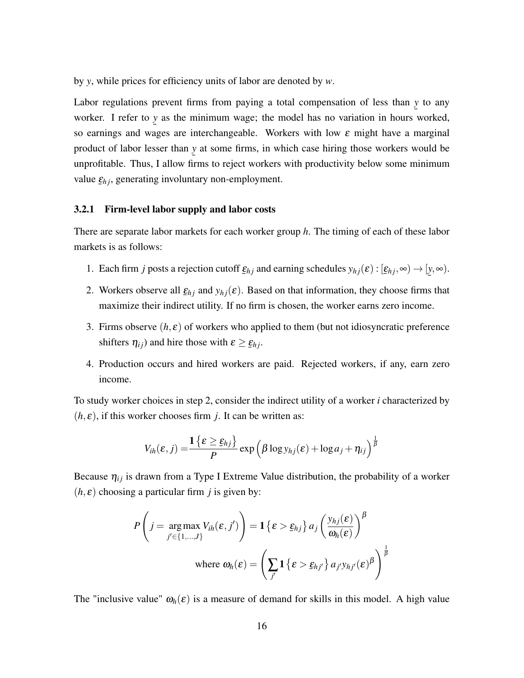by *y*, while prices for efficiency units of labor are denoted by *w*.

Labor regulations prevent firms from paying a total compensation of less than *y* to any worker. I refer to *y* as the minimum wage; the model has no variation in hours worked, so earnings and wages are interchangeable. Workers with low  $\varepsilon$  might have a marginal product of labor lesser than *y* at some firms, in which case hiring those workers would be ¯ unprofitable. Thus, I allow firms to reject workers with productivity below some minimum value  $\underline{\varepsilon}_{hj}$ , generating involuntary non-employment.

#### 3.2.1 Firm-level labor supply and labor costs

There are separate labor markets for each worker group *h*. The timing of each of these labor markets is as follows:

- 1. Each firm *j* posts a rejection cutoff  $\underline{\varepsilon}_{hj}$  and earning schedules  $y_{hj}(\varepsilon) : [\underline{\varepsilon}_{hj}, \infty) \to [\underline{y}, \infty)$ . ¯
- 2. Workers observe all  $\underline{\varepsilon}_{hj}$  and  $y_{hj}(\varepsilon)$ . Based on that information, they choose firms that maximize their indirect utility. If no firm is chosen, the worker earns zero income.
- 3. Firms observe  $(h, \varepsilon)$  of workers who applied to them (but not idiosyncratic preference shifters  $\eta_{ij}$ ) and hire those with  $\varepsilon \geq \underline{\varepsilon}_{hj}$ .
- 4. Production occurs and hired workers are paid. Rejected workers, if any, earn zero income.

To study worker choices in step 2, consider the indirect utility of a worker *i* characterized by  $(h, \varepsilon)$ , if this worker chooses firm *j*. It can be written as:

$$
V_{ih}(\varepsilon, j) = \frac{\mathbf{1}\left\{\varepsilon \geq \underline{\varepsilon}_{hj}\right\}}{P} \exp\left(\beta \log y_{hj}(\varepsilon) + \log a_j + \eta_{ij}\right)^{\frac{1}{\beta}}
$$

Because  $\eta_{ij}$  is drawn from a Type I Extreme Value distribution, the probability of a worker  $(h, \varepsilon)$  choosing a particular firm *j* is given by:

$$
P\left(j = \underset{j' \in \{1, \ldots, J\}}{\arg \max} V_{ih}(\varepsilon, j')\right) = \mathbf{1} \left\{ \varepsilon > \underline{\varepsilon}_{hj} \right\} a_j \left( \frac{y_{hj}(\varepsilon)}{\omega_h(\varepsilon)} \right)^\beta
$$
  
where  $\omega_h(\varepsilon) = \left( \sum_{j'} \mathbf{1} \left\{ \varepsilon > \underline{\varepsilon}_{hj'} \right\} a_{j'} y_{hj'}(\varepsilon)^\beta \right)^\frac{1}{\beta}$ 

The "inclusive value"  $\omega_h(\varepsilon)$  is a measure of demand for skills in this model. A high value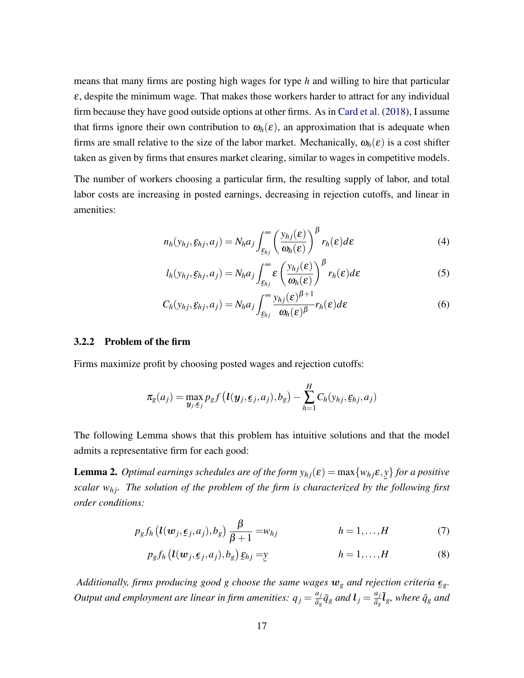means that many firms are posting high wages for type *h* and willing to hire that particular  $\varepsilon$ , despite the minimum wage. That makes those workers harder to attract for any individual firm because they have good outside options at other firms. As in [Card et al.](#page-44-2) [\(2018\)](#page-44-2), I assume that firms ignore their own contribution to  $\omega_h(\varepsilon)$ , an approximation that is adequate when firms are small relative to the size of the labor market. Mechanically,  $\omega_h(\varepsilon)$  is a cost shifter taken as given by firms that ensures market clearing, similar to wages in competitive models.

The number of workers choosing a particular firm, the resulting supply of labor, and total labor costs are increasing in posted earnings, decreasing in rejection cutoffs, and linear in amenities:

<span id="page-17-2"></span>
$$
n_h(y_{hj}, \underline{\varepsilon}_{hj}, a_j) = N_h a_j \int_{\underline{\varepsilon}_{hj}}^{\infty} \left( \frac{y_{hj}(\varepsilon)}{\omega_h(\varepsilon)} \right)^{\beta} r_h(\varepsilon) d\varepsilon \tag{4}
$$

$$
l_h(y_{hj}, \underline{\varepsilon}_{hj}, a_j) = N_h a_j \int_{\underline{\varepsilon}_{hj}}^{\infty} \varepsilon \left(\frac{y_{hj}(\varepsilon)}{\omega_h(\varepsilon)}\right)^{\beta} r_h(\varepsilon) d\varepsilon \tag{5}
$$

$$
C_h(y_{hj}, \underline{\varepsilon}_{hj}, a_j) = N_h a_j \int_{\underline{\varepsilon}_{hj}}^{\infty} \frac{y_{hj}(\varepsilon)^{\beta+1}}{\omega_h(\varepsilon)^{\beta}} r_h(\varepsilon) d\varepsilon \tag{6}
$$

#### 3.2.2 Problem of the firm

Firms maximize profit by choosing posted wages and rejection cutoffs:

$$
\pi_g(a_j) = \max_{\mathbf{y}_j, \epsilon_j} p_g f\left(\mathbf{l}(\mathbf{y}_j, \epsilon_j, a_j), b_g\right) - \sum_{h=1}^H C_h(y_{hj}, \epsilon_{hj}, a_j)
$$

The following Lemma shows that this problem has intuitive solutions and that the model admits a representative firm for each good:

**Lemma 2.** Optimal earnings schedules are of the form  $y_{hj}(\varepsilon) = \max\{w_{hj}\varepsilon, y\}$  for a positive scalar w<sub>hj</sub>. The solution of the problem of the firm is characterized by the following first *order conditions:*

$$
p_g f_h \left( l(w_j, \underline{\epsilon}_j, a_j), b_g \right) \frac{\beta}{\beta + 1} = w_{hj} \qquad \qquad h = 1, \dots, H \qquad (7)
$$

<span id="page-17-1"></span><span id="page-17-0"></span>
$$
p_g f_h \left( \mathbf{l}(\mathbf{w}_j, \boldsymbol{\epsilon}_j, a_j), b_g \right) \underline{\mathbf{\epsilon}}_{hj} = \underline{\mathbf{y}} \qquad \qquad h = 1, \dots, H \qquad (8)
$$

Additionally, firms producing good g choose the same wages  $w_g$  and rejection criteria  $\underline{\epsilon}_g$ . ¯ *Output and employment are linear in firm amenities:*  $q_j = \frac{a_j}{\bar{a}_j}$  $\frac{a_j}{\bar{a}_g}\bar{q}_g$  and  $\bm{l}_j = \frac{a_j}{\bar{a}_g}$  $\frac{a_j}{\bar{a}_g} \bar{\bm{l}}_g$ *, where*  $\bar{q}_g$  *and*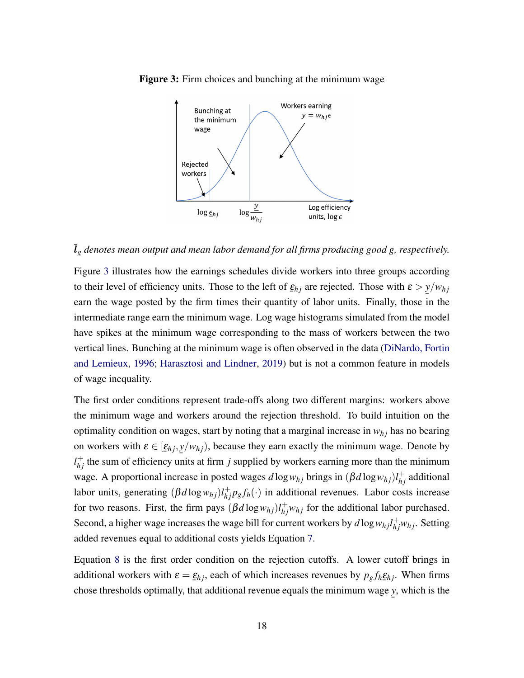

<span id="page-18-0"></span>Figure 3: Firm choices and bunching at the minimum wage

 $\bar{l}_g$  *denotes mean output and mean labor demand for all firms producing good g, respectively.* 

Figure [3](#page-18-0) illustrates how the earnings schedules divide workers into three groups according to their level of efficiency units. Those to the left of  $\underline{\varepsilon}_{hj}$  are rejected. Those with  $\varepsilon > y/w_{hj}$  $\frac{1}{2}$  and the variance of the state of  $\frac{1}{2}$  and  $\frac{1}{2}$  are expected by  $\frac{1}{2}$  and  $\frac{1}{2}$  and  $\frac{1}{2}$  and  $\frac{1}{2}$  are expected by the firm times their quantity of labor units. Finally, those in the intermediate range earn the minimum wage. Log wage histograms simulated from the model have spikes at the minimum wage corresponding to the mass of workers between the two vertical lines. Bunching at the minimum wage is often observed in the data [\(DiNardo, Fortin](#page-45-1) [and Lemieux,](#page-45-1) [1996;](#page-45-1) [Harasztosi and Lindner,](#page-46-1) [2019\)](#page-46-1) but is not a common feature in models of wage inequality.

The first order conditions represent trade-offs along two different margins: workers above the minimum wage and workers around the rejection threshold. To build intuition on the optimality condition on wages, start by noting that a marginal increase in  $w_{hj}$  has no bearing on workers with  $\varepsilon \in [\underline{\varepsilon}_{hj}, y/w_{hj})$ , because they earn exactly the minimum wage. Denote by  $l_{hj}^+$  the sum of efficiency units at firm *j* supplied by workers earning more than the minimum wage. A proportional increase in posted wages  $d \log w_{hj}$  brings in  $(\beta d \log w_{hj})l_{hj}^+$  additional labor units, generating  $(\beta d \log w_{hj}) l_{hj}^{\dagger} p_g f_h(\cdot)$  in additional revenues. Labor costs increase for two reasons. First, the firm pays  $(\beta d \log w_{hj}) l^+_{hj} w_{hj}$  for the additional labor purchased. Second, a higher wage increases the wage bill for current workers by  $d \log w_{hj} l_{hj}^{+} w_{hj}$ . Setting added revenues equal to additional costs yields Equation [7.](#page-17-0)

Equation [8](#page-17-1) is the first order condition on the rejection cutoffs. A lower cutoff brings in additional workers with  $\varepsilon = \underline{\varepsilon}_{hj}$ , each of which increases revenues by  $p_g f_h \underline{\varepsilon}_{hj}$ . When firms  $\frac{1}{2}n$ , there is there existed in the set of  $\frac{1}{2}n$   $\frac{1}{2}n$ chose thresholds optimally, that additional revenue equals the minimum wage ¯ *y*, which is the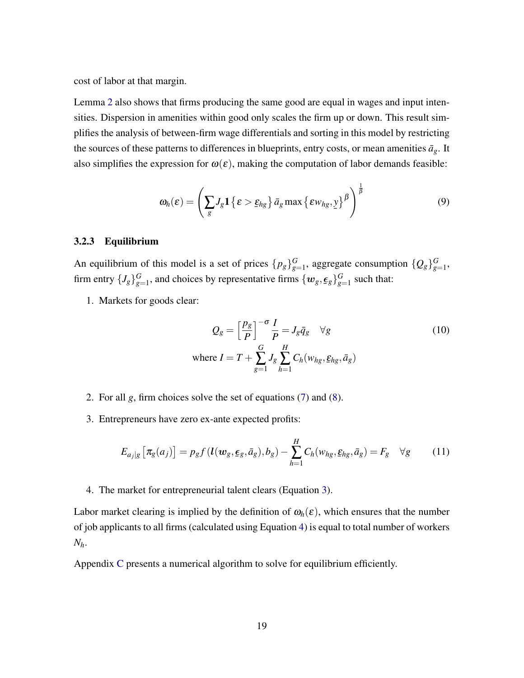cost of labor at that margin.

Lemma [2](#page-17-1) also shows that firms producing the same good are equal in wages and input intensities. Dispersion in amenities within good only scales the firm up or down. This result simplifies the analysis of between-firm wage differentials and sorting in this model by restricting the sources of these patterns to differences in blueprints, entry costs, or mean amenities  $\bar{a}_g$ . It also simplifies the expression for  $\omega(\varepsilon)$ , making the computation of labor demands feasible:

$$
\omega_h(\varepsilon) = \left(\sum_g J_g \mathbf{1}\left\{\varepsilon > \underline{\varepsilon}_{hg}\right\} \bar{a}_g \max\left\{\varepsilon w_{hg}, y\right\}^\beta\right)^\frac{1}{\beta} \tag{9}
$$

#### 3.2.3 Equilibrium

An equilibrium of this model is a set of prices  $\{p_g\}_{g}^G$  $G_{g=1}$ , aggregate consumption  $\{Q_g\}_{g=1}^G$ G<br>g=1' firm entry  $\{J_g\}_{g_2}^G$  $G_{g=1}$ , and choices by representative firms  $\{w_g, \underline{\epsilon}_g\}_{g=1}^G$  $g=1$  such that:

1. Markets for goods clear:

$$
Q_g = \left[\frac{p_g}{P}\right]^{-\sigma} \frac{I}{P} = J_g \bar{q}_g \quad \forall g
$$
  
where  $I = T + \sum_{g=1}^{G} J_g \sum_{h=1}^{H} C_h(w_{hg}, \underline{\varepsilon}_{hg}, \bar{a}_g)$  (10)

- 2. For all *g*, firm choices solve the set of equations [\(7\)](#page-17-0) and [\(8\)](#page-17-1).
- 3. Entrepreneurs have zero ex-ante expected profits:

$$
E_{a_j|g}\left[\pi_g(a_j)\right] = p_g f\left(\mathbf{l}(w_g, \boldsymbol{\epsilon}_g, \bar{a}_g), b_g\right) - \sum_{h=1}^H C_h(w_{hg}, \boldsymbol{\epsilon}_{hg}, \bar{a}_g) = F_g \quad \forall g \tag{11}
$$

4. The market for entrepreneurial talent clears (Equation [3\)](#page-14-0).

Labor market clearing is implied by the definition of  $\omega_h(\varepsilon)$ , which ensures that the number of job applicants to all firms (calculated using Equation [4\)](#page-17-2) is equal to total number of workers *Nh*.

Appendix [C](#page-61-0) presents a numerical algorithm to solve for equilibrium efficiently.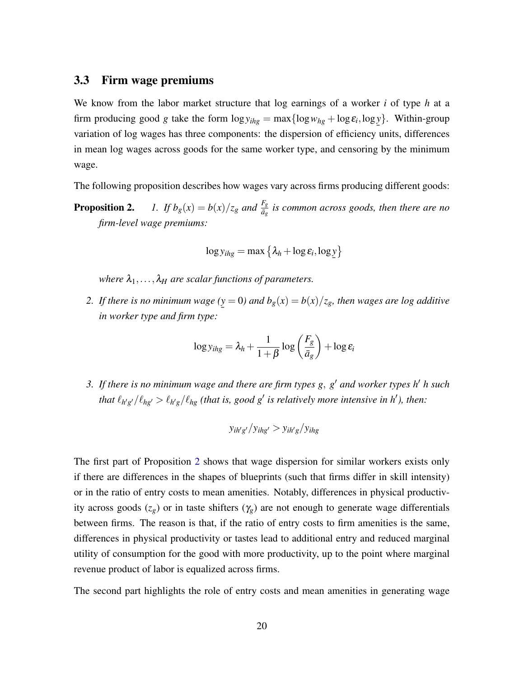## 3.3 Firm wage premiums

We know from the labor market structure that log earnings of a worker *i* of type *h* at a firm producing good *g* take the form  $\log y_{ihg} = \max{\log w_{hg} + \log \varepsilon_i, \log y}$ . Within-group variation of log wages has three components: the dispersion of efficiency units, differences in mean log wages across goods for the same worker type, and censoring by the minimum wage.

The following proposition describes how wages vary across firms producing different goods:

**Proposition 2.** *1. If*  $b_g(x) = b(x)/z_g$  *and*  $\frac{F_g}{\bar{a}_g}$  *is common across goods, then there are no firm-level wage premiums:*

$$
\log y_{ihg} = \max \left\{ \lambda_h + \log \varepsilon_i, \log \underline{y} \right\}
$$

*where*  $\lambda_1, \ldots, \lambda_H$  *are scalar functions of parameters.* 

*2. If there is no minimum wage (* ¯ *y* = 0) and  $b_g(x) = b(x)/z_g$ , then wages are log additive *in worker type and firm type:*

$$
\log y_{ihg} = \lambda_h + \frac{1}{1+\beta} \log \left(\frac{F_g}{\bar{a}_g}\right) + \log \varepsilon_i
$$

*3. If there is no minimum wage and there are firm types g*, *g* <sup>0</sup> *and worker types h*<sup>0</sup> *h such that*  $\ell_{h'g'}/\ell_{hg'} > \ell_{h'g}/\ell_{hg}$  (that is, good g' is relatively more intensive in h'), then:

$$
y_{ih'g'}/y_{ihg'} > y_{ih'g}/y_{ihg}
$$

The first part of Proposition [2](#page-0-0) shows that wage dispersion for similar workers exists only if there are differences in the shapes of blueprints (such that firms differ in skill intensity) or in the ratio of entry costs to mean amenities. Notably, differences in physical productivity across goods  $(z_g)$  or in taste shifters  $(\gamma_g)$  are not enough to generate wage differentials between firms. The reason is that, if the ratio of entry costs to firm amenities is the same, differences in physical productivity or tastes lead to additional entry and reduced marginal utility of consumption for the good with more productivity, up to the point where marginal revenue product of labor is equalized across firms.

The second part highlights the role of entry costs and mean amenities in generating wage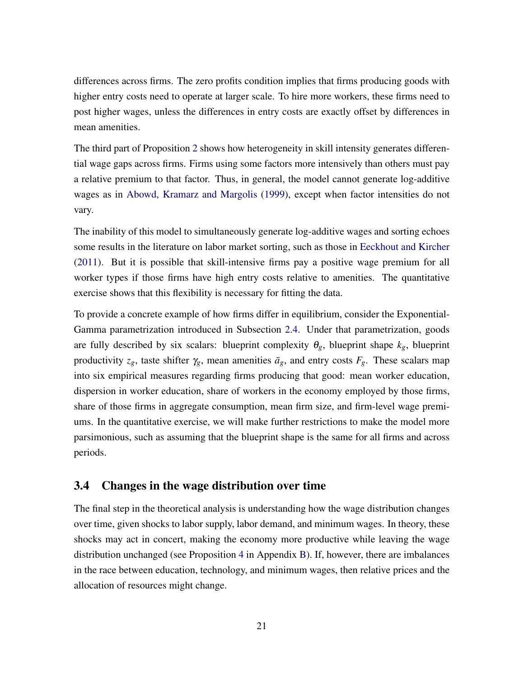differences across firms. The zero profits condition implies that firms producing goods with higher entry costs need to operate at larger scale. To hire more workers, these firms need to post higher wages, unless the differences in entry costs are exactly offset by differences in mean amenities.

The third part of Proposition [2](#page-0-0) shows how heterogeneity in skill intensity generates differential wage gaps across firms. Firms using some factors more intensively than others must pay a relative premium to that factor. Thus, in general, the model cannot generate log-additive wages as in [Abowd, Kramarz and Margolis](#page-43-1) [\(1999\)](#page-43-1), except when factor intensities do not vary.

The inability of this model to simultaneously generate log-additive wages and sorting echoes some results in the literature on labor market sorting, such as those in [Eeckhout and Kircher](#page-45-2) [\(2011\)](#page-45-2). But it is possible that skill-intensive firms pay a positive wage premium for all worker types if those firms have high entry costs relative to amenities. The quantitative exercise shows that this flexibility is necessary for fitting the data.

To provide a concrete example of how firms differ in equilibrium, consider the Exponential-Gamma parametrization introduced in Subsection [2.4.](#page-12-0) Under that parametrization, goods are fully described by six scalars: blueprint complexity  $\theta_g$ , blueprint shape  $k_g$ , blueprint productivity  $z_g$ , taste shifter  $\gamma_g$ , mean amenities  $\bar{a}_g$ , and entry costs  $F_g$ . These scalars map into six empirical measures regarding firms producing that good: mean worker education, dispersion in worker education, share of workers in the economy employed by those firms, share of those firms in aggregate consumption, mean firm size, and firm-level wage premiums. In the quantitative exercise, we will make further restrictions to make the model more parsimonious, such as assuming that the blueprint shape is the same for all firms and across periods.

## 3.4 Changes in the wage distribution over time

The final step in the theoretical analysis is understanding how the wage distribution changes over time, given shocks to labor supply, labor demand, and minimum wages. In theory, these shocks may act in concert, making the economy more productive while leaving the wage distribution unchanged (see Proposition [4](#page-60-0) in Appendix [B\)](#page-60-1). If, however, there are imbalances in the race between education, technology, and minimum wages, then relative prices and the allocation of resources might change.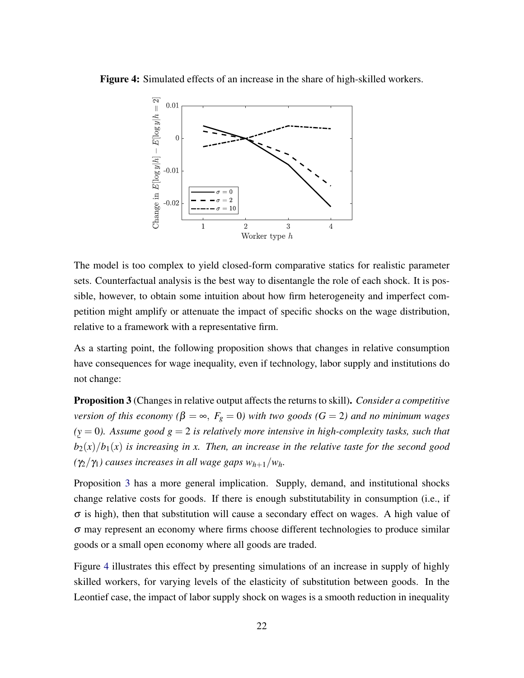<span id="page-22-1"></span>Figure 4: Simulated effects of an increase in the share of high-skilled workers.



The model is too complex to yield closed-form comparative statics for realistic parameter sets. Counterfactual analysis is the best way to disentangle the role of each shock. It is possible, however, to obtain some intuition about how firm heterogeneity and imperfect competition might amplify or attenuate the impact of specific shocks on the wage distribution, relative to a framework with a representative firm.

As a starting point, the following proposition shows that changes in relative consumption have consequences for wage inequality, even if technology, labor supply and institutions do not change:

<span id="page-22-0"></span>Proposition 3 (Changes in relative output affects the returns to skill). *Consider a competitive version of this economy* ( $\beta = \infty$ ,  $F_g = 0$ ) with two goods ( $G = 2$ ) and no minimum wages *( y* = 0*). Assume good g* = 2 *is relatively more intensive in high-complexity tasks, such that*  $\frac{d^2y}{dx^2}$  *b*<sub>2</sub>(*x*)/*b*<sub>1</sub>(*x*) *is increasing in x. Then, an increase in the relative taste for the second good*  $(\gamma_2/\gamma_1)$  causes increases in all wage gaps  $w_{h+1}/w_h$ .

Proposition [3](#page-22-0) has a more general implication. Supply, demand, and institutional shocks change relative costs for goods. If there is enough substitutability in consumption (i.e., if  $\sigma$  is high), then that substitution will cause a secondary effect on wages. A high value of σ may represent an economy where firms choose different technologies to produce similar goods or a small open economy where all goods are traded.

Figure [4](#page-22-1) illustrates this effect by presenting simulations of an increase in supply of highly skilled workers, for varying levels of the elasticity of substitution between goods. In the Leontief case, the impact of labor supply shock on wages is a smooth reduction in inequality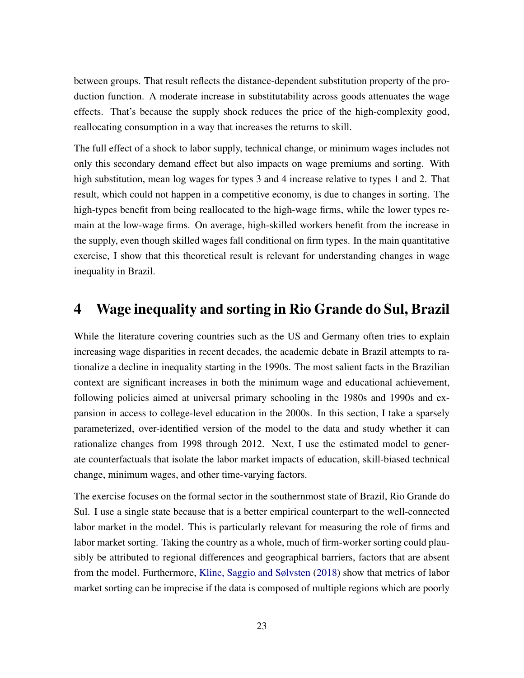between groups. That result reflects the distance-dependent substitution property of the production function. A moderate increase in substitutability across goods attenuates the wage effects. That's because the supply shock reduces the price of the high-complexity good, reallocating consumption in a way that increases the returns to skill.

The full effect of a shock to labor supply, technical change, or minimum wages includes not only this secondary demand effect but also impacts on wage premiums and sorting. With high substitution, mean log wages for types 3 and 4 increase relative to types 1 and 2. That result, which could not happen in a competitive economy, is due to changes in sorting. The high-types benefit from being reallocated to the high-wage firms, while the lower types remain at the low-wage firms. On average, high-skilled workers benefit from the increase in the supply, even though skilled wages fall conditional on firm types. In the main quantitative exercise, I show that this theoretical result is relevant for understanding changes in wage inequality in Brazil.

## 4 Wage inequality and sorting in Rio Grande do Sul, Brazil

While the literature covering countries such as the US and Germany often tries to explain increasing wage disparities in recent decades, the academic debate in Brazil attempts to rationalize a decline in inequality starting in the 1990s. The most salient facts in the Brazilian context are significant increases in both the minimum wage and educational achievement, following policies aimed at universal primary schooling in the 1980s and 1990s and expansion in access to college-level education in the 2000s. In this section, I take a sparsely parameterized, over-identified version of the model to the data and study whether it can rationalize changes from 1998 through 2012. Next, I use the estimated model to generate counterfactuals that isolate the labor market impacts of education, skill-biased technical change, minimum wages, and other time-varying factors.

The exercise focuses on the formal sector in the southernmost state of Brazil, Rio Grande do Sul. I use a single state because that is a better empirical counterpart to the well-connected labor market in the model. This is particularly relevant for measuring the role of firms and labor market sorting. Taking the country as a whole, much of firm-worker sorting could plausibly be attributed to regional differences and geographical barriers, factors that are absent from the model. Furthermore, [Kline, Saggio and Sølvsten](#page-47-10) [\(2018\)](#page-47-10) show that metrics of labor market sorting can be imprecise if the data is composed of multiple regions which are poorly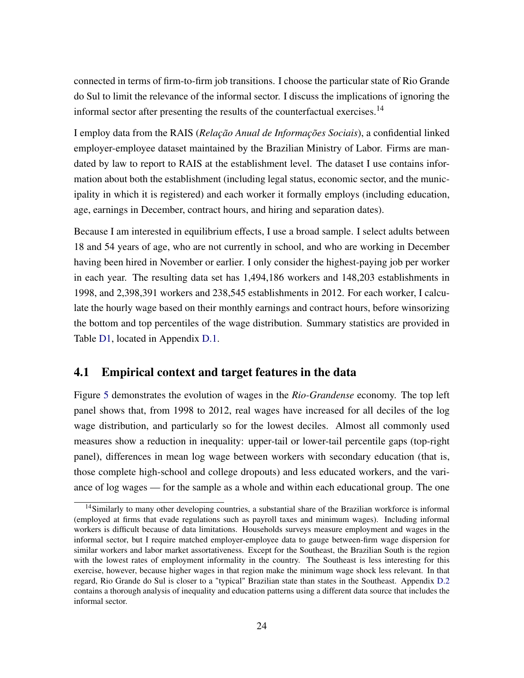connected in terms of firm-to-firm job transitions. I choose the particular state of Rio Grande do Sul to limit the relevance of the informal sector. I discuss the implications of ignoring the informal sector after presenting the results of the counterfactual exercises.<sup>14</sup>

I employ data from the RAIS (*Relação Anual de Informações Sociais*), a confidential linked employer-employee dataset maintained by the Brazilian Ministry of Labor. Firms are mandated by law to report to RAIS at the establishment level. The dataset I use contains information about both the establishment (including legal status, economic sector, and the municipality in which it is registered) and each worker it formally employs (including education, age, earnings in December, contract hours, and hiring and separation dates).

Because I am interested in equilibrium effects, I use a broad sample. I select adults between 18 and 54 years of age, who are not currently in school, and who are working in December having been hired in November or earlier. I only consider the highest-paying job per worker in each year. The resulting data set has 1,494,186 workers and 148,203 establishments in 1998, and 2,398,391 workers and 238,545 establishments in 2012. For each worker, I calculate the hourly wage based on their monthly earnings and contract hours, before winsorizing the bottom and top percentiles of the wage distribution. Summary statistics are provided in Table [D1,](#page-65-0) located in Appendix [D.1.](#page-64-0)

## 4.1 Empirical context and target features in the data

Figure [5](#page-25-0) demonstrates the evolution of wages in the *Rio-Grandense* economy. The top left panel shows that, from 1998 to 2012, real wages have increased for all deciles of the log wage distribution, and particularly so for the lowest deciles. Almost all commonly used measures show a reduction in inequality: upper-tail or lower-tail percentile gaps (top-right panel), differences in mean log wage between workers with secondary education (that is, those complete high-school and college dropouts) and less educated workers, and the variance of log wages — for the sample as a whole and within each educational group. The one

<sup>&</sup>lt;sup>14</sup>Similarly to many other developing countries, a substantial share of the Brazilian workforce is informal (employed at firms that evade regulations such as payroll taxes and minimum wages). Including informal workers is difficult because of data limitations. Households surveys measure employment and wages in the informal sector, but I require matched employer-employee data to gauge between-firm wage dispersion for similar workers and labor market assortativeness. Except for the Southeast, the Brazilian South is the region with the lowest rates of employment informality in the country. The Southeast is less interesting for this exercise, however, because higher wages in that region make the minimum wage shock less relevant. In that regard, Rio Grande do Sul is closer to a "typical" Brazilian state than states in the Southeast. Appendix [D.2](#page-64-1) contains a thorough analysis of inequality and education patterns using a different data source that includes the informal sector.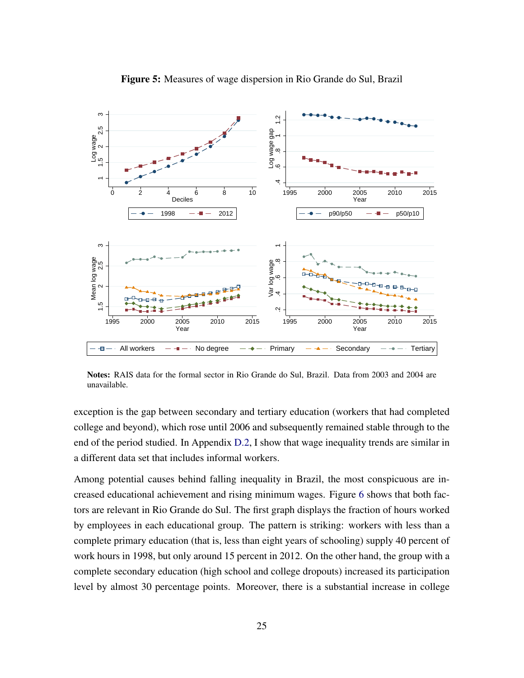<span id="page-25-0"></span>

Figure 5: Measures of wage dispersion in Rio Grande do Sul, Brazil

Notes: RAIS data for the formal sector in Rio Grande do Sul, Brazil. Data from 2003 and 2004 are unavailable.

exception is the gap between secondary and tertiary education (workers that had completed college and beyond), which rose until 2006 and subsequently remained stable through to the end of the period studied. In Appendix [D.2,](#page-64-1) I show that wage inequality trends are similar in a different data set that includes informal workers.

Among potential causes behind falling inequality in Brazil, the most conspicuous are increased educational achievement and rising minimum wages. Figure [6](#page-26-0) shows that both factors are relevant in Rio Grande do Sul. The first graph displays the fraction of hours worked by employees in each educational group. The pattern is striking: workers with less than a complete primary education (that is, less than eight years of schooling) supply 40 percent of work hours in 1998, but only around 15 percent in 2012. On the other hand, the group with a complete secondary education (high school and college dropouts) increased its participation level by almost 30 percentage points. Moreover, there is a substantial increase in college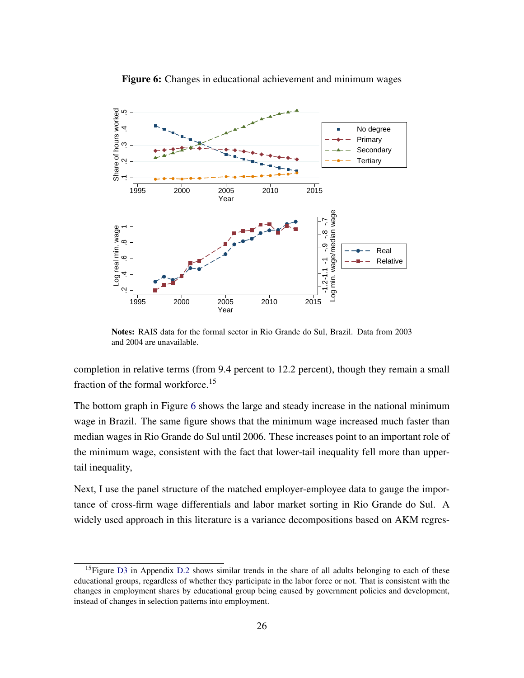<span id="page-26-0"></span>

Figure 6: Changes in educational achievement and minimum wages

Notes: RAIS data for the formal sector in Rio Grande do Sul, Brazil. Data from 2003 and 2004 are unavailable.

completion in relative terms (from 9.4 percent to 12.2 percent), though they remain a small fraction of the formal workforce.<sup>15</sup>

The bottom graph in Figure [6](#page-26-0) shows the large and steady increase in the national minimum wage in Brazil. The same figure shows that the minimum wage increased much faster than median wages in Rio Grande do Sul until 2006. These increases point to an important role of the minimum wage, consistent with the fact that lower-tail inequality fell more than uppertail inequality,

Next, I use the panel structure of the matched employer-employee data to gauge the importance of cross-firm wage differentials and labor market sorting in Rio Grande do Sul. A widely used approach in this literature is a variance decompositions based on AKM regres-

<sup>&</sup>lt;sup>15</sup>Figure [D3](#page-69-0) in Appendix [D.2](#page-64-1) shows similar trends in the share of all adults belonging to each of these educational groups, regardless of whether they participate in the labor force or not. That is consistent with the changes in employment shares by educational group being caused by government policies and development, instead of changes in selection patterns into employment.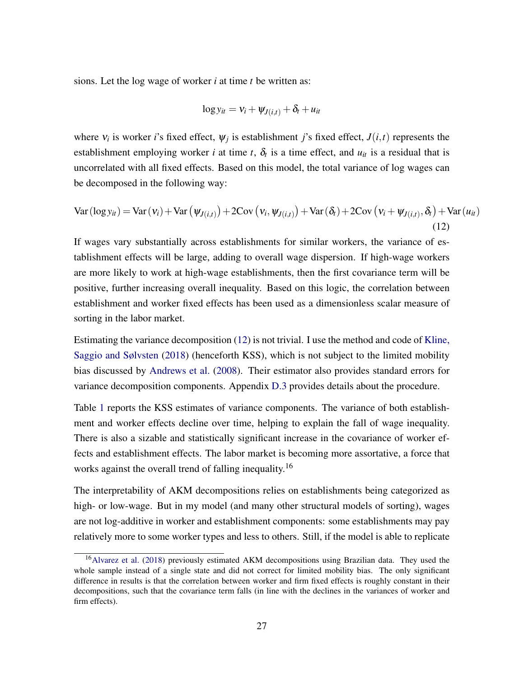sions. Let the log wage of worker *i* at time *t* be written as:

$$
\log y_{it} = \mathsf{v}_i + \mathsf{w}_{J(i,t)} + \delta_t + u_{it}
$$

where  $v_i$  is worker *i*'s fixed effect,  $\psi_j$  is establishment *j*'s fixed effect,  $J(i,t)$  represents the establishment employing worker *i* at time *t*,  $\delta_t$  is a time effect, and  $u_{it}$  is a residual that is uncorrelated with all fixed effects. Based on this model, the total variance of log wages can be decomposed in the following way:

<span id="page-27-0"></span>
$$
\text{Var}(\log y_{it}) = \text{Var}(v_i) + \text{Var}(\psi_{J(i,t)}) + 2\text{Cov}(v_i, \psi_{J(i,t)}) + \text{Var}(\delta_t) + 2\text{Cov}(v_i + \psi_{J(i,t)}, \delta_t) + \text{Var}(u_{it})
$$
\n(12)

If wages vary substantially across establishments for similar workers, the variance of establishment effects will be large, adding to overall wage dispersion. If high-wage workers are more likely to work at high-wage establishments, then the first covariance term will be positive, further increasing overall inequality. Based on this logic, the correlation between establishment and worker fixed effects has been used as a dimensionless scalar measure of sorting in the labor market.

Estimating the variance decomposition [\(12\)](#page-27-0) is not trivial. I use the method and code of [Kline,](#page-47-10) [Saggio and Sølvsten](#page-47-10) [\(2018\)](#page-47-10) (henceforth KSS), which is not subject to the limited mobility bias discussed by [Andrews et al.](#page-43-8) [\(2008\)](#page-43-8). Their estimator also provides standard errors for variance decomposition components. Appendix [D.3](#page-68-0) provides details about the procedure.

Table [1](#page-28-0) reports the KSS estimates of variance components. The variance of both establishment and worker effects decline over time, helping to explain the fall of wage inequality. There is also a sizable and statistically significant increase in the covariance of worker effects and establishment effects. The labor market is becoming more assortative, a force that works against the overall trend of falling inequality.<sup>16</sup>

The interpretability of AKM decompositions relies on establishments being categorized as high- or low-wage. But in my model (and many other structural models of sorting), wages are not log-additive in worker and establishment components: some establishments may pay relatively more to some worker types and less to others. Still, if the model is able to replicate

<sup>&</sup>lt;sup>16</sup>[Alvarez et al.](#page-43-9) [\(2018\)](#page-43-9) previously estimated AKM decompositions using Brazilian data. They used the whole sample instead of a single state and did not correct for limited mobility bias. The only significant difference in results is that the correlation between worker and firm fixed effects is roughly constant in their decompositions, such that the covariance term falls (in line with the declines in the variances of worker and firm effects).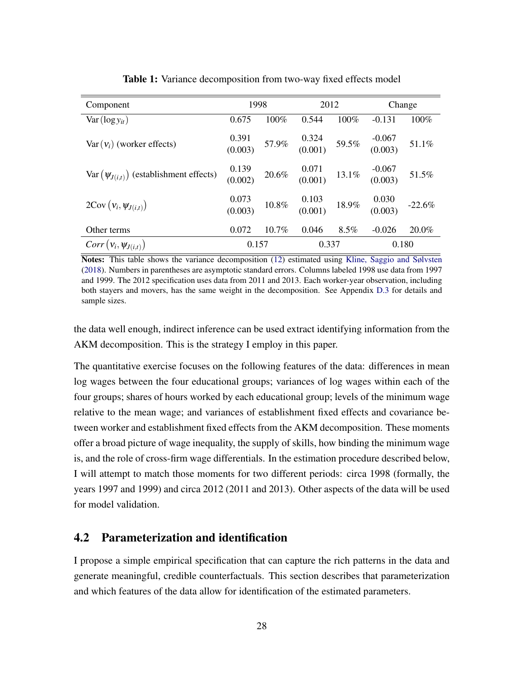<span id="page-28-0"></span>

| Component                                    | 1998               |          | 2012                                                   |          | Change               |          |
|----------------------------------------------|--------------------|----------|--------------------------------------------------------|----------|----------------------|----------|
| $Var(log y_{it})$                            | 0.675              | 100%     | 0.544                                                  | 100%     | $-0.131$             | 100%     |
| $Var(v_i)$ (worker effects)                  | $0.391$<br>(0.003) | $57.9\%$ | $\begin{array}{cc} 0.324 \\ (0.001) \end{array}$ 59.5% |          | $-0.067$<br>(0.003)  | 51.1%    |
| $Var(\psi_{J(i,t)})$ (establishment effects) | $0.139$<br>(0.002) | $20.6\%$ | $\frac{0.071}{(0.001)}$                                | $13.1\%$ | $-0.067$<br>(0.003)  | $51.5\%$ |
| $2\text{Cov}\left(v_i, \psi_{J(i,t)}\right)$ | $0.073$<br>(0.003) | $10.8\%$ | $\frac{0.103}{(0.001)}$                                | $18.9\%$ | $0.030$<br>$(0.003)$ | $-22.6%$ |
| Other terms                                  | 0.072              | $10.7\%$ | 0.046                                                  | $8.5\%$  | $-0.026$             | 20.0%    |
| $Corr(v_i, \psi_{J(i,t)})$                   | 0.157              |          | 0.337                                                  |          | 0.180                |          |

Table 1: Variance decomposition from two-way fixed effects model

Notes: This table shows the variance decomposition [\(12\)](#page-27-0) estimated using [Kline, Saggio and Sølvsten](#page-47-10) [\(2018\)](#page-47-10). Numbers in parentheses are asymptotic standard errors. Columns labeled 1998 use data from 1997 and 1999. The 2012 specification uses data from 2011 and 2013. Each worker-year observation, including both stayers and movers, has the same weight in the decomposition. See Appendix [D.3](#page-68-0) for details and sample sizes.

the data well enough, indirect inference can be used extract identifying information from the AKM decomposition. This is the strategy I employ in this paper.

The quantitative exercise focuses on the following features of the data: differences in mean log wages between the four educational groups; variances of log wages within each of the four groups; shares of hours worked by each educational group; levels of the minimum wage relative to the mean wage; and variances of establishment fixed effects and covariance between worker and establishment fixed effects from the AKM decomposition. These moments offer a broad picture of wage inequality, the supply of skills, how binding the minimum wage is, and the role of cross-firm wage differentials. In the estimation procedure described below, I will attempt to match those moments for two different periods: circa 1998 (formally, the years 1997 and 1999) and circa 2012 (2011 and 2013). Other aspects of the data will be used for model validation.

## <span id="page-28-1"></span>4.2 Parameterization and identification

I propose a simple empirical specification that can capture the rich patterns in the data and generate meaningful, credible counterfactuals. This section describes that parameterization and which features of the data allow for identification of the estimated parameters.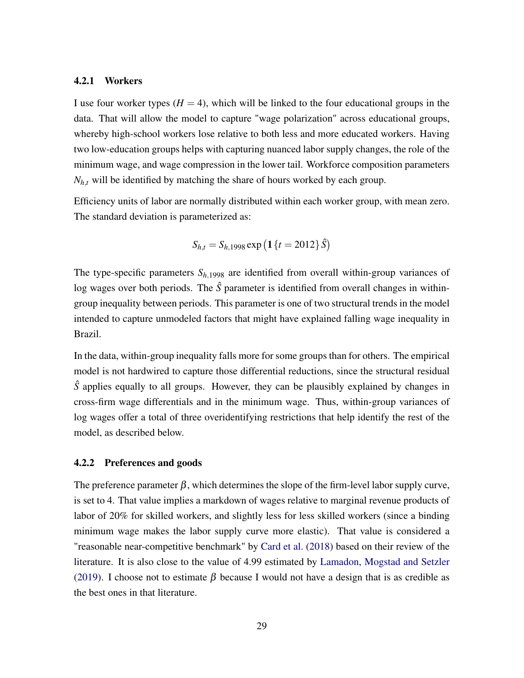#### <span id="page-29-0"></span>4.2.1 Workers

I use four worker types  $(H = 4)$ , which will be linked to the four educational groups in the data. That will allow the model to capture "wage polarization" across educational groups, whereby high-school workers lose relative to both less and more educated workers. Having two low-education groups helps with capturing nuanced labor supply changes, the role of the minimum wage, and wage compression in the lower tail. Workforce composition parameters  $N_{h,t}$  will be identified by matching the share of hours worked by each group.

Efficiency units of labor are normally distributed within each worker group, with mean zero. The standard deviation is parameterized as:

$$
S_{h,t} = S_{h,1998} \exp\left(\mathbf{1} \{t = 2012\} \hat{S}\right)
$$

The type-specific parameters  $S_{h,1998}$  are identified from overall within-group variances of log wages over both periods. The  $\hat{S}$  parameter is identified from overall changes in withingroup inequality between periods. This parameter is one of two structural trends in the model intended to capture unmodeled factors that might have explained falling wage inequality in Brazil.

In the data, within-group inequality falls more for some groups than for others. The empirical model is not hardwired to capture those differential reductions, since the structural residual *S*<sup> $\hat{S}$ </sup> applies equally to all groups. However, they can be plausibly explained by changes in cross-firm wage differentials and in the minimum wage. Thus, within-group variances of log wages offer a total of three overidentifying restrictions that help identify the rest of the model, as described below.

#### 4.2.2 Preferences and goods

The preference parameter  $\beta$ , which determines the slope of the firm-level labor supply curve, is set to 4. That value implies a markdown of wages relative to marginal revenue products of labor of 20% for skilled workers, and slightly less for less skilled workers (since a binding minimum wage makes the labor supply curve more elastic). That value is considered a "reasonable near-competitive benchmark" by [Card et al.](#page-44-2) [\(2018\)](#page-44-2) based on their review of the literature. It is also close to the value of 4.99 estimated by [Lamadon, Mogstad and Setzler](#page-47-11) [\(2019\)](#page-47-11). I choose not to estimate  $\beta$  because I would not have a design that is as credible as the best ones in that literature.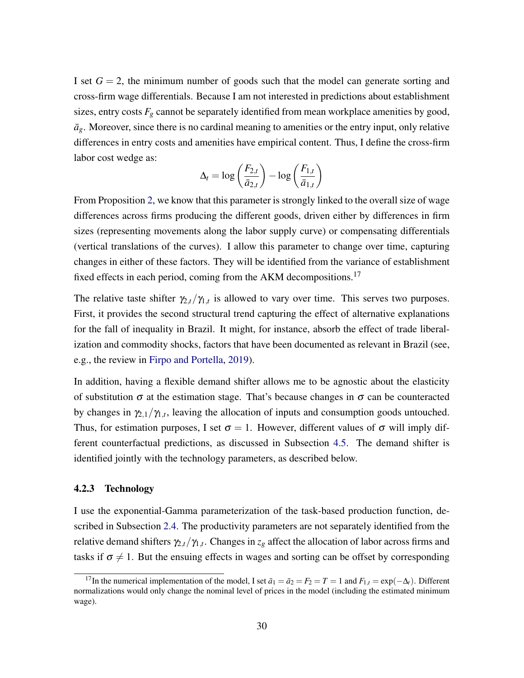I set  $G = 2$ , the minimum number of goods such that the model can generate sorting and cross-firm wage differentials. Because I am not interested in predictions about establishment sizes, entry costs  $F_g$  cannot be separately identified from mean workplace amenities by good,  $\bar{a}_g$ . Moreover, since there is no cardinal meaning to amenities or the entry input, only relative differences in entry costs and amenities have empirical content. Thus, I define the cross-firm labor cost wedge as:

$$
\Delta_t = \log\left(\frac{F_{2,t}}{\bar{a}_{2,t}}\right) - \log\left(\frac{F_{1,t}}{\bar{a}_{1,t}}\right)
$$

From Proposition [2,](#page-0-0) we know that this parameter is strongly linked to the overall size of wage differences across firms producing the different goods, driven either by differences in firm sizes (representing movements along the labor supply curve) or compensating differentials (vertical translations of the curves). I allow this parameter to change over time, capturing changes in either of these factors. They will be identified from the variance of establishment fixed effects in each period, coming from the AKM decompositions.<sup>17</sup>

The relative taste shifter  $\gamma_{2,t}/\gamma_{1,t}$  is allowed to vary over time. This serves two purposes. First, it provides the second structural trend capturing the effect of alternative explanations for the fall of inequality in Brazil. It might, for instance, absorb the effect of trade liberalization and commodity shocks, factors that have been documented as relevant in Brazil (see, e.g., the review in [Firpo and Portella,](#page-46-10) [2019\)](#page-46-10).

In addition, having a flexible demand shifter allows me to be agnostic about the elasticity of substitution  $\sigma$  at the estimation stage. That's because changes in  $\sigma$  can be counteracted by changes in  $\gamma_{2,1}/\gamma_{1,t}$ , leaving the allocation of inputs and consumption goods untouched. Thus, for estimation purposes, I set  $\sigma = 1$ . However, different values of  $\sigma$  will imply different counterfactual predictions, as discussed in Subsection [4.5.](#page-34-0) The demand shifter is identified jointly with the technology parameters, as described below.

#### 4.2.3 Technology

I use the exponential-Gamma parameterization of the task-based production function, described in Subsection [2.4.](#page-12-0) The productivity parameters are not separately identified from the relative demand shifters  $\gamma_{2,t}/\gamma_{1,t}$ . Changes in  $z_g$  affect the allocation of labor across firms and tasks if  $\sigma \neq 1$ . But the ensuing effects in wages and sorting can be offset by corresponding

<sup>&</sup>lt;sup>17</sup>In the numerical implementation of the model, I set  $\bar{a}_1 = \bar{a}_2 = F_2 = T = 1$  and  $F_{1,t} = \exp(-\Delta_t)$ . Different normalizations would only change the nominal level of prices in the model (including the estimated minimum wage).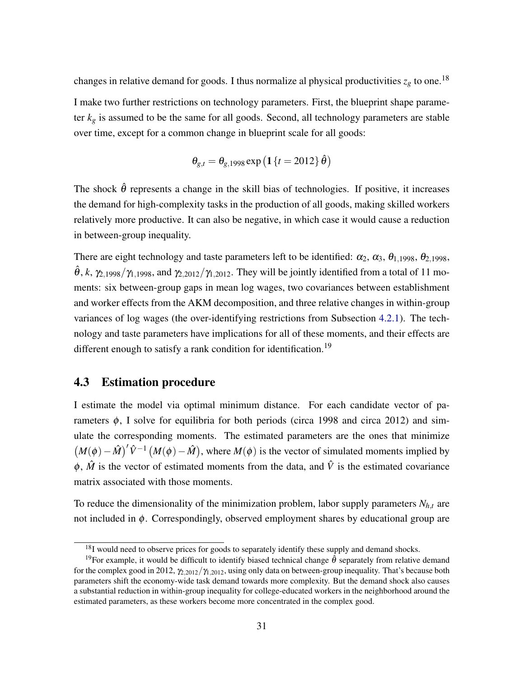changes in relative demand for goods. I thus normalize al physical productivities  $z_g$  to one.<sup>18</sup> I make two further restrictions on technology parameters. First, the blueprint shape parameter  $k_{g}$  is assumed to be the same for all goods. Second, all technology parameters are stable over time, except for a common change in blueprint scale for all goods:

$$
\theta_{g,t} = \theta_{g,1998} \exp\left(\mathbf{1} \{t = 2012\} \hat{\theta}\right)
$$

The shock  $\hat{\theta}$  represents a change in the skill bias of technologies. If positive, it increases the demand for high-complexity tasks in the production of all goods, making skilled workers relatively more productive. It can also be negative, in which case it would cause a reduction in between-group inequality.

There are eight technology and taste parameters left to be identified:  $\alpha_2$ ,  $\alpha_3$ ,  $\theta_{1,1998}$ ,  $\theta_{2,1998}$ ,  $\hat{\theta}$ , *k*,  $\gamma_{2,1998}/\gamma_{1,1998}$ , and  $\gamma_{2,2012}/\gamma_{1,2012}$ . They will be jointly identified from a total of 11 moments: six between-group gaps in mean log wages, two covariances between establishment and worker effects from the AKM decomposition, and three relative changes in within-group variances of log wages (the over-identifying restrictions from Subsection [4.2.1\)](#page-29-0). The technology and taste parameters have implications for all of these moments, and their effects are different enough to satisfy a rank condition for identification.<sup>19</sup>

### 4.3 Estimation procedure

I estimate the model via optimal minimum distance. For each candidate vector of parameters  $\phi$ , I solve for equilibria for both periods (circa 1998 and circa 2012) and simulate the corresponding moments. The estimated parameters are the ones that minimize  $(M(\phi) - \hat{M})' \hat{V}^{-1} (M(\phi) - \hat{M})$ , where  $M(\phi)$  is the vector of simulated moments implied by  $\phi$ ,  $\hat{M}$  is the vector of estimated moments from the data, and  $\hat{V}$  is the estimated covariance matrix associated with those moments.

To reduce the dimensionality of the minimization problem, labor supply parameters  $N_{h,t}$  are not included in  $\phi$ . Correspondingly, observed employment shares by educational group are

<sup>&</sup>lt;sup>18</sup>I would need to observe prices for goods to separately identify these supply and demand shocks.

<sup>&</sup>lt;sup>19</sup>For example, it would be difficult to identify biased technical change  $\hat{\theta}$  separately from relative demand for the complex good in 2012,  $\gamma_{2.2012}/\gamma_{1.2012}$ , using only data on between-group inequality. That's because both parameters shift the economy-wide task demand towards more complexity. But the demand shock also causes a substantial reduction in within-group inequality for college-educated workers in the neighborhood around the estimated parameters, as these workers become more concentrated in the complex good.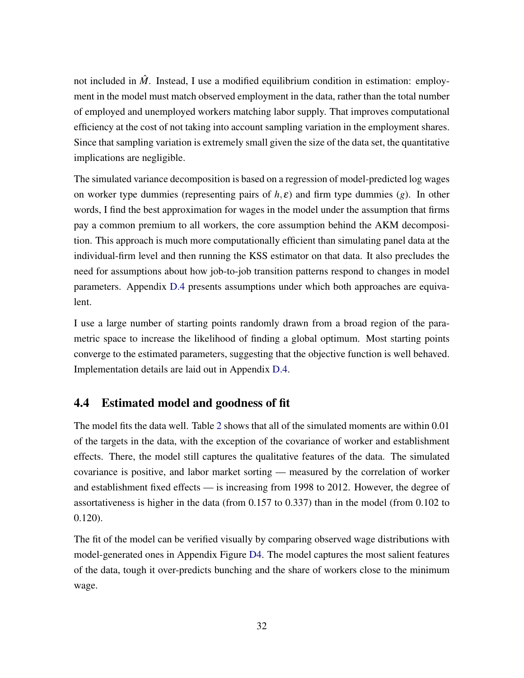not included in  $\hat{M}$ . Instead, I use a modified equilibrium condition in estimation: employment in the model must match observed employment in the data, rather than the total number of employed and unemployed workers matching labor supply. That improves computational efficiency at the cost of not taking into account sampling variation in the employment shares. Since that sampling variation is extremely small given the size of the data set, the quantitative implications are negligible.

The simulated variance decomposition is based on a regression of model-predicted log wages on worker type dummies (representing pairs of  $h, \varepsilon$ ) and firm type dummies (*g*). In other words, I find the best approximation for wages in the model under the assumption that firms pay a common premium to all workers, the core assumption behind the AKM decomposition. This approach is much more computationally efficient than simulating panel data at the individual-firm level and then running the KSS estimator on that data. It also precludes the need for assumptions about how job-to-job transition patterns respond to changes in model parameters. Appendix [D.4](#page-70-0) presents assumptions under which both approaches are equivalent.

I use a large number of starting points randomly drawn from a broad region of the parametric space to increase the likelihood of finding a global optimum. Most starting points converge to the estimated parameters, suggesting that the objective function is well behaved. Implementation details are laid out in Appendix [D.4.](#page-70-0)

### 4.4 Estimated model and goodness of fit

The model fits the data well. Table [2](#page-33-0) shows that all of the simulated moments are within 0.01 of the targets in the data, with the exception of the covariance of worker and establishment effects. There, the model still captures the qualitative features of the data. The simulated covariance is positive, and labor market sorting — measured by the correlation of worker and establishment fixed effects — is increasing from 1998 to 2012. However, the degree of assortativeness is higher in the data (from 0.157 to 0.337) than in the model (from 0.102 to 0.120).

The fit of the model can be verified visually by comparing observed wage distributions with model-generated ones in Appendix Figure [D4.](#page-74-0) The model captures the most salient features of the data, tough it over-predicts bunching and the share of workers close to the minimum wage.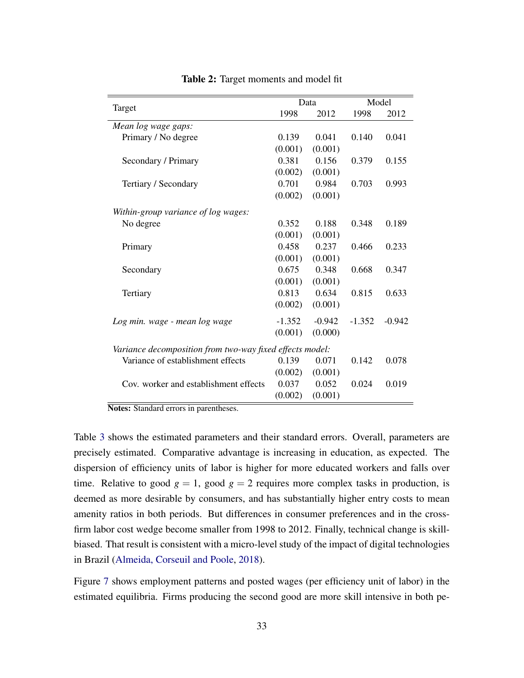<span id="page-33-0"></span>

|                                                          |          | Data     | Model    |          |  |
|----------------------------------------------------------|----------|----------|----------|----------|--|
| Target                                                   | 1998     | 2012     | 1998     | 2012     |  |
| Mean log wage gaps:                                      |          |          |          |          |  |
| Primary / No degree                                      | 0.139    | 0.041    | 0.140    | 0.041    |  |
|                                                          | (0.001)  | (0.001)  |          |          |  |
| Secondary / Primary                                      | 0.381    | 0.156    | 0.379    | 0.155    |  |
|                                                          | (0.002)  | (0.001)  |          |          |  |
| Tertiary / Secondary                                     | 0.701    | 0.984    | 0.703    | 0.993    |  |
|                                                          | (0.002)  | (0.001)  |          |          |  |
| Within-group variance of log wages:                      |          |          |          |          |  |
| No degree                                                | 0.352    | 0.188    | 0.348    | 0.189    |  |
|                                                          | (0.001)  | (0.001)  |          |          |  |
| Primary                                                  | 0.458    | 0.237    | 0.466    | 0.233    |  |
|                                                          | (0.001)  | (0.001)  |          |          |  |
| Secondary                                                | 0.675    | 0.348    | 0.668    | 0.347    |  |
|                                                          | (0.001)  | (0.001)  |          |          |  |
| Tertiary                                                 | 0.813    | 0.634    | 0.815    | 0.633    |  |
|                                                          | (0.002)  | (0.001)  |          |          |  |
| Log min. wage - mean log wage                            | $-1.352$ | $-0.942$ | $-1.352$ | $-0.942$ |  |
|                                                          | (0.001)  | (0.000)  |          |          |  |
| Variance decomposition from two-way fixed effects model: |          |          |          |          |  |
| Variance of establishment effects                        | 0.139    | 0.071    | 0.142    | 0.078    |  |
|                                                          | (0.002)  | (0.001)  |          |          |  |
| Cov. worker and establishment effects                    | 0.037    | 0.052    | 0.024    | 0.019    |  |
|                                                          | (0.002)  | (0.001)  |          |          |  |

Table 2: Target moments and model fit

Notes: Standard errors in parentheses.

Table [3](#page-34-1) shows the estimated parameters and their standard errors. Overall, parameters are precisely estimated. Comparative advantage is increasing in education, as expected. The dispersion of efficiency units of labor is higher for more educated workers and falls over time. Relative to good  $g = 1$ , good  $g = 2$  requires more complex tasks in production, is deemed as more desirable by consumers, and has substantially higher entry costs to mean amenity ratios in both periods. But differences in consumer preferences and in the crossfirm labor cost wedge become smaller from 1998 to 2012. Finally, technical change is skillbiased. That result is consistent with a micro-level study of the impact of digital technologies in Brazil [\(Almeida, Corseuil and Poole,](#page-43-10) [2018\)](#page-43-10).

Figure [7](#page-35-0) shows employment patterns and posted wages (per efficiency unit of labor) in the estimated equilibria. Firms producing the second good are more skill intensive in both pe-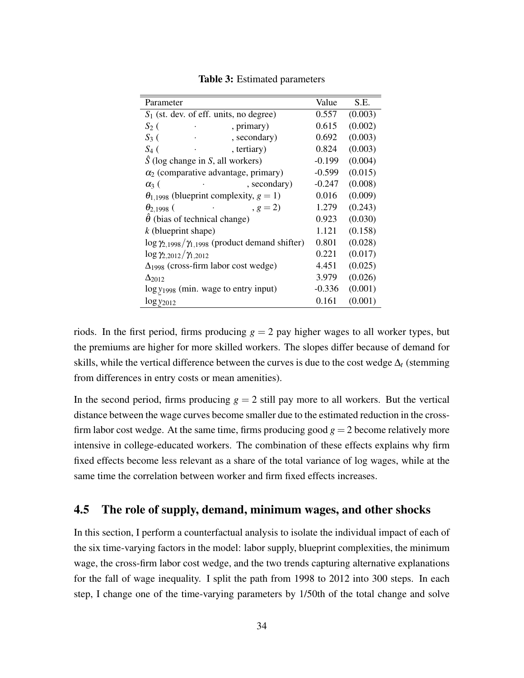<span id="page-34-1"></span>

| Parameter                                                       | Value    | S.E.    |
|-----------------------------------------------------------------|----------|---------|
| $S_1$ (st. dev. of eff. units, no degree)                       | 0.557    | (0.003) |
| $S_2$ (<br>, primary)                                           | 0.615    | (0.002) |
| $S_3$ (<br>, secondary)                                         | 0.692    | (0.003) |
| $S_4$ (<br>, tertiary)                                          | 0.824    | (0.003) |
| $\hat{S}$ (log change in S, all workers)                        | $-0.199$ | (0.004) |
| $\alpha_2$ (comparative advantage, primary)                     | $-0.599$ | (0.015) |
| , secondary)<br>$\alpha$ <sub>3</sub> (                         | $-0.247$ | (0.008) |
| $\theta_{1,1998}$ (blueprint complexity, $g = 1$ )              | 0.016    | (0.009) |
| $, g = 2)$<br>$\theta_{2,1998}$ (                               | 1.279    | (0.243) |
| $\hat{\theta}$ (bias of technical change)                       | 0.923    | (0.030) |
| $k$ (blueprint shape)                                           | 1.121    | (0.158) |
| $\log \gamma_{2,1998}/\gamma_{1,1998}$ (product demand shifter) | 0.801    | (0.028) |
| $\log \gamma_{2,2012}/\gamma_{1,2012}$                          | 0.221    | (0.017) |
| $\Delta_{1998}$ (cross-firm labor cost wedge)                   | 4.451    | (0.025) |
| $\Delta$ 2012                                                   | 3.979    | (0.026) |
| $\log y_{1998}$ (min. wage to entry input)                      | $-0.336$ | (0.001) |
| $\log y_{2012}$                                                 | 0.161    | (0.001) |
|                                                                 |          |         |

Table 3: Estimated parameters

riods. In the first period, firms producing  $g = 2$  pay higher wages to all worker types, but the premiums are higher for more skilled workers. The slopes differ because of demand for skills, while the vertical difference between the curves is due to the cost wedge  $\Delta_t$  (stemming from differences in entry costs or mean amenities).

In the second period, firms producing  $g = 2$  still pay more to all workers. But the vertical distance between the wage curves become smaller due to the estimated reduction in the crossfirm labor cost wedge. At the same time, firms producing good  $g = 2$  become relatively more intensive in college-educated workers. The combination of these effects explains why firm fixed effects become less relevant as a share of the total variance of log wages, while at the same time the correlation between worker and firm fixed effects increases.

## <span id="page-34-0"></span>4.5 The role of supply, demand, minimum wages, and other shocks

In this section, I perform a counterfactual analysis to isolate the individual impact of each of the six time-varying factors in the model: labor supply, blueprint complexities, the minimum wage, the cross-firm labor cost wedge, and the two trends capturing alternative explanations for the fall of wage inequality. I split the path from 1998 to 2012 into 300 steps. In each step, I change one of the time-varying parameters by 1/50th of the total change and solve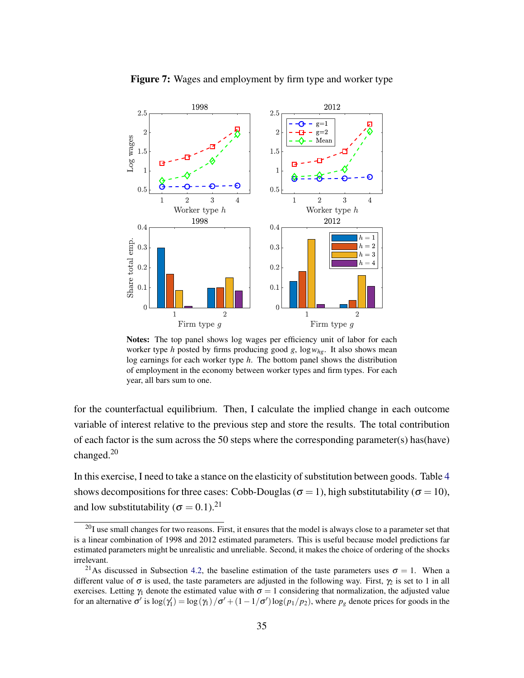<span id="page-35-0"></span>

Figure 7: Wages and employment by firm type and worker type

Notes: The top panel shows log wages per efficiency unit of labor for each worker type *h* posted by firms producing good *g*, log*whg*. It also shows mean log earnings for each worker type *h*. The bottom panel shows the distribution of employment in the economy between worker types and firm types. For each year, all bars sum to one.

for the counterfactual equilibrium. Then, I calculate the implied change in each outcome variable of interest relative to the previous step and store the results. The total contribution of each factor is the sum across the 50 steps where the corresponding parameter(s) has(have) changed.<sup>20</sup>

In this exercise, I need to take a stance on the elasticity of substitution between goods. Table [4](#page-36-0) shows decompositions for three cases: Cobb-Douglas ( $\sigma = 1$ ), high substitutability ( $\sigma = 10$ ), and low substitutability ( $\sigma = 0.1$ ).<sup>21</sup>

 $^{20}$ I use small changes for two reasons. First, it ensures that the model is always close to a parameter set that is a linear combination of 1998 and 2012 estimated parameters. This is useful because model predictions far estimated parameters might be unrealistic and unreliable. Second, it makes the choice of ordering of the shocks irrelevant.

<sup>&</sup>lt;sup>21</sup>As discussed in Subsection [4.2,](#page-28-1) the baseline estimation of the taste parameters uses  $\sigma = 1$ . When a different value of  $\sigma$  is used, the taste parameters are adjusted in the following way. First,  $\gamma_2$  is set to 1 in all exercises. Letting  $\gamma_1$  denote the estimated value with  $\sigma = 1$  considering that normalization, the adjusted value for an alternative  $\sigma'$  is  $\log(\gamma_1') = \log(\gamma_1)/\sigma' + (1 - 1/\sigma') \log(p_1/p_2)$ , where  $p_g$  denote prices for goods in the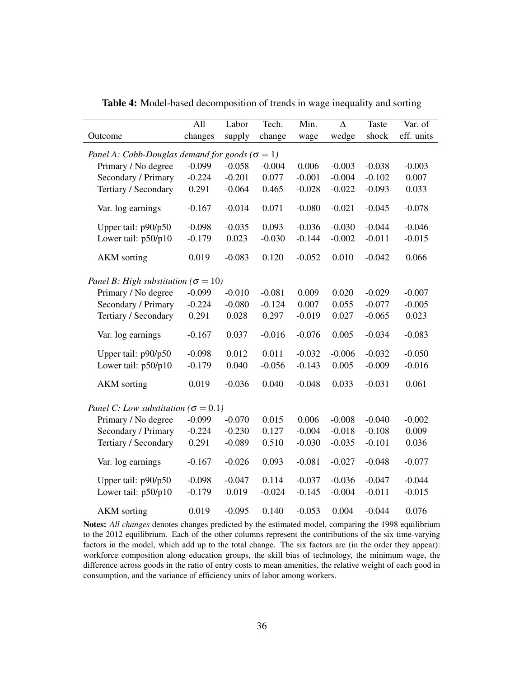|                                                         | All      | Labor    | Tech.    | Min.     | $\overline{\Delta}$ | <b>Taste</b> | Var. of    |
|---------------------------------------------------------|----------|----------|----------|----------|---------------------|--------------|------------|
| Outcome                                                 | changes  | supply   | change   | wage     | wedge               | shock        | eff. units |
| Panel A: Cobb-Douglas demand for goods ( $\sigma = 1$ ) |          |          |          |          |                     |              |            |
| Primary / No degree                                     | $-0.099$ | $-0.058$ | $-0.004$ | 0.006    | $-0.003$            | $-0.038$     | $-0.003$   |
| Secondary / Primary                                     | $-0.224$ | $-0.201$ | 0.077    | $-0.001$ | $-0.004$            | $-0.102$     | 0.007      |
| Tertiary / Secondary                                    | 0.291    | $-0.064$ | 0.465    | $-0.028$ | $-0.022$            | $-0.093$     | 0.033      |
| Var. log earnings                                       | $-0.167$ | $-0.014$ | 0.071    | $-0.080$ | $-0.021$            | $-0.045$     | $-0.078$   |
|                                                         |          |          |          |          |                     |              |            |
| Upper tail: p90/p50                                     | $-0.098$ | $-0.035$ | 0.093    | $-0.036$ | $-0.030$            | $-0.044$     | $-0.046$   |
| Lower tail: p50/p10                                     | $-0.179$ | 0.023    | $-0.030$ | $-0.144$ | $-0.002$            | $-0.011$     | $-0.015$   |
| <b>AKM</b> sorting                                      | 0.019    | $-0.083$ | 0.120    | $-0.052$ | 0.010               | $-0.042$     | 0.066      |
|                                                         |          |          |          |          |                     |              |            |
| Panel B: High substitution ( $\sigma = 10$ )            |          |          |          |          |                     |              |            |
| Primary / No degree                                     | $-0.099$ | $-0.010$ | $-0.081$ | 0.009    | 0.020               | $-0.029$     | $-0.007$   |
| Secondary / Primary                                     | $-0.224$ | $-0.080$ | $-0.124$ | 0.007    | 0.055               | $-0.077$     | $-0.005$   |
| Tertiary / Secondary                                    | 0.291    | 0.028    | 0.297    | $-0.019$ | 0.027               | $-0.065$     | 0.023      |
| Var. log earnings                                       | $-0.167$ | 0.037    | $-0.016$ | $-0.076$ | 0.005               | $-0.034$     | $-0.083$   |
| Upper tail: p90/p50                                     | $-0.098$ | 0.012    | 0.011    | $-0.032$ | $-0.006$            | $-0.032$     | $-0.050$   |
| Lower tail: p50/p10                                     | $-0.179$ | 0.040    | $-0.056$ | $-0.143$ | 0.005               | $-0.009$     | $-0.016$   |
| <b>AKM</b> sorting                                      | 0.019    | $-0.036$ | 0.040    | $-0.048$ | 0.033               | $-0.031$     | 0.061      |
|                                                         |          |          |          |          |                     |              |            |
| Panel C: Low substitution ( $\sigma = 0.1$ )            |          |          |          |          |                     |              |            |
| Primary / No degree                                     | $-0.099$ | $-0.070$ | 0.015    | 0.006    | $-0.008$            | $-0.040$     | $-0.002$   |
| Secondary / Primary                                     | $-0.224$ | $-0.230$ | 0.127    | $-0.004$ | $-0.018$            | $-0.108$     | 0.009      |
| Tertiary / Secondary                                    | 0.291    | $-0.089$ | 0.510    | $-0.030$ | $-0.035$            | $-0.101$     | 0.036      |
| Var. log earnings                                       | $-0.167$ | $-0.026$ | 0.093    | $-0.081$ | $-0.027$            | $-0.048$     | $-0.077$   |
| Upper tail: p90/p50                                     | $-0.098$ | $-0.047$ | 0.114    | $-0.037$ | $-0.036$            | $-0.047$     | $-0.044$   |
| Lower tail: p50/p10                                     | $-0.179$ | 0.019    | $-0.024$ | $-0.145$ | $-0.004$            | $-0.011$     | $-0.015$   |
| <b>AKM</b> sorting                                      | 0.019    | $-0.095$ | 0.140    | $-0.053$ | 0.004               | $-0.044$     | 0.076      |

Table 4: Model-based decomposition of trends in wage inequality and sorting

Notes: *All changes* denotes changes predicted by the estimated model, comparing the 1998 equilibrium to the 2012 equilibrium. Each of the other columns represent the contributions of the six time-varying factors in the model, which add up to the total change. The six factors are (in the order they appear): workforce composition along education groups, the skill bias of technology, the minimum wage, the difference across goods in the ratio of entry costs to mean amenities, the relative weight of each good in consumption, and the variance of efficiency units of labor among workers.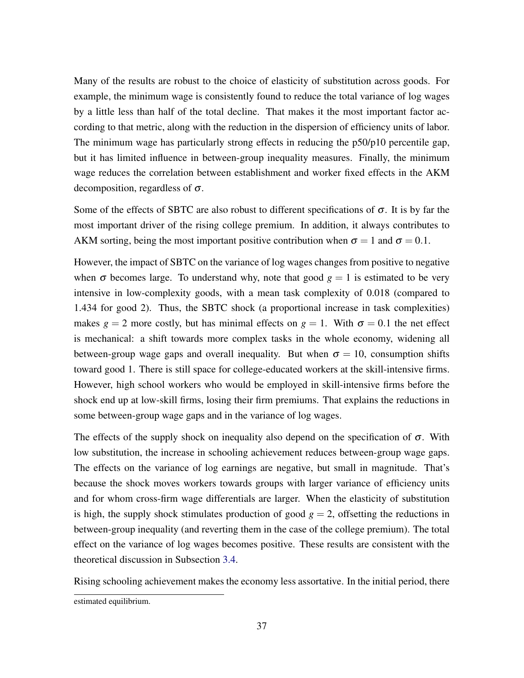Many of the results are robust to the choice of elasticity of substitution across goods. For example, the minimum wage is consistently found to reduce the total variance of log wages by a little less than half of the total decline. That makes it the most important factor according to that metric, along with the reduction in the dispersion of efficiency units of labor. The minimum wage has particularly strong effects in reducing the p50/p10 percentile gap, but it has limited influence in between-group inequality measures. Finally, the minimum wage reduces the correlation between establishment and worker fixed effects in the AKM decomposition, regardless of  $\sigma$ .

Some of the effects of SBTC are also robust to different specifications of  $\sigma$ . It is by far the most important driver of the rising college premium. In addition, it always contributes to AKM sorting, being the most important positive contribution when  $\sigma = 1$  and  $\sigma = 0.1$ .

However, the impact of SBTC on the variance of log wages changes from positive to negative when  $\sigma$  becomes large. To understand why, note that good  $g = 1$  is estimated to be very intensive in low-complexity goods, with a mean task complexity of 0.018 (compared to 1.434 for good 2). Thus, the SBTC shock (a proportional increase in task complexities) makes  $g = 2$  more costly, but has minimal effects on  $g = 1$ . With  $\sigma = 0.1$  the net effect is mechanical: a shift towards more complex tasks in the whole economy, widening all between-group wage gaps and overall inequality. But when  $\sigma = 10$ , consumption shifts toward good 1. There is still space for college-educated workers at the skill-intensive firms. However, high school workers who would be employed in skill-intensive firms before the shock end up at low-skill firms, losing their firm premiums. That explains the reductions in some between-group wage gaps and in the variance of log wages.

The effects of the supply shock on inequality also depend on the specification of  $\sigma$ . With low substitution, the increase in schooling achievement reduces between-group wage gaps. The effects on the variance of log earnings are negative, but small in magnitude. That's because the shock moves workers towards groups with larger variance of efficiency units and for whom cross-firm wage differentials are larger. When the elasticity of substitution is high, the supply shock stimulates production of good  $g = 2$ , offsetting the reductions in between-group inequality (and reverting them in the case of the college premium). The total effect on the variance of log wages becomes positive. These results are consistent with the theoretical discussion in Subsection [3.4.](#page-21-0)

Rising schooling achievement makes the economy less assortative. In the initial period, there

estimated equilibrium.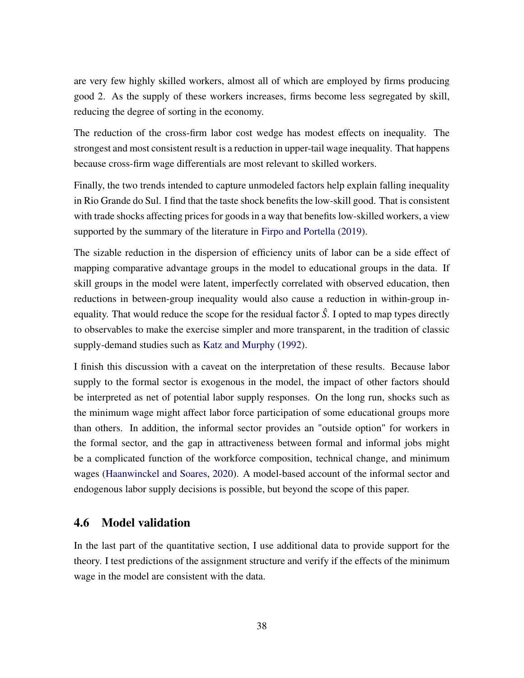are very few highly skilled workers, almost all of which are employed by firms producing good 2. As the supply of these workers increases, firms become less segregated by skill, reducing the degree of sorting in the economy.

The reduction of the cross-firm labor cost wedge has modest effects on inequality. The strongest and most consistent result is a reduction in upper-tail wage inequality. That happens because cross-firm wage differentials are most relevant to skilled workers.

Finally, the two trends intended to capture unmodeled factors help explain falling inequality in Rio Grande do Sul. I find that the taste shock benefits the low-skill good. That is consistent with trade shocks affecting prices for goods in a way that benefits low-skilled workers, a view supported by the summary of the literature in [Firpo and Portella](#page-46-0) [\(2019\)](#page-46-0).

The sizable reduction in the dispersion of efficiency units of labor can be a side effect of mapping comparative advantage groups in the model to educational groups in the data. If skill groups in the model were latent, imperfectly correlated with observed education, then reductions in between-group inequality would also cause a reduction in within-group inequality. That would reduce the scope for the residual factor *S*ˆ. I opted to map types directly to observables to make the exercise simpler and more transparent, in the tradition of classic supply-demand studies such as [Katz and Murphy](#page-46-1) [\(1992\)](#page-46-1).

I finish this discussion with a caveat on the interpretation of these results. Because labor supply to the formal sector is exogenous in the model, the impact of other factors should be interpreted as net of potential labor supply responses. On the long run, shocks such as the minimum wage might affect labor force participation of some educational groups more than others. In addition, the informal sector provides an "outside option" for workers in the formal sector, and the gap in attractiveness between formal and informal jobs might be a complicated function of the workforce composition, technical change, and minimum wages [\(Haanwinckel and Soares,](#page-46-2) [2020\)](#page-46-2). A model-based account of the informal sector and endogenous labor supply decisions is possible, but beyond the scope of this paper.

### 4.6 Model validation

In the last part of the quantitative section, I use additional data to provide support for the theory. I test predictions of the assignment structure and verify if the effects of the minimum wage in the model are consistent with the data.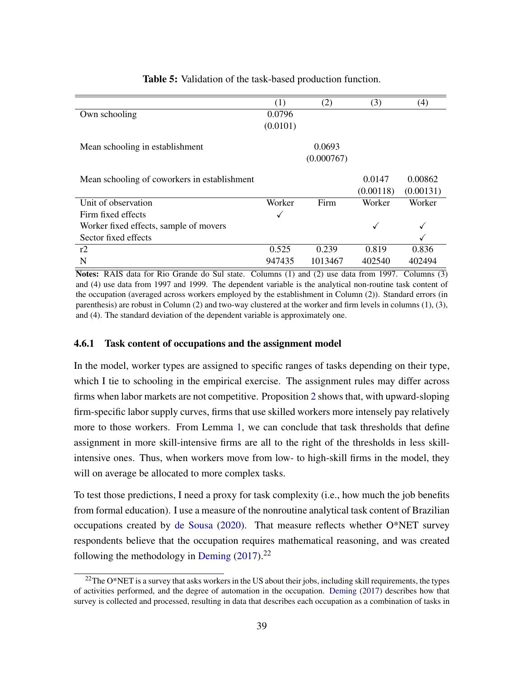<span id="page-39-0"></span>

|                                              | (1)          | (2)        | (3)          | $\left( 4\right)$ |
|----------------------------------------------|--------------|------------|--------------|-------------------|
| Own schooling                                | 0.0796       |            |              |                   |
|                                              | (0.0101)     |            |              |                   |
| Mean schooling in establishment              |              | 0.0693     |              |                   |
|                                              |              | (0.000767) |              |                   |
| Mean schooling of coworkers in establishment |              |            | 0.0147       | 0.00862           |
|                                              |              |            | (0.00118)    | (0.00131)         |
| Unit of observation                          | Worker       | Firm       | Worker       | Worker            |
| Firm fixed effects                           | $\checkmark$ |            |              |                   |
| Worker fixed effects, sample of movers       |              |            | $\checkmark$ |                   |
| Sector fixed effects                         |              |            |              |                   |
| r2                                           | 0.525        | 0.239      | 0.819        | 0.836             |
| N                                            | 947435       | 1013467    | 402540       | 402494            |

Table 5: Validation of the task-based production function.

Notes: RAIS data for Rio Grande do Sul state. Columns (1) and (2) use data from 1997. Columns (3) and (4) use data from 1997 and 1999. The dependent variable is the analytical non-routine task content of the occupation (averaged across workers employed by the establishment in Column (2)). Standard errors (in parenthesis) are robust in Column (2) and two-way clustered at the worker and firm levels in columns (1), (3), and (4). The standard deviation of the dependent variable is approximately one.

### 4.6.1 Task content of occupations and the assignment model

In the model, worker types are assigned to specific ranges of tasks depending on their type, which I tie to schooling in the empirical exercise. The assignment rules may differ across firms when labor markets are not competitive. Proposition [2](#page-0-0) shows that, with upward-sloping firm-specific labor supply curves, firms that use skilled workers more intensely pay relatively more to those workers. From Lemma [1,](#page-8-0) we can conclude that task thresholds that define assignment in more skill-intensive firms are all to the right of the thresholds in less skillintensive ones. Thus, when workers move from low- to high-skill firms in the model, they will on average be allocated to more complex tasks.

To test those predictions, I need a proxy for task complexity (i.e., how much the job benefits from formal education). I use a measure of the nonroutine analytical task content of Brazilian occupations created by [de Sousa](#page-45-0) [\(2020\)](#page-45-0). That measure reflects whether O\*NET survey respondents believe that the occupation requires mathematical reasoning, and was created following the methodology in [Deming](#page-45-1)  $(2017).^{22}$  $(2017).^{22}$ 

 $22$ The O\*NET is a survey that asks workers in the US about their jobs, including skill requirements, the types of activities performed, and the degree of automation in the occupation. [Deming](#page-45-1) [\(2017\)](#page-45-1) describes how that survey is collected and processed, resulting in data that describes each occupation as a combination of tasks in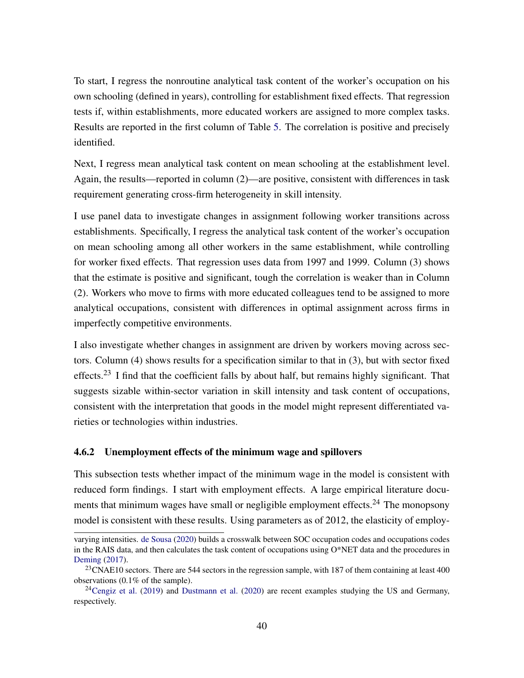To start, I regress the nonroutine analytical task content of the worker's occupation on his own schooling (defined in years), controlling for establishment fixed effects. That regression tests if, within establishments, more educated workers are assigned to more complex tasks. Results are reported in the first column of Table [5.](#page-39-0) The correlation is positive and precisely identified.

Next, I regress mean analytical task content on mean schooling at the establishment level. Again, the results—reported in column (2)—are positive, consistent with differences in task requirement generating cross-firm heterogeneity in skill intensity.

I use panel data to investigate changes in assignment following worker transitions across establishments. Specifically, I regress the analytical task content of the worker's occupation on mean schooling among all other workers in the same establishment, while controlling for worker fixed effects. That regression uses data from 1997 and 1999. Column (3) shows that the estimate is positive and significant, tough the correlation is weaker than in Column (2). Workers who move to firms with more educated colleagues tend to be assigned to more analytical occupations, consistent with differences in optimal assignment across firms in imperfectly competitive environments.

I also investigate whether changes in assignment are driven by workers moving across sectors. Column (4) shows results for a specification similar to that in (3), but with sector fixed effects.<sup>23</sup> I find that the coefficient falls by about half, but remains highly significant. That suggests sizable within-sector variation in skill intensity and task content of occupations, consistent with the interpretation that goods in the model might represent differentiated varieties or technologies within industries.

### 4.6.2 Unemployment effects of the minimum wage and spillovers

This subsection tests whether impact of the minimum wage in the model is consistent with reduced form findings. I start with employment effects. A large empirical literature documents that minimum wages have small or negligible employment effects.<sup>24</sup> The monopsony model is consistent with these results. Using parameters as of 2012, the elasticity of employ-

varying intensities. [de Sousa](#page-45-0) [\(2020\)](#page-45-0) builds a crosswalk between SOC occupation codes and occupations codes in the RAIS data, and then calculates the task content of occupations using O\*NET data and the procedures in [Deming](#page-45-1) [\(2017\)](#page-45-1).

<sup>&</sup>lt;sup>23</sup>CNAE10 sectors. There are 544 sectors in the regression sample, with 187 of them containing at least 400 observations (0.1% of the sample).

 $^{24}$ [Cengiz et al.](#page-44-0) [\(2019\)](#page-44-0) and [Dustmann et al.](#page-45-2) [\(2020\)](#page-45-2) are recent examples studying the US and Germany, respectively.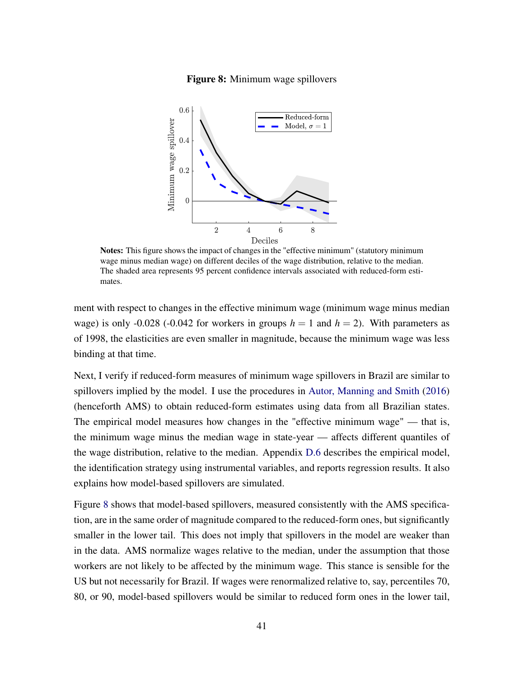### Figure 8: Minimum wage spillovers

<span id="page-41-0"></span>

Notes: This figure shows the impact of changes in the "effective minimum" (statutory minimum wage minus median wage) on different deciles of the wage distribution, relative to the median. The shaded area represents 95 percent confidence intervals associated with reduced-form estimates.

ment with respect to changes in the effective minimum wage (minimum wage minus median wage) is only -0.028 (-0.042 for workers in groups  $h = 1$  and  $h = 2$ ). With parameters as of 1998, the elasticities are even smaller in magnitude, because the minimum wage was less binding at that time.

Next, I verify if reduced-form measures of minimum wage spillovers in Brazil are similar to spillovers implied by the model. I use the procedures in [Autor, Manning and Smith](#page-44-1) [\(2016\)](#page-44-1) (henceforth AMS) to obtain reduced-form estimates using data from all Brazilian states. The empirical model measures how changes in the "effective minimum wage" — that is, the minimum wage minus the median wage in state-year — affects different quantiles of the wage distribution, relative to the median. Appendix [D.6](#page-73-0) describes the empirical model, the identification strategy using instrumental variables, and reports regression results. It also explains how model-based spillovers are simulated.

Figure [8](#page-41-0) shows that model-based spillovers, measured consistently with the AMS specification, are in the same order of magnitude compared to the reduced-form ones, but significantly smaller in the lower tail. This does not imply that spillovers in the model are weaker than in the data. AMS normalize wages relative to the median, under the assumption that those workers are not likely to be affected by the minimum wage. This stance is sensible for the US but not necessarily for Brazil. If wages were renormalized relative to, say, percentiles 70, 80, or 90, model-based spillovers would be similar to reduced form ones in the lower tail,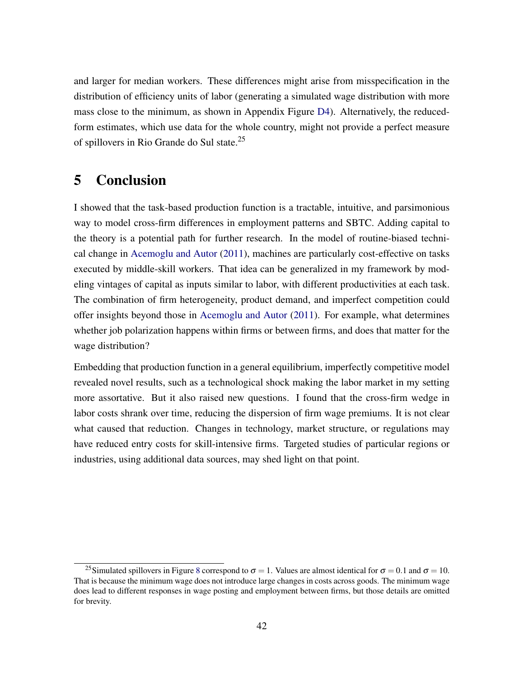and larger for median workers. These differences might arise from misspecification in the distribution of efficiency units of labor (generating a simulated wage distribution with more mass close to the minimum, as shown in Appendix Figure [D4\)](#page-74-0). Alternatively, the reducedform estimates, which use data for the whole country, might not provide a perfect measure of spillovers in Rio Grande do Sul state.<sup>25</sup>

# 5 Conclusion

I showed that the task-based production function is a tractable, intuitive, and parsimonious way to model cross-firm differences in employment patterns and SBTC. Adding capital to the theory is a potential path for further research. In the model of routine-biased technical change in [Acemoglu and Autor](#page-43-0) [\(2011\)](#page-43-0), machines are particularly cost-effective on tasks executed by middle-skill workers. That idea can be generalized in my framework by modeling vintages of capital as inputs similar to labor, with different productivities at each task. The combination of firm heterogeneity, product demand, and imperfect competition could offer insights beyond those in [Acemoglu and Autor](#page-43-0) [\(2011\)](#page-43-0). For example, what determines whether job polarization happens within firms or between firms, and does that matter for the wage distribution?

Embedding that production function in a general equilibrium, imperfectly competitive model revealed novel results, such as a technological shock making the labor market in my setting more assortative. But it also raised new questions. I found that the cross-firm wedge in labor costs shrank over time, reducing the dispersion of firm wage premiums. It is not clear what caused that reduction. Changes in technology, market structure, or regulations may have reduced entry costs for skill-intensive firms. Targeted studies of particular regions or industries, using additional data sources, may shed light on that point.

<sup>&</sup>lt;sup>25</sup>Simulated spillovers in Figure [8](#page-41-0) correspond to  $\sigma = 1$ . Values are almost identical for  $\sigma = 0.1$  and  $\sigma = 10$ . That is because the minimum wage does not introduce large changes in costs across goods. The minimum wage does lead to different responses in wage posting and employment between firms, but those details are omitted for brevity.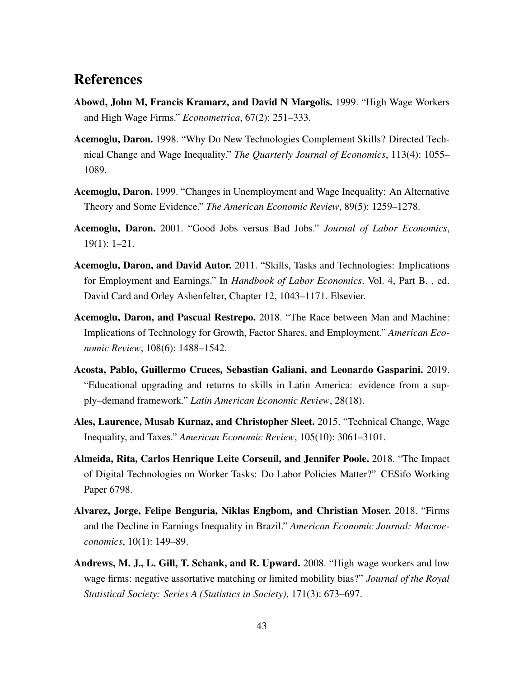# References

- Abowd, John M, Francis Kramarz, and David N Margolis. 1999. "High Wage Workers and High Wage Firms." *Econometrica*, 67(2): 251–333.
- Acemoglu, Daron. 1998. "Why Do New Technologies Complement Skills? Directed Technical Change and Wage Inequality." *The Quarterly Journal of Economics*, 113(4): 1055– 1089.
- Acemoglu, Daron. 1999. "Changes in Unemployment and Wage Inequality: An Alternative Theory and Some Evidence." *The American Economic Review*, 89(5): 1259–1278.
- Acemoglu, Daron. 2001. "Good Jobs versus Bad Jobs." *Journal of Labor Economics*, 19(1): 1–21.
- <span id="page-43-0"></span>Acemoglu, Daron, and David Autor. 2011. "Skills, Tasks and Technologies: Implications for Employment and Earnings." In *Handbook of Labor Economics*. Vol. 4, Part B, , ed. David Card and Orley Ashenfelter, Chapter 12, 1043–1171. Elsevier.
- Acemoglu, Daron, and Pascual Restrepo. 2018. "The Race between Man and Machine: Implications of Technology for Growth, Factor Shares, and Employment." *American Economic Review*, 108(6): 1488–1542.
- Acosta, Pablo, Guillermo Cruces, Sebastian Galiani, and Leonardo Gasparini. 2019. "Educational upgrading and returns to skills in Latin America: evidence from a supply–demand framework." *Latin American Economic Review*, 28(18).
- Ales, Laurence, Musab Kurnaz, and Christopher Sleet. 2015. "Technical Change, Wage Inequality, and Taxes." *American Economic Review*, 105(10): 3061–3101.
- Almeida, Rita, Carlos Henrique Leite Corseuil, and Jennifer Poole. 2018. "The Impact of Digital Technologies on Worker Tasks: Do Labor Policies Matter?" CESifo Working Paper 6798.
- Alvarez, Jorge, Felipe Benguria, Niklas Engbom, and Christian Moser. 2018. "Firms and the Decline in Earnings Inequality in Brazil." *American Economic Journal: Macroeconomics*, 10(1): 149–89.
- Andrews, M. J., L. Gill, T. Schank, and R. Upward. 2008. "High wage workers and low wage firms: negative assortative matching or limited mobility bias?" *Journal of the Royal Statistical Society: Series A (Statistics in Society)*, 171(3): 673–697.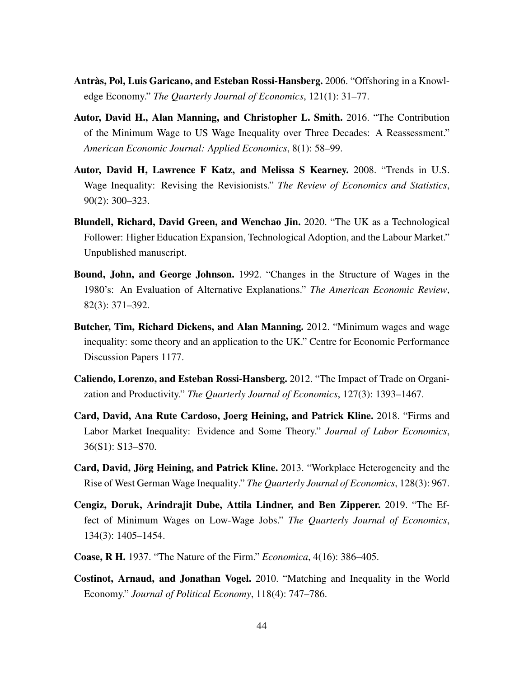- Antràs, Pol, Luis Garicano, and Esteban Rossi-Hansberg. 2006. "Offshoring in a Knowledge Economy." *The Quarterly Journal of Economics*, 121(1): 31–77.
- <span id="page-44-1"></span>Autor, David H., Alan Manning, and Christopher L. Smith. 2016. "The Contribution of the Minimum Wage to US Wage Inequality over Three Decades: A Reassessment." *American Economic Journal: Applied Economics*, 8(1): 58–99.
- Autor, David H, Lawrence F Katz, and Melissa S Kearney. 2008. "Trends in U.S. Wage Inequality: Revising the Revisionists." *The Review of Economics and Statistics*, 90(2): 300–323.
- Blundell, Richard, David Green, and Wenchao Jin. 2020. "The UK as a Technological Follower: Higher Education Expansion, Technological Adoption, and the Labour Market." Unpublished manuscript.
- Bound, John, and George Johnson. 1992. "Changes in the Structure of Wages in the 1980's: An Evaluation of Alternative Explanations." *The American Economic Review*, 82(3): 371–392.
- Butcher, Tim, Richard Dickens, and Alan Manning. 2012. "Minimum wages and wage inequality: some theory and an application to the UK." Centre for Economic Performance Discussion Papers 1177.
- Caliendo, Lorenzo, and Esteban Rossi-Hansberg. 2012. "The Impact of Trade on Organization and Productivity." *The Quarterly Journal of Economics*, 127(3): 1393–1467.
- Card, David, Ana Rute Cardoso, Joerg Heining, and Patrick Kline. 2018. "Firms and Labor Market Inequality: Evidence and Some Theory." *Journal of Labor Economics*, 36(S1): S13–S70.
- Card, David, Jörg Heining, and Patrick Kline. 2013. "Workplace Heterogeneity and the Rise of West German Wage Inequality." *The Quarterly Journal of Economics*, 128(3): 967.
- <span id="page-44-0"></span>Cengiz, Doruk, Arindrajit Dube, Attila Lindner, and Ben Zipperer. 2019. "The Effect of Minimum Wages on Low-Wage Jobs." *The Quarterly Journal of Economics*, 134(3): 1405–1454.
- Coase, R H. 1937. "The Nature of the Firm." *Economica*, 4(16): 386–405.
- <span id="page-44-2"></span>Costinot, Arnaud, and Jonathan Vogel. 2010. "Matching and Inequality in the World Economy." *Journal of Political Economy*, 118(4): 747–786.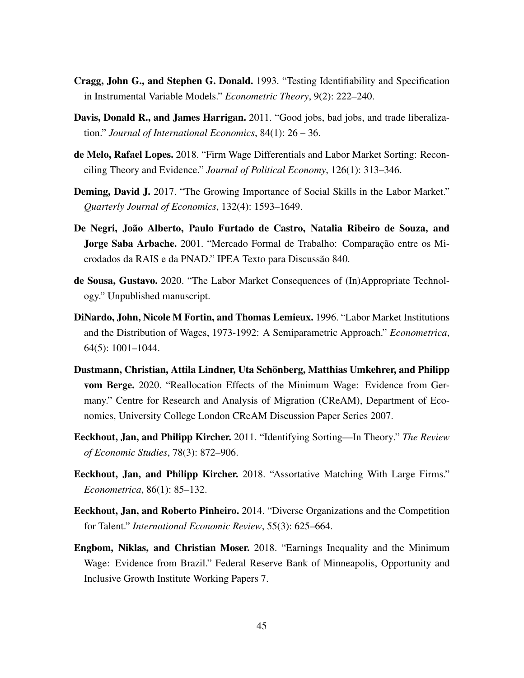- Cragg, John G., and Stephen G. Donald. 1993. "Testing Identifiability and Specification in Instrumental Variable Models." *Econometric Theory*, 9(2): 222–240.
- Davis, Donald R., and James Harrigan. 2011. "Good jobs, bad jobs, and trade liberalization." *Journal of International Economics*, 84(1): 26 – 36.
- de Melo, Rafael Lopes. 2018. "Firm Wage Differentials and Labor Market Sorting: Reconciling Theory and Evidence." *Journal of Political Economy*, 126(1): 313–346.
- <span id="page-45-1"></span>Deming, David J. 2017. "The Growing Importance of Social Skills in the Labor Market." *Quarterly Journal of Economics*, 132(4): 1593–1649.
- <span id="page-45-3"></span>De Negri, João Alberto, Paulo Furtado de Castro, Natalia Ribeiro de Souza, and Jorge Saba Arbache. 2001. "Mercado Formal de Trabalho: Comparação entre os Microdados da RAIS e da PNAD." IPEA Texto para Discussão 840.
- <span id="page-45-0"></span>de Sousa, Gustavo. 2020. "The Labor Market Consequences of (In)Appropriate Technology." Unpublished manuscript.
- DiNardo, John, Nicole M Fortin, and Thomas Lemieux. 1996. "Labor Market Institutions and the Distribution of Wages, 1973-1992: A Semiparametric Approach." *Econometrica*, 64(5): 1001–1044.
- <span id="page-45-2"></span>Dustmann, Christian, Attila Lindner, Uta Schönberg, Matthias Umkehrer, and Philipp vom Berge. 2020. "Reallocation Effects of the Minimum Wage: Evidence from Germany." Centre for Research and Analysis of Migration (CReAM), Department of Economics, University College London CReAM Discussion Paper Series 2007.
- Eeckhout, Jan, and Philipp Kircher. 2011. "Identifying Sorting—In Theory." *The Review of Economic Studies*, 78(3): 872–906.
- Eeckhout, Jan, and Philipp Kircher. 2018. "Assortative Matching With Large Firms." *Econometrica*, 86(1): 85–132.
- Eeckhout, Jan, and Roberto Pinheiro. 2014. "Diverse Organizations and the Competition for Talent." *International Economic Review*, 55(3): 625–664.
- Engbom, Niklas, and Christian Moser. 2018. "Earnings Inequality and the Minimum Wage: Evidence from Brazil." Federal Reserve Bank of Minneapolis, Opportunity and Inclusive Growth Institute Working Papers 7.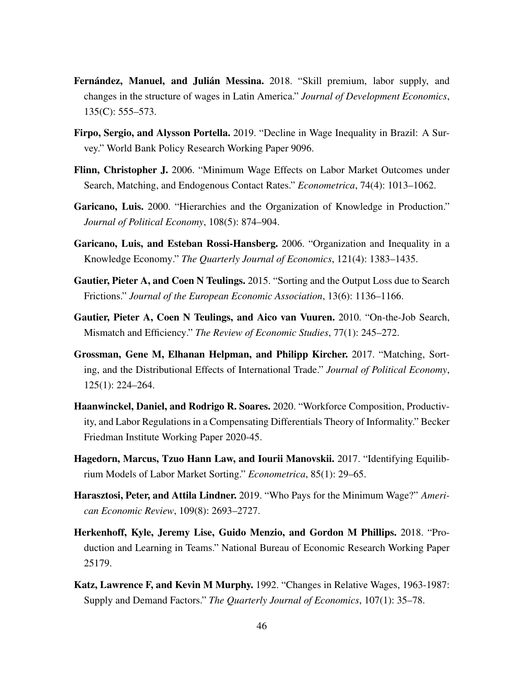- Fernández, Manuel, and Julián Messina. 2018. "Skill premium, labor supply, and changes in the structure of wages in Latin America." *Journal of Development Economics*, 135(C): 555–573.
- <span id="page-46-0"></span>Firpo, Sergio, and Alysson Portella. 2019. "Decline in Wage Inequality in Brazil: A Survey." World Bank Policy Research Working Paper 9096.
- Flinn, Christopher J. 2006. "Minimum Wage Effects on Labor Market Outcomes under Search, Matching, and Endogenous Contact Rates." *Econometrica*, 74(4): 1013–1062.
- Garicano, Luis. 2000. "Hierarchies and the Organization of Knowledge in Production." *Journal of Political Economy*, 108(5): 874–904.
- Garicano, Luis, and Esteban Rossi-Hansberg. 2006. "Organization and Inequality in a Knowledge Economy." *The Quarterly Journal of Economics*, 121(4): 1383–1435.
- Gautier, Pieter A, and Coen N Teulings. 2015. "Sorting and the Output Loss due to Search Frictions." *Journal of the European Economic Association*, 13(6): 1136–1166.
- Gautier, Pieter A, Coen N Teulings, and Aico van Vuuren. 2010. "On-the-Job Search, Mismatch and Efficiency." *The Review of Economic Studies*, 77(1): 245–272.
- Grossman, Gene M, Elhanan Helpman, and Philipp Kircher. 2017. "Matching, Sorting, and the Distributional Effects of International Trade." *Journal of Political Economy*, 125(1): 224–264.
- <span id="page-46-2"></span>Haanwinckel, Daniel, and Rodrigo R. Soares. 2020. "Workforce Composition, Productivity, and Labor Regulations in a Compensating Differentials Theory of Informality." Becker Friedman Institute Working Paper 2020-45.
- Hagedorn, Marcus, Tzuo Hann Law, and Iourii Manovskii. 2017. "Identifying Equilibrium Models of Labor Market Sorting." *Econometrica*, 85(1): 29–65.
- Harasztosi, Peter, and Attila Lindner. 2019. "Who Pays for the Minimum Wage?" *American Economic Review*, 109(8): 2693–2727.
- Herkenhoff, Kyle, Jeremy Lise, Guido Menzio, and Gordon M Phillips. 2018. "Production and Learning in Teams." National Bureau of Economic Research Working Paper 25179.
- <span id="page-46-1"></span>Katz, Lawrence F, and Kevin M Murphy. 1992. "Changes in Relative Wages, 1963-1987: Supply and Demand Factors." *The Quarterly Journal of Economics*, 107(1): 35–78.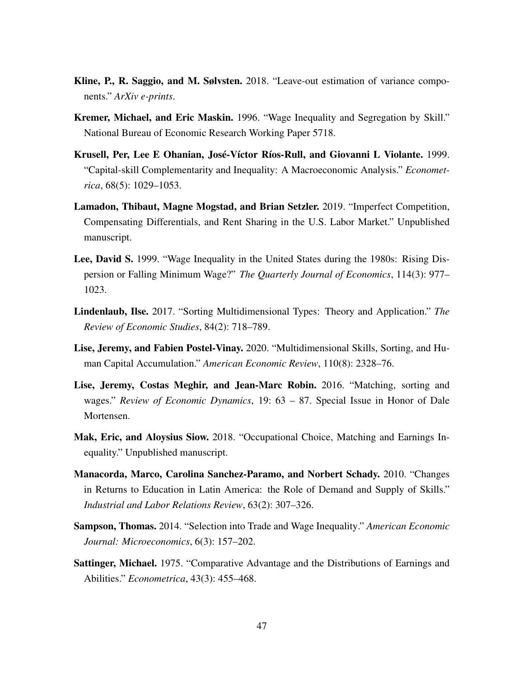- <span id="page-47-0"></span>Kline, P., R. Saggio, and M. Sølvsten. 2018. "Leave-out estimation of variance components." *ArXiv e-prints*.
- Kremer, Michael, and Eric Maskin. 1996. "Wage Inequality and Segregation by Skill." National Bureau of Economic Research Working Paper 5718.
- Krusell, Per, Lee E Ohanian, José-Víctor Ríos-Rull, and Giovanni L Violante. 1999. "Capital-skill Complementarity and Inequality: A Macroeconomic Analysis." *Econometrica*, 68(5): 1029–1053.
- Lamadon, Thibaut, Magne Mogstad, and Brian Setzler. 2019. "Imperfect Competition, Compensating Differentials, and Rent Sharing in the U.S. Labor Market." Unpublished manuscript.
- Lee, David S. 1999. "Wage Inequality in the United States during the 1980s: Rising Dispersion or Falling Minimum Wage?" *The Quarterly Journal of Economics*, 114(3): 977– 1023.
- Lindenlaub, Ilse. 2017. "Sorting Multidimensional Types: Theory and Application." *The Review of Economic Studies*, 84(2): 718–789.
- Lise, Jeremy, and Fabien Postel-Vinay. 2020. "Multidimensional Skills, Sorting, and Human Capital Accumulation." *American Economic Review*, 110(8): 2328–76.
- Lise, Jeremy, Costas Meghir, and Jean-Marc Robin. 2016. "Matching, sorting and wages." *Review of Economic Dynamics*, 19: 63 – 87. Special Issue in Honor of Dale Mortensen.
- Mak, Eric, and Aloysius Siow. 2018. "Occupational Choice, Matching and Earnings Inequality." Unpublished manuscript.
- Manacorda, Marco, Carolina Sanchez-Paramo, and Norbert Schady. 2010. "Changes in Returns to Education in Latin America: the Role of Demand and Supply of Skills." *Industrial and Labor Relations Review*, 63(2): 307–326.
- Sampson, Thomas. 2014. "Selection into Trade and Wage Inequality." *American Economic Journal: Microeconomics*, 6(3): 157–202.
- Sattinger, Michael. 1975. "Comparative Advantage and the Distributions of Earnings and Abilities." *Econometrica*, 43(3): 455–468.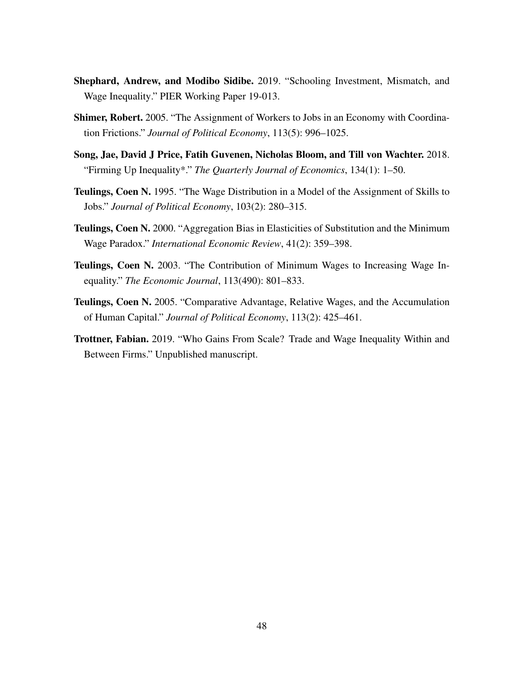- Shephard, Andrew, and Modibo Sidibe. 2019. "Schooling Investment, Mismatch, and Wage Inequality." PIER Working Paper 19-013.
- Shimer, Robert. 2005. "The Assignment of Workers to Jobs in an Economy with Coordination Frictions." *Journal of Political Economy*, 113(5): 996–1025.
- Song, Jae, David J Price, Fatih Guvenen, Nicholas Bloom, and Till von Wachter. 2018. "Firming Up Inequality\*." *The Quarterly Journal of Economics*, 134(1): 1–50.
- Teulings, Coen N. 1995. "The Wage Distribution in a Model of the Assignment of Skills to Jobs." *Journal of Political Economy*, 103(2): 280–315.
- Teulings, Coen N. 2000. "Aggregation Bias in Elasticities of Substitution and the Minimum Wage Paradox." *International Economic Review*, 41(2): 359–398.
- Teulings, Coen N. 2003. "The Contribution of Minimum Wages to Increasing Wage Inequality." *The Economic Journal*, 113(490): 801–833.
- Teulings, Coen N. 2005. "Comparative Advantage, Relative Wages, and the Accumulation of Human Capital." *Journal of Political Economy*, 113(2): 425–461.
- Trottner, Fabian. 2019. "Who Gains From Scale? Trade and Wage Inequality Within and Between Firms." Unpublished manuscript.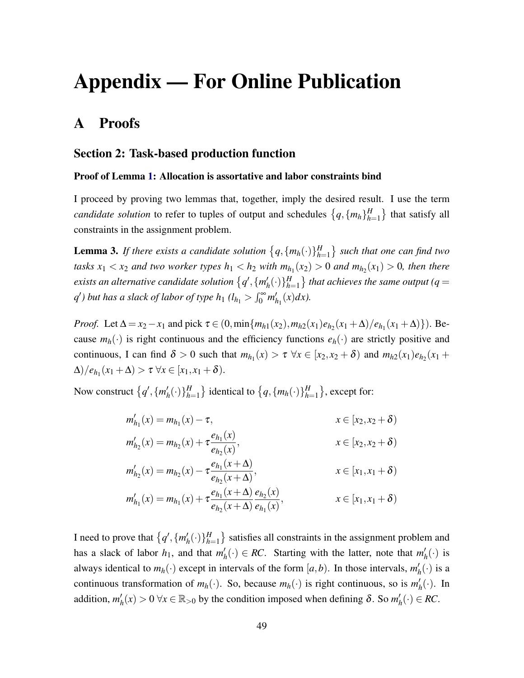# Appendix — For Online Publication

# A Proofs

### Section 2: Task-based production function

#### Proof of Lemma [1:](#page-8-0) Allocation is assortative and labor constraints bind

I proceed by proving two lemmas that, together, imply the desired result. I use the term *candidate solution* to refer to tuples of output and schedules  $\{q, \{m_h\}_{h=1}^H\}$  $\binom{H}{h=1}$  that satisfy all constraints in the assignment problem.

<span id="page-49-0"></span>**Lemma 3.** If there exists a candidate solution  $\{q, \{m_h(\cdot)\}\}_{h=1}^H$ *h*=1 *such that one can find two tasks*  $x_1 < x_2$  *and two worker types*  $h_1 < h_2$  *with*  $m_{h_1}(x_2) > 0$  *and*  $m_{h_2}(x_1) > 0$ *, then there* exists an alternative candidate solution  $\{q',\{m'_l\}$  $h'_h(\cdot)\}_{h=1}^H$  $H \choose h=1}$  that achieves the same output (q  $=$  $q'$ ) but has a slack of labor of type  $h_1$  (l $_{h_1} > \int_0^\infty m'_h$  $n_1(x)dx$ ).

*Proof.* Let  $\Delta = x_2 - x_1$  and pick  $\tau \in (0, \min\{m_{h1}(x_2), m_{h2}(x_1)e_{h2}(x_1 + \Delta)/e_{h1}(x_1 + \Delta)\})$ . Because  $m_h(\cdot)$  is right continuous and the efficiency functions  $e_h(\cdot)$  are strictly positive and continuous, I can find  $\delta > 0$  such that  $m_{h_1}(x) > \tau \ \forall x \in [x_2, x_2 + \delta)$  and  $m_{h_2}(x_1)e_{h_2}(x_1 +$  $\Delta$ )/ $e_{h_1}(x_1 + \Delta) > \tau \ \forall x \in [x_1, x_1 + \delta).$ 

Now construct  $\{q', \{m'_l\}$  $h'_h(\cdot)\}_{h=1}^H$  $\{H_{h=1}^H\}$  identical to  $\{q, \{m_h(\cdot)\}\}_{h=1}^H$  $_{h=1}^H$ }, except for:

$$
m'_{h_1}(x) = m_{h_1}(x) - \tau,
$$
  
\n
$$
m'_{h_2}(x) = m_{h_2}(x) + \tau \frac{e_{h_1}(x)}{e_{h_2}(x)},
$$
  
\n
$$
m'_{h_2}(x) = m_{h_2}(x) - \tau \frac{e_{h_1}(x+\Delta)}{e_{h_2}(x+\Delta)},
$$
  
\n
$$
m'_{h_1}(x) = m_{h_1}(x) + \tau \frac{e_{h_1}(x+\Delta)}{e_{h_2}(x+\Delta)} \frac{e_{h_2}(x)}{e_{h_1}(x)},
$$
  
\n
$$
x \in [x_1, x_1 + \delta)
$$
  
\n
$$
x \in [x_1, x_1 + \delta)
$$

I need to prove that  $\{q', \{m'_p\}$  $h'_h(\cdot)\}_{h=1}^H$  $\binom{H}{h=1}$  satisfies all constraints in the assignment problem and has a slack of labor  $h_1$ , and that  $m'_1$  $h'_h(\cdot) \in RC$ . Starting with the latter, note that  $m'_h$  $'_{h}(\cdot)$  is always identical to  $m_h(\cdot)$  except in intervals of the form  $[a,b)$ . In those intervals,  $m'_h$  $'_{h}(\cdot)$  is a continuous transformation of  $m_h(\cdot)$ . So, because  $m_h(\cdot)$  is right continuous, so is  $m'_h$  $h(n)$ . In addition,  $m'_l$  $h'_h(x) > 0 \,\forall x \in \mathbb{R}_{>0}$  by the condition imposed when defining  $\delta$ . So  $m'_h$  $h'_h(\cdot) \in RC.$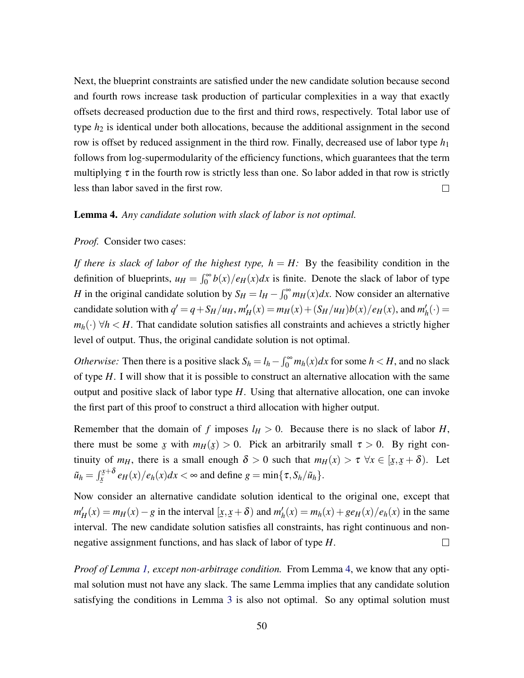Next, the blueprint constraints are satisfied under the new candidate solution because second and fourth rows increase task production of particular complexities in a way that exactly offsets decreased production due to the first and third rows, respectively. Total labor use of type  $h_2$  is identical under both allocations, because the additional assignment in the second row is offset by reduced assignment in the third row. Finally, decreased use of labor type *h*<sup>1</sup> follows from log-supermodularity of the efficiency functions, which guarantees that the term multiplying  $\tau$  in the fourth row is strictly less than one. So labor added in that row is strictly less than labor saved in the first row.  $\Box$ 

#### <span id="page-50-0"></span>Lemma 4. *Any candidate solution with slack of labor is not optimal.*

#### *Proof.* Consider two cases:

*If there is slack of labor of the highest type,*  $h = H$ *:* By the feasibility condition in the definition of blueprints,  $u_H = \int_0^\infty b(x)/e_H(x)dx$  is finite. Denote the slack of labor of type *H* in the original candidate solution by  $S_H = l_H - \int_0^\infty m_H(x) dx$ . Now consider an alternative candidate solution with  $q' = q + S_H/u_H$ ,  $m'_H(x) = m_H(x) + (S_H/u_H)b(x)/e_H(x)$ , and  $m'_H$  $'_{h}(\cdot) =$  $m_h(\cdot)$   $\forall h \lt H$ . That candidate solution satisfies all constraints and achieves a strictly higher level of output. Thus, the original candidate solution is not optimal.

*Otherwise:* Then there is a positive slack  $S_h = l_h - \int_0^\infty m_h(x) dx$  for some  $h < H$ , and no slack of type *H*. I will show that it is possible to construct an alternative allocation with the same output and positive slack of labor type *H*. Using that alternative allocation, one can invoke the first part of this proof to construct a third allocation with higher output.

Remember that the domain of *f* imposes  $l_H > 0$ . Because there is no slack of labor *H*, there must be some x with  $m_H(x) > 0$ . Pick an arbitrarily small  $\tau > 0$ . By right con-¯ ¯ tinuity of  $m_H$ , there is a small enough  $\delta > 0$  such that  $m_H(x) > \tau \ \forall x \in [\underline{x}]$ *x*,  $(\underline{x} + \delta)$ . Let  $\tilde{u}_h = \int_{\tilde{x}}^{\tilde{x}+\delta}$ ¯  $\frac{x+6}{x}$  *e*<sub>*H*</sub>(*x*)/*e*<sub>*h*</sub>(*x*)*dx* < ∞ and define *g* = min{ $\tau$ *, S<sub><i>h*</sub>/ $\tilde{u}_h$ }.

Now consider an alternative candidate solution identical to the original one, except that  $m_H'(x) = m_H(x) - g$  in the interval [*x*, *x* + δ) and  $m_H'(x)$  $h'_h(x) = m_h(x) + ge_H(x)/e_h(x)$  in the same  $\Xi$ interval. The new candidate solution satisfies all constraints, has right continuous and nonnegative assignment functions, and has slack of labor of type *H*.  $\Box$ 

*Proof of Lemma [1,](#page-8-0) except non-arbitrage condition.* From Lemma [4,](#page-50-0) we know that any optimal solution must not have any slack. The same Lemma implies that any candidate solution satisfying the conditions in Lemma [3](#page-49-0) is also not optimal. So any optimal solution must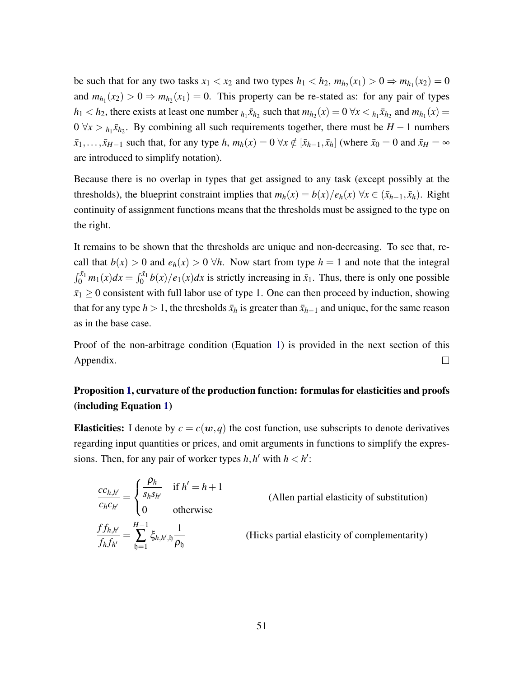be such that for any two tasks  $x_1 < x_2$  and two types  $h_1 < h_2$ ,  $m_{h_2}(x_1) > 0 \Rightarrow m_{h_1}(x_2) = 0$ and  $m_{h_1}(x_2) > 0 \Rightarrow m_{h_2}(x_1) = 0$ . This property can be re-stated as: for any pair of types  $h_1 < h_2$ , there exists at least one number  $h_1 \bar{x}_{h_2}$  such that  $m_{h_2}(x) = 0 \ \forall x < h_1 \bar{x}_{h_2}$  and  $m_{h_1}(x) = 0$  $0 \forall x > h_1 \bar{x}_{h_2}$ . By combining all such requirements together, there must be  $H - 1$  numbers  $\bar{x}_1,\ldots,\bar{x}_{H-1}$  such that, for any type *h*,  $m_h(x) = 0 \ \forall x \notin [\bar{x}_{h-1}, \bar{x}_h]$  (where  $\bar{x}_0 = 0$  and  $\bar{x}_H = \infty$ are introduced to simplify notation).

Because there is no overlap in types that get assigned to any task (except possibly at the thresholds), the blueprint constraint implies that  $m_h(x) = b(x)/e_h(x)$   $\forall x \in (\bar{x}_{h-1}, \bar{x}_h)$ . Right continuity of assignment functions means that the thresholds must be assigned to the type on the right.

It remains to be shown that the thresholds are unique and non-decreasing. To see that, recall that  $b(x) > 0$  and  $e_h(x) > 0$   $\forall h$ . Now start from type  $h = 1$  and note that the integral  $\int_0^{\bar{x}_1} m_1(x) dx = \int_0^{\bar{x}_1} b(x)/e_1(x) dx$  is strictly increasing in  $\bar{x}_1$ . Thus, there is only one possible  $\bar{x}_1 \geq 0$  consistent with full labor use of type 1. One can then proceed by induction, showing that for any type *h* > 1, the thresholds  $\bar{x}_h$  is greater than  $\bar{x}_{h-1}$  and unique, for the same reason as in the base case.

Proof of the non-arbitrage condition (Equation [1\)](#page-8-1) is provided in the next section of this Appendix.  $\Box$ 

# Proposition [1,](#page-11-0) curvature of the production function: formulas for elasticities and proofs (including Equation [1\)](#page-8-1)

**Elasticities:** I denote by  $c = c(w, q)$  the cost function, use subscripts to denote derivatives regarding input quantities or prices, and omit arguments in functions to simplify the expressions. Then, for any pair of worker types  $h, h'$  with  $h < h'$ :

$$
\frac{cc_{h,h'}}{c_h c_{h'}} = \begin{cases}\n\frac{\rho_h}{s_h s_{h'}} & \text{if } h' = h + 1 \\
0 & \text{otherwise}\n\end{cases}
$$
\n(Allen partial elasticity of substitution)\n  
\n
$$
\frac{f f_{h,h'}}{f_h f_{h'}} = \sum_{h=1}^{H-1} \xi_{h,h',h} \frac{1}{\rho_h}
$$
\n(Hicks partial elasticity of complementary)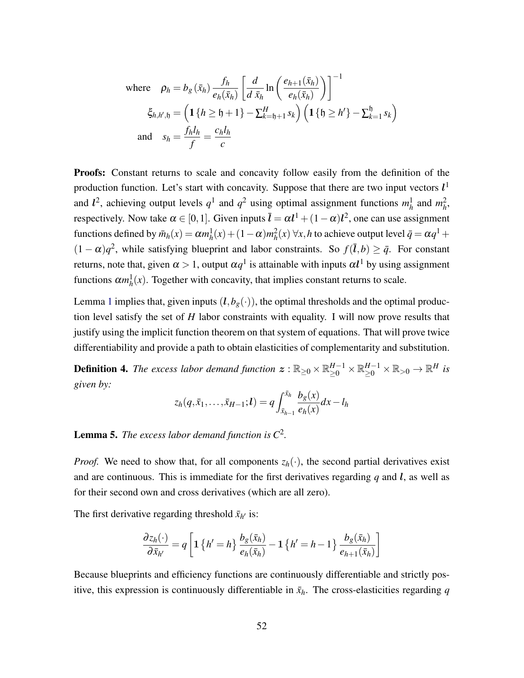where 
$$
\rho_h = b_g(\bar{x}_h) \frac{f_h}{e_h(\bar{x}_h)} \left[ \frac{d}{d \bar{x}_h} \ln \left( \frac{e_{h+1}(\bar{x}_h)}{e_h(\bar{x}_h)} \right) \right]^{-1}
$$
  
\n
$$
\xi_{h,h',\mathfrak{h}} = \left( \mathbf{1} \{ h \geq \mathfrak{h} + 1 \} - \sum_{k=\mathfrak{h}+1}^H s_k \right) \left( \mathbf{1} \{ \mathfrak{h} \geq h' \} - \sum_{k=1}^{\mathfrak{h}} s_k \right)
$$
\nand 
$$
s_h = \frac{f_h l_h}{f} = \frac{c_h l_h}{c}
$$

Proofs: Constant returns to scale and concavity follow easily from the definition of the production function. Let's start with concavity. Suppose that there are two input vectors  $l<sup>1</sup>$ and  $l^2$ , achieving output levels  $q^1$  and  $q^2$  using optimal assignment functions  $m_h^1$  and  $m_h^2$ , respectively. Now take  $\alpha \in [0,1]$ . Given inputs  $\bar{l} = \alpha l^1 + (1 - \alpha)l^2$ , one can use assignment functions defined by  $\bar{m}_h(x) = \alpha m_h^1(x) + (1 - \alpha) m_h^2(x)$   $\forall x, h$  to achieve output level  $\bar{q} = \alpha q^1 +$  $(1 - \alpha)q^2$ , while satisfying blueprint and labor constraints. So  $f(\bar{l}, b) \ge \bar{q}$ . For constant returns, note that, given  $\alpha > 1$ , output  $\alpha q^1$  is attainable with inputs  $\alpha l^1$  by using assignment functions  $\alpha m_h^1(x)$ . Together with concavity, that implies constant returns to scale.

Lemma [1](#page-8-0) implies that, given inputs  $(l, b_g(\cdot))$ , the optimal thresholds and the optimal production level satisfy the set of *H* labor constraints with equality. I will now prove results that justify using the implicit function theorem on that system of equations. That will prove twice differentiability and provide a path to obtain elasticities of complementarity and substitution.

**Definition 4.** The excess labor demand function  $\boldsymbol{z}: \mathbb{R}_{\geq 0} \times \mathbb{R}_{\geq 0}^{H-1} \times \mathbb{R}_{\geq 0}^{H-1} \times \mathbb{R}_{> 0} \to \mathbb{R}^H$  is *given by:*

$$
z_h(q,\bar{x}_1,\ldots,\bar{x}_{H-1};\bm{l})=q\int_{\bar{x}_{h-1}}^{\bar{x}_h}\frac{b_g(x)}{e_h(x)}dx-l_h
$$

## <span id="page-52-0"></span>Lemma 5. *The excess labor demand function is C*<sup>2</sup> *.*

*Proof.* We need to show that, for all components  $z_h(\cdot)$ , the second partial derivatives exist and are continuous. This is immediate for the first derivatives regarding  $q$  and  $\ell$ , as well as for their second own and cross derivatives (which are all zero).

The first derivative regarding threshold  $\bar{x}_{h'}$  is:

$$
\frac{\partial z_h(\cdot)}{\partial \bar{x}_{h'}} = q \left[ \mathbf{1} \left\{ h' = h \right\} \frac{b_g(\bar{x}_h)}{e_h(\bar{x}_h)} - \mathbf{1} \left\{ h' = h - 1 \right\} \frac{b_g(\bar{x}_h)}{e_{h+1}(\bar{x}_h)} \right]
$$

Because blueprints and efficiency functions are continuously differentiable and strictly positive, this expression is continuously differentiable in  $\bar{x}_h$ . The cross-elasticities regarding *q*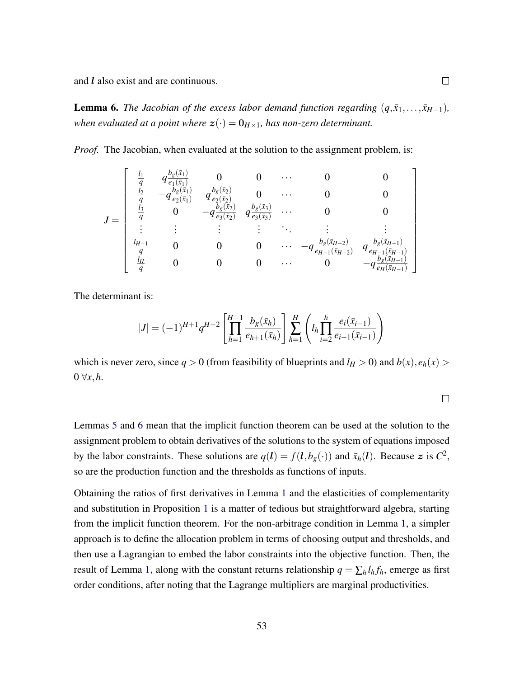and l also exist and are continuous.

<span id="page-53-0"></span>**Lemma 6.** *The Jacobian of the excess labor demand function regarding*  $(q, \bar{x}_1, \ldots, \bar{x}_{H-1})$ *, when evaluated at a point where*  $z(\cdot) = 0_{H \times 1}$ *, has non-zero determinant.* 

*Proof.* The Jacobian, when evaluated at the solution to the assignment problem, is:

$$
J = \begin{bmatrix} \frac{l_1}{q} & q\frac{b_g(\bar{x}_1)}{e_1(\bar{x}_1)} & 0 & 0 & \cdots & 0 & 0\\ \frac{l_2}{q} & -q\frac{b_g(\bar{x}_1)}{e_2(\bar{x}_1)} & q\frac{b_g(\bar{x}_2)}{e_2(\bar{x}_2)} & 0 & \cdots & 0 & 0\\ \frac{l_3}{q} & 0 & -q\frac{b_g(\bar{x}_2)}{e_3(\bar{x}_2)} & q\frac{b_g(\bar{x}_3)}{e_3(\bar{x}_3)} & \cdots & 0 & 0\\ \vdots & \vdots & \vdots & \vdots & \ddots & \vdots & \vdots\\ \frac{l_{H-1}}{q} & 0 & 0 & 0 & \cdots & -q\frac{b_g(\bar{x}_{H-2})}{e_{H-1}(\bar{x}_{H-2})} & q\frac{b_g(\bar{x}_{H-1})}{e_{H-1}(\bar{x}_{H-1})}\\ \frac{l_H}{q} & 0 & 0 & 0 & \cdots & 0 & -q\frac{b_g(\bar{x}_{H-1})}{e_H(\bar{x}_{H-1})}\end{bmatrix}
$$

The determinant is:

$$
|J| = (-1)^{H+1} q^{H-2} \left[ \prod_{h=1}^{H-1} \frac{b_g(\bar{x}_h)}{e_{h+1}(\bar{x}_h)} \right] \sum_{h=1}^H \left( l_h \prod_{i=2}^h \frac{e_i(\bar{x}_{i-1})}{e_{i-1}(\bar{x}_{i-1})} \right)
$$

which is never zero, since  $q > 0$  (from feasibility of blueprints and  $l_H > 0$ ) and  $b(x)$ ,  $e_h(x) >$  $0 \forall x, h$ .

|  |  | ۰ |  |
|--|--|---|--|
|  |  |   |  |
|  |  |   |  |
|  |  |   |  |
|  |  |   |  |

Lemmas [5](#page-52-0) and [6](#page-53-0) mean that the implicit function theorem can be used at the solution to the assignment problem to obtain derivatives of the solutions to the system of equations imposed by the labor constraints. These solutions are  $q(l) = f(l, b_g(\cdot))$  and  $\bar{x}_h(l)$ . Because z is  $C^2$ , so are the production function and the thresholds as functions of inputs.

Obtaining the ratios of first derivatives in Lemma [1](#page-8-0) and the elasticities of complementarity and substitution in Proposition [1](#page-11-0) is a matter of tedious but straightforward algebra, starting from the implicit function theorem. For the non-arbitrage condition in Lemma [1,](#page-8-0) a simpler approach is to define the allocation problem in terms of choosing output and thresholds, and then use a Lagrangian to embed the labor constraints into the objective function. Then, the result of Lemma [1,](#page-8-1) along with the constant returns relationship  $q = \sum_h l_h f_h$ , emerge as first order conditions, after noting that the Lagrange multipliers are marginal productivities.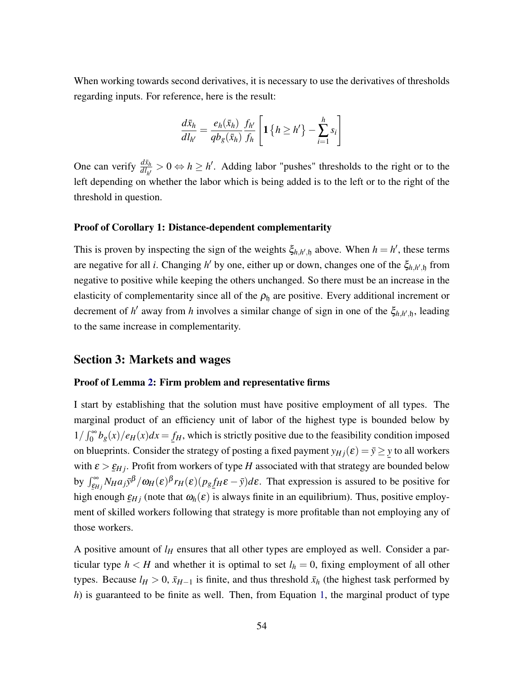When working towards second derivatives, it is necessary to use the derivatives of thresholds regarding inputs. For reference, here is the result:

$$
\frac{d\bar{x}_h}{d l_{h'}} = \frac{e_h(\bar{x}_h)}{q b_g(\bar{x}_h)} \frac{f_{h'}}{f_h} \left[ \mathbf{1} \left\{ h \ge h' \right\} - \sum_{i=1}^h s_i \right]
$$

One can verify  $\frac{d\bar{x}_h}{dI_{h'}} > 0 \Leftrightarrow h \ge h'$ . Adding labor "pushes" thresholds to the right or to the left depending on whether the labor which is being added is to the left or to the right of the threshold in question.

### Proof of Corollary 1: Distance-dependent complementarity

This is proven by inspecting the sign of the weights  $\xi_{h,h',h}$  above. When  $h = h'$ , these terms are negative for all *i*. Changing *h'* by one, either up or down, changes one of the  $\xi_{h,h',\mathfrak{h}}$  from negative to positive while keeping the others unchanged. So there must be an increase in the elasticity of complementarity since all of the  $\rho_h$  are positive. Every additional increment or decrement of *h'* away from *h* involves a similar change of sign in one of the  $\xi_{h,h',h}$ , leading to the same increase in complementarity.

### Section 3: Markets and wages

#### Proof of Lemma [2:](#page-17-0) Firm problem and representative firms

I start by establishing that the solution must have positive employment of all types. The marginal product of an efficiency unit of labor of the highest type is bounded below by  $1/\int_0^\infty b_g(x)/e_H(x)dx = f_H$ , which is strictly positive due to the feasibility condition imposed on blueprints. Consider the strategy of posting a fixed payment  $y_{Hj}(\varepsilon) = \overline{y} \geq y$  to all workers with  $\varepsilon > \underline{\varepsilon}_{Hj}$ . Profit from workers of type *H* associated with that strategy are bounded below by  $\int_{\xi_{Hj}}^{\infty} N_H a_j \bar{y}^{\beta} / \omega_H(\varepsilon)^{\beta} r_H(\varepsilon) (p_g f_H \varepsilon - \bar{y}) d\varepsilon$ . That expression is assured to be positive for high enough  $\varepsilon_{Hj}$  (note that  $\omega_h(\varepsilon)$  is always finite in an equilibrium). Thus, positive employ-¯ ment of skilled workers following that strategy is more profitable than not employing any of those workers.

A positive amount of  $l_H$  ensures that all other types are employed as well. Consider a particular type  $h < H$  and whether it is optimal to set  $l_h = 0$ , fixing employment of all other types. Because  $l_H > 0$ ,  $\bar{x}_{H-1}$  is finite, and thus threshold  $\bar{x}_h$  (the highest task performed by *h*) is guaranteed to be finite as well. Then, from Equation [1,](#page-8-1) the marginal product of type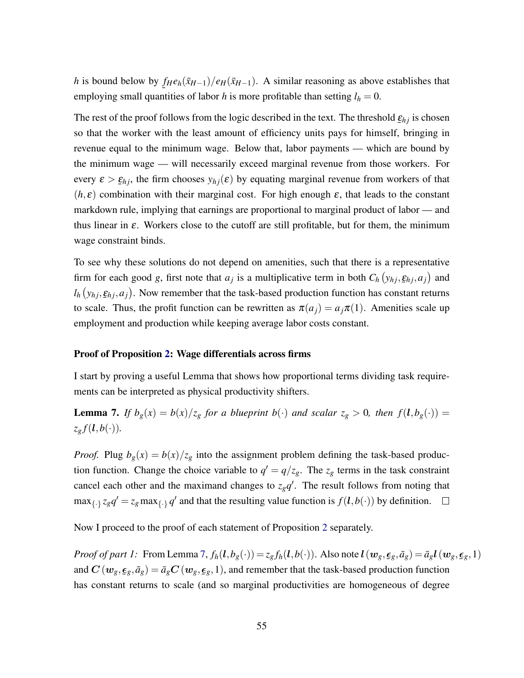*h* is bound below by  $f_H e_h(\bar{x}_{H-1})/e_H(\bar{x}_{H-1})$ . A similar reasoning as above establishes that employing small quantities of labor *h* is more profitable than setting  $l_h = 0$ .

The rest of the proof follows from the logic described in the text. The threshold  $\underline{\varepsilon}_{hj}$  is chosen ¯ so that the worker with the least amount of efficiency units pays for himself, bringing in revenue equal to the minimum wage. Below that, labor payments — which are bound by the minimum wage — will necessarily exceed marginal revenue from those workers. For every  $\varepsilon > \varepsilon_{hj}$ , the firm chooses  $y_{hj}(\varepsilon)$  by equating marginal revenue from workers of that  $(h, \varepsilon)$  combination with their marginal cost. For high enough  $\varepsilon$ , that leads to the constant markdown rule, implying that earnings are proportional to marginal product of labor — and thus linear in  $\varepsilon$ . Workers close to the cutoff are still profitable, but for them, the minimum wage constraint binds.

To see why these solutions do not depend on amenities, such that there is a representative firm for each good *g*, first note that  $a_j$  is a multiplicative term in both  $C_h(y_{hj}, \underline{\varepsilon}_{hj}, a_j)$  and ¯  $l_h(y_{hj}, \underline{\epsilon}_{hj}, a_j)$ . Now remember that the task-based production function has constant returns ¯ to scale. Thus, the profit function can be rewritten as  $\pi(a_j) = a_j \pi(1)$ . Amenities scale up employment and production while keeping average labor costs constant.

### Proof of Proposition [2:](#page-0-0) Wage differentials across firms

I start by proving a useful Lemma that shows how proportional terms dividing task requirements can be interpreted as physical productivity shifters.

<span id="page-55-0"></span>**Lemma 7.** *If*  $b_g(x) = b(x)/z_g$  *for a blueprint*  $b(\cdot)$  *and scalar*  $z_g > 0$ *, then*  $f(l, b_g(\cdot)) =$  $z_g f(\boldsymbol{l}, b(\cdot))$ .

*Proof.* Plug  $b_g(x) = b(x)/z_g$  into the assignment problem defining the task-based production function. Change the choice variable to  $q' = q/z_g$ . The  $z_g$  terms in the task constraint cancel each other and the maximand changes to  $z_g q'$ . The result follows from noting that  $\max_{\{\cdot\}} z_g q' = z_g \max_{\{\cdot\}} q'$  and that the resulting value function is  $f(l, b(\cdot))$  by definition.  $\Box$ 

Now I proceed to the proof of each statement of Proposition [2](#page-0-0) separately.

*Proof of part 1:* From Lemma [7,](#page-55-0)  $f_h(l, b_g(\cdot)) = z_g f_h(l, b(\cdot))$ . Also note  $l(w_g, \epsilon_g, \bar{a}_g) = \bar{a}_g l(w_g, \epsilon_g, 1)$ and  $C(w_g,\epsilon_g,\bar{a}_g)=\bar{a}_gC(w_g,\epsilon_g,1)$ , and remember that the task-based production function  $\frac{1}{2}$   $\frac{1}{2}$   $\frac{1}{2}$   $\frac{1}{2}$   $\frac{1}{2}$ has constant returns to scale (and so marginal productivities are homogeneous of degree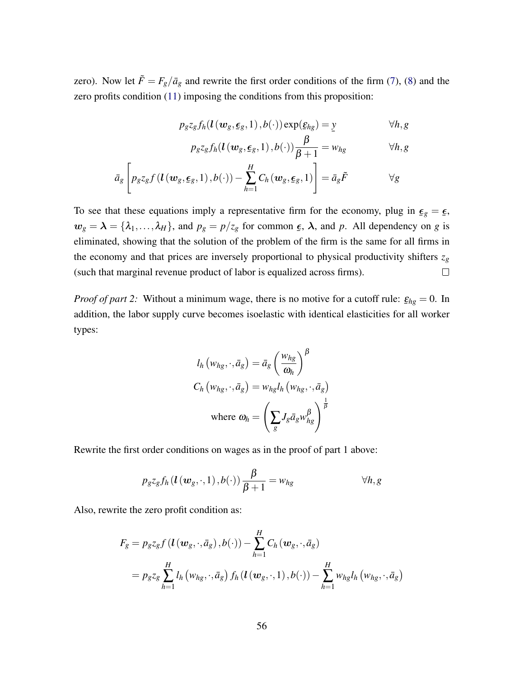zero). Now let  $\tilde{F} = F_g/\bar{a}_g$  and rewrite the first order conditions of the firm [\(7\)](#page-17-1), [\(8\)](#page-17-0) and the zero profits condition [\(11\)](#page-19-0) imposing the conditions from this proposition:

$$
p_g z_g f_h(\mathbf{U}(\boldsymbol{w}_g, \boldsymbol{\underline{\epsilon}}_g, 1), b(\cdot)) \exp(\boldsymbol{\underline{\epsilon}}_{hg}) = \underline{y} \qquad \forall h, g
$$

$$
p_{g}z_{g}f_{h}(l(w_{g}, \underline{\epsilon}_{g}, 1), b(\cdot))\frac{\beta}{\beta+1} = w_{hg} \qquad \forall h, g
$$

$$
\bar{a}_g \left[ p_g z_g f\left(\mathbf{l}\left(\mathbf{w}_g, \boldsymbol{\epsilon}_g, 1\right), b(\cdot)\right) - \sum_{h=1}^H C_h \left(\mathbf{w}_g, \boldsymbol{\epsilon}_g, 1\right) \right] = \bar{a}_g \tilde{F} \qquad \forall g
$$

To see that these equations imply a representative firm for the economy, plug in  $\epsilon_g = \epsilon$ ,  $\stackrel{\simeq}{\cdot}$   $\stackrel{\simeq}{\cdot}$  $w_g = \lambda = {\lambda_1, ..., \lambda_H}$ , and  $p_g = p/z_g$  for common  $\epsilon$  $\epsilon$ ,  $\lambda$ , and *p*. All dependency on *g* is eliminated, showing that the solution of the problem of the firm is the same for all firms in the economy and that prices are inversely proportional to physical productivity shifters  $z_g$ (such that marginal revenue product of labor is equalized across firms).  $\Box$ 

*Proof of part 2:* Without a minimum wage, there is no motive for a cutoff rule:  $\underline{\varepsilon}_{hg} = 0.$  In addition, the labor supply curve becomes isoelastic with identical elasticities for all worker types:

$$
l_h(w_{hg}, \cdot, \bar{a}_g) = \bar{a}_g \left(\frac{w_{hg}}{\omega_h}\right)^{\beta}
$$
  

$$
C_h(w_{hg}, \cdot, \bar{a}_g) = w_{hg} l_h(w_{hg}, \cdot, \bar{a}_g)
$$
  
where 
$$
\omega_h = \left(\sum_g J_g \bar{a}_g w_{hg}^{\beta}\right)^{\frac{1}{\beta}}
$$

Rewrite the first order conditions on wages as in the proof of part 1 above:

$$
p_{g}z_{g}f_{h}(l(w_{g},\cdot,1),b(\cdot))\frac{\beta}{\beta+1}=w_{hg} \qquad \forall h,g
$$

Also, rewrite the zero profit condition as:

 $\mathbf{r}$ 

$$
F_g = p_g z_g f\left(\mathbf{l}\left(\mathbf{w}_g, \cdot, \bar{a}_g\right), b(\cdot)\right) - \sum_{h=1}^H C_h(\mathbf{w}_g, \cdot, \bar{a}_g)
$$
  
=  $p_g z_g \sum_{h=1}^H l_h \left(w_{hg}, \cdot, \bar{a}_g\right) f_h\left(\mathbf{l}\left(\mathbf{w}_g, \cdot, 1\right), b(\cdot)\right) - \sum_{h=1}^H w_{hg} l_h \left(w_{hg}, \cdot, \bar{a}_g\right)$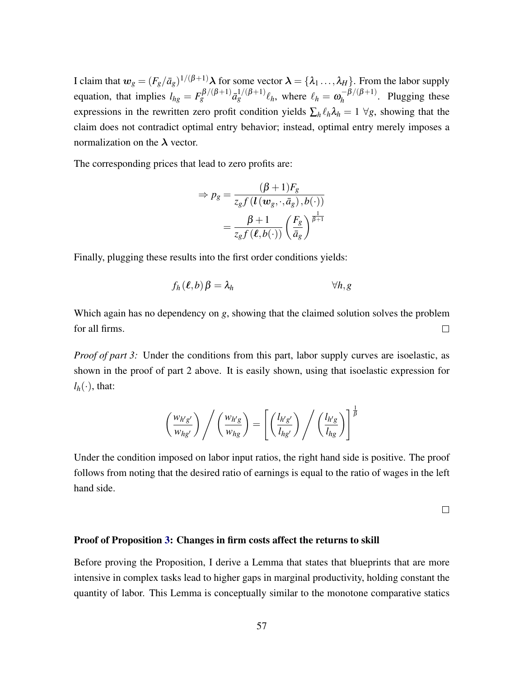I claim that  $w_g = (F_g/\bar{a}_g)^{1/(\beta+1)} \lambda$  for some vector  $\lambda = \{\lambda_1, ..., \lambda_H\}$ . From the labor supply equation, that implies  $l_{hg} = F_g^{\beta/(\beta+1)} \bar{a}_g^{1/(\beta+1)} \ell_h$ , where  $\ell_h = \omega_h^{-\beta/(\beta+1)}$  $h_h^{-p/(p+1)}$ . Plugging these expressions in the rewritten zero profit condition yields  $\sum_{h} \ell_{h} \lambda_{h} = 1 \ \forall g$ , showing that the claim does not contradict optimal entry behavior; instead, optimal entry merely imposes a normalization on the  $\lambda$  vector.

The corresponding prices that lead to zero profits are:

$$
\Rightarrow p_g = \frac{(\beta + 1)F_g}{z_g f(l(\mathbf{w}_g, \cdot, \bar{a}_g), b(\cdot))}
$$

$$
= \frac{\beta + 1}{z_g f(\ell, b(\cdot))} \left(\frac{F_g}{\bar{a}_g}\right)^{\frac{1}{\beta + 1}}
$$

Finally, plugging these results into the first order conditions yields:

$$
f_h(\ell, b) \beta = \lambda_h \qquad \qquad \forall h, g
$$

Which again has no dependency on *g*, showing that the claimed solution solves the problem for all firms.  $\Box$ 

*Proof of part 3:* Under the conditions from this part, labor supply curves are isoelastic, as shown in the proof of part 2 above. It is easily shown, using that isoelastic expression for  $l_h(\cdot)$ , that:

$$
\left(\frac{w_{h'g'}}{w_{hg'}}\right) \Bigg/ \left(\frac{w_{h'g}}{w_{hg}}\right) = \left[ \left(\frac{l_{h'g'}}{l_{hg'}}\right) \Bigg/ \left(\frac{l_{h'g}}{l_{hg}}\right) \right]^{\frac{1}{\beta}}
$$

Under the condition imposed on labor input ratios, the right hand side is positive. The proof follows from noting that the desired ratio of earnings is equal to the ratio of wages in the left hand side.

 $\Box$ 

#### Proof of Proposition [3:](#page-22-0) Changes in firm costs affect the returns to skill

Before proving the Proposition, I derive a Lemma that states that blueprints that are more intensive in complex tasks lead to higher gaps in marginal productivity, holding constant the quantity of labor. This Lemma is conceptually similar to the monotone comparative statics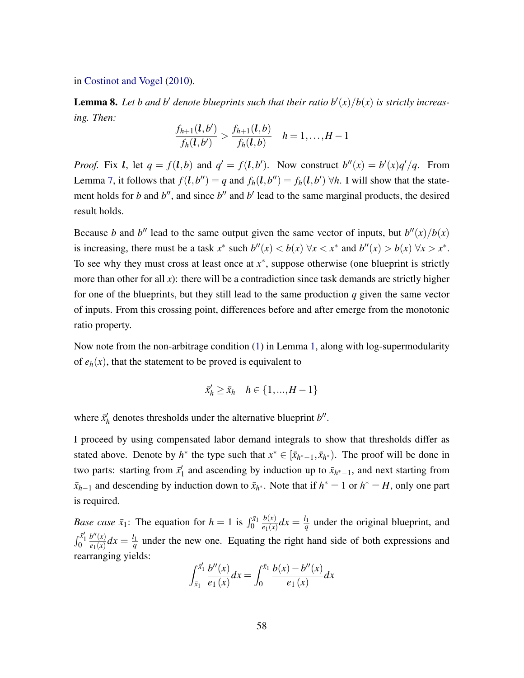in [Costinot and Vogel](#page-44-2) [\(2010\)](#page-44-2).

<span id="page-58-0"></span>**Lemma 8.** Let b and b' denote blueprints such that their ratio  $b'(x)/b(x)$  is strictly increas*ing. Then:*

$$
\frac{f_{h+1}(l,b')}{f_h(l,b')} > \frac{f_{h+1}(l,b)}{f_h(l,b)} \quad h=1,\ldots,H-1
$$

*Proof.* Fix *l*, let  $q = f(l,b)$  and  $q' = f(l,b')$ . Now construct  $b''(x) = b'(x)q'/q$ . From Lemma [7,](#page-55-0) it follows that  $f(l, b'') = q$  and  $f_h(l, b'') = f_h(l, b') \forall h$ . I will show that the statement holds for *b* and *b*<sup> $\prime$ </sup>, and since *b*<sup> $\prime$ </sup> and *b*<sup> $\prime$ </sup> lead to the same marginal products, the desired result holds.

Because *b* and *b*<sup>*n*</sup> lead to the same output given the same vector of inputs, but  $b''(x)/b(x)$ is increasing, there must be a task  $x^*$  such  $b''(x) < b(x)$   $\forall x < x^*$  and  $b''(x) > b(x)$   $\forall x > x^*$ . To see why they must cross at least once at  $x^*$ , suppose otherwise (one blueprint is strictly more than other for all *x*): there will be a contradiction since task demands are strictly higher for one of the blueprints, but they still lead to the same production *q* given the same vector of inputs. From this crossing point, differences before and after emerge from the monotonic ratio property.

Now note from the non-arbitrage condition [\(1\)](#page-8-1) in Lemma [1,](#page-8-0) along with log-supermodularity of  $e_h(x)$ , that the statement to be proved is equivalent to

$$
\bar{x}_h' \ge \bar{x}_h \quad h \in \{1, ..., H-1\}
$$

where  $\bar{x}'_k$  $h$ <sup> $h$ </sup> denotes thresholds under the alternative blueprint  $b''$ .

I proceed by using compensated labor demand integrals to show that thresholds differ as stated above. Denote by  $h^*$  the type such that  $x^* \in [\bar{x}_{h^*-1}, \bar{x}_{h^*})$ . The proof will be done in two parts: starting from  $\bar{x}_1$ <sup>1</sup>  $\frac{1}{1}$  and ascending by induction up to  $\bar{x}_{h^*-1}$ , and next starting from  $\bar{x}_{h-1}$  and descending by induction down to  $\bar{x}_{h^*}$ . Note that if  $h^* = 1$  or  $h^* = H$ , only one part is required.

*Base case*  $\bar{x}_1$ : The equation for  $h = 1$  is  $\int_0^{\bar{x}_1}$ *b*(*x*)  $\frac{b(x)}{e_1(x)}dx=\frac{l_1}{q}$  $q$ <sup> $q$ </sup> under the original blueprint, and  $\int_0^{\bar{x}'_1}$  $b''(x)$  $\frac{b''(x)}{e_1(x)}dx = \frac{l_1}{q}$  $q \frac{q_1}{q}$  under the new one. Equating the right hand side of both expressions and rearranging yields:

$$
\int_{\bar{x}_1}^{\bar{x}_1'} \frac{b''(x)}{e_1(x)} dx = \int_0^{\bar{x}_1} \frac{b(x) - b''(x)}{e_1(x)} dx
$$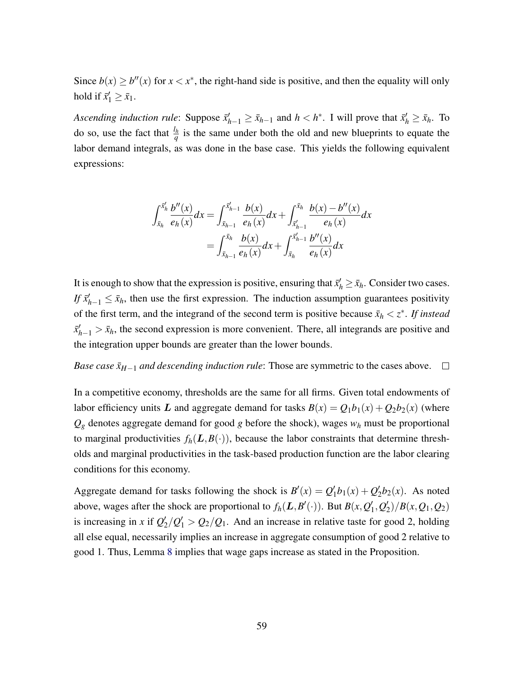Since  $b(x) \ge b''(x)$  for  $x < x^*$ , the right-hand side is positive, and then the equality will only hold if  $\bar{x}'_1 \ge \bar{x}_1$ .

*Ascending induction rule:* Suppose  $\bar{x}'_{h-1} \ge \bar{x}_{h-1}$  and  $h < h^*$ . I will prove that  $\bar{x}'_h \ge \bar{x}_h$ . To do so, use the fact that  $\frac{l_h}{q}$  is the same under both the old and new blueprints to equate the labor demand integrals, as was done in the base case. This yields the following equivalent expressions:

$$
\int_{\bar{x}_h}^{\bar{x}'_h} \frac{b''(x)}{e_h(x)} dx = \int_{\bar{x}_{h-1}}^{\bar{x}'_{h-1}} \frac{b(x)}{e_h(x)} dx + \int_{\bar{x}'_{h-1}}^{\bar{x}_h} \frac{b(x) - b''(x)}{e_h(x)} dx
$$

$$
= \int_{\bar{x}_{h-1}}^{\bar{x}_h} \frac{b(x)}{e_h(x)} dx + \int_{\bar{x}_h}^{\bar{x}'_{h-1}} \frac{b''(x)}{e_h(x)} dx
$$

It is enough to show that the expression is positive, ensuring that  $\bar{x}'_h \geq \bar{x}_h$ . Consider two cases. *If*  $\bar{x}_{h-1}$   $\leq \bar{x}_h$ , then use the first expression. The induction assumption guarantees positivity of the first term, and the integrand of the second term is positive because  $\bar{x}_h < z^*$ . If instead  $\bar{x}_{h-1}^{\prime} > \bar{x}_h$ , the second expression is more convenient. There, all integrands are positive and the integration upper bounds are greater than the lower bounds.

*Base case*  $\bar{x}_{H-1}$  *and descending induction rule*: Those are symmetric to the cases above.  $\Box$ 

In a competitive economy, thresholds are the same for all firms. Given total endowments of labor efficiency units L and aggregate demand for tasks  $B(x) = Q_1b_1(x) + Q_2b_2(x)$  (where  $Q_g$  denotes aggregate demand for good *g* before the shock), wages  $w_h$  must be proportional to marginal productivities  $f_h(L, B(\cdot))$ , because the labor constraints that determine thresholds and marginal productivities in the task-based production function are the labor clearing conditions for this economy.

Aggregate demand for tasks following the shock is  $B'(x) = Q'_1$  $\frac{1}{2}b_1(x) + Q'_2$  $\binom{1}{2}b_2(x)$ . As noted above, wages after the shock are proportional to  $f_h(\mathbf{L}, B'(\cdot))$ . But  $B(x, Q_1')$  $'_{1},Q'_{2}$  $\binom{1}{2}$ /*B*(*x*, *Q*<sub>1</sub>, *Q*<sub>2</sub>) is increasing in *x* if  $Q_2$  $\frac{1}{2}/Q_1' > Q_2/Q_1$ . And an increase in relative taste for good 2, holding all else equal, necessarily implies an increase in aggregate consumption of good 2 relative to good 1. Thus, Lemma [8](#page-58-0) implies that wage gaps increase as stated in the Proposition.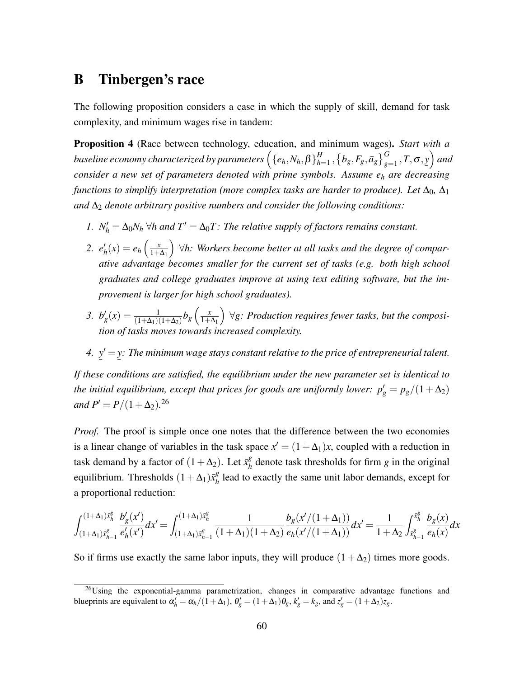# B Tinbergen's race

The following proposition considers a case in which the supply of skill, demand for task complexity, and minimum wages rise in tandem:

<span id="page-60-0"></span>Proposition 4 (Race between technology, education, and minimum wages). *Start with a* baseline economy characterized by parameters  $\left(\{e_h, N_h, \beta\}^H_{h^{\pm}}\right)$  $_{h=1}^H$  ,  $\left\{b_g, F_g, \bar{a}_g\right\}_{g=1}^G$  ,  $T, \sigma, \underline{y}\right)$  and  $\overline{\text{const}}$  *consider a new set of parameters denoted with prime symbols. Assume e<sub>h</sub> are decreasing functions to simplify interpretation (more complex tasks are harder to produce). Let*  $\Delta_0$ ,  $\Delta_1$ and  $\Delta_2$  *denote arbitrary positive numbers and consider the following conditions:* 

- *1.*  $N'_h = \Delta_0 N_h \,\forall h$  and  $T' = \Delta_0 T$ : The relative supply of factors remains constant.
- 2.  $e'_{l}$  $e_h(x) = e_h\left(\frac{x}{1+x}\right)$  $1+\Delta_1$  ∀*h: Workers become better at all tasks and the degree of comparative advantage becomes smaller for the current set of tasks (e.g. both high school graduates and college graduates improve at using text editing software, but the improvement is larger for high school graduates).*
- *3.*  $b'_g(x) = \frac{1}{(1+\Delta_1)(1+\Delta_2)} b_g\left(\frac{x}{1+x}\right)$  $1+\Delta_1$  ∀*g: Production requires fewer tasks, but the composition of tasks moves towards increased complexity.*
- *4.* ¯  $y' =$ ¯ *y: The minimum wage stays constant relative to the price of entrepreneurial talent.*

*If these conditions are satisfied, the equilibrium under the new parameter set is identical to the initial equilibrium, except that prices for goods are uniformly lower:*  $p'_g = p_g/(1+\Delta_2)$ *and*  $P' = P/(1 + \Delta_2).^{26}$ 

*Proof.* The proof is simple once one notes that the difference between the two economies is a linear change of variables in the task space  $x' = (1 + \Delta_1)x$ , coupled with a reduction in task demand by a factor of  $(1 + \Delta_2)$ . Let  $\bar{x}_h^g$  $\frac{g}{h}$  denote task thresholds for firm *g* in the original equilibrium. Thresholds  $(1 + \Delta_1) \bar{x}_h^g$  $h_h^g$  lead to exactly the same unit labor demands, except for a proportional reduction:

$$
\int_{(1+\Delta_1)\bar{x}_{h-1}^g}^{(1+\Delta_1)\bar{x}_{h}^g}\frac{b_g'(x')}{e_h'(x')}dx'=\int_{(1+\Delta_1)\bar{x}_{h-1}^g}^{(1+\Delta_1)\bar{x}_{h}^g}\frac{1}{(1+\Delta_1)(1+\Delta_2)}\frac{b_g(x'/(1+\Delta_1))}{e_h(x'/(1+\Delta_1))}dx'=\frac{1}{1+\Delta_2}\int_{\bar{x}_{h-1}^g}^{\bar{x}_{h}^g}\frac{b_g(x)}{e_h(x)}dx
$$

So if firms use exactly the same labor inputs, they will produce  $(1 + \Delta_2)$  times more goods.

<sup>&</sup>lt;sup>26</sup>Using the exponential-gamma parametrization, changes in comparative advantage functions and blueprints are equivalent to  $\alpha'_h = \alpha_h/(1+\Delta_1)$ ,  $\theta'_g = (1+\Delta_1)\theta_g$ ,  $k'_g = k_g$ , and  $z'_g = (1+\Delta_2)z_g$ .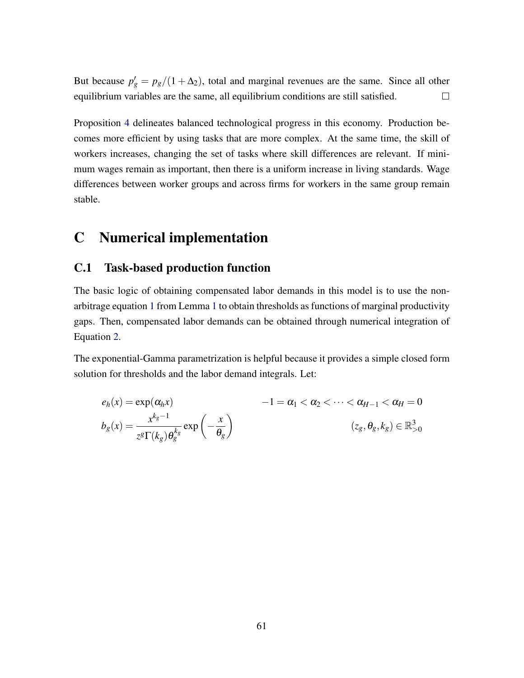But because  $p'_g = p_g/(1 + \Delta_2)$ , total and marginal revenues are the same. Since all other equilibrium variables are the same, all equilibrium conditions are still satisfied.  $\Box$ 

Proposition [4](#page-60-0) delineates balanced technological progress in this economy. Production becomes more efficient by using tasks that are more complex. At the same time, the skill of workers increases, changing the set of tasks where skill differences are relevant. If minimum wages remain as important, then there is a uniform increase in living standards. Wage differences between worker groups and across firms for workers in the same group remain stable.

# <span id="page-61-0"></span>C Numerical implementation

## C.1 Task-based production function

The basic logic of obtaining compensated labor demands in this model is to use the nonarbitrage equation [1](#page-8-1) from Lemma [1](#page-8-0) to obtain thresholds as functions of marginal productivity gaps. Then, compensated labor demands can be obtained through numerical integration of Equation [2.](#page-9-0)

The exponential-Gamma parametrization is helpful because it provides a simple closed form solution for thresholds and the labor demand integrals. Let:

$$
e_h(x) = \exp(\alpha_h x) \qquad -1 = \alpha_1 < \alpha_2 < \dots < \alpha_{H-1} < \alpha_H = 0
$$
\n
$$
b_g(x) = \frac{x^{k_g - 1}}{z^g \Gamma(k_g) \theta_g^{k_g}} \exp\left(-\frac{x}{\theta_g}\right) \qquad (z_g, \theta_g, k_g) \in \mathbb{R}_{>0}^3
$$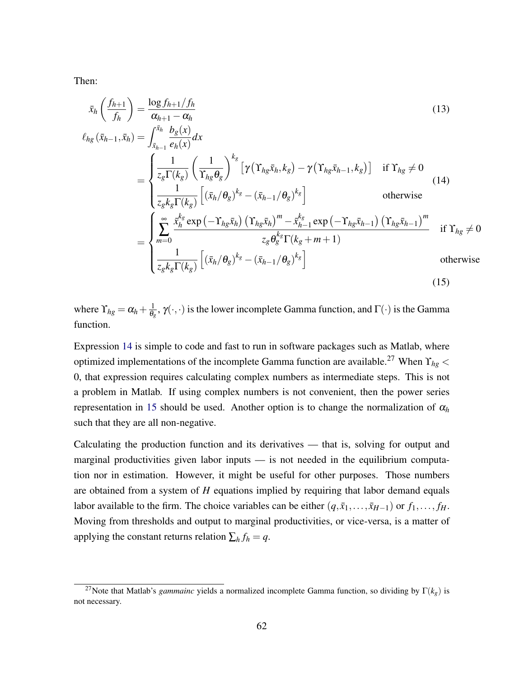Then:

<span id="page-62-0"></span>
$$
\bar{x}_{h}\left(\frac{f_{h+1}}{f_{h}}\right) = \frac{\log f_{h+1}/f_{h}}{\alpha_{h+1} - \alpha_{h}}
$$
\n
$$
\ell_{hg}(\bar{x}_{h-1}, \bar{x}_{h}) = \int_{\bar{x}_{h-1}}^{\bar{x}_{h}} \frac{b_{g}(x)}{e_{h}(x)} dx
$$
\n
$$
= \begin{cases}\n\frac{1}{z_{g}\Gamma(k_{g})}\left(\frac{1}{\Gamma_{hg}\theta_{g}}\right)^{k_{g}}\left[\gamma\left(\Upsilon_{hg}\bar{x}_{h}, k_{g}\right) - \gamma\left(\Upsilon_{hg}\bar{x}_{h-1}, k_{g}\right)\right] & \text{if } \Upsilon_{hg} \neq 0 \\
\frac{1}{z_{g}k_{g}\Gamma(k_{g})}\left[(\bar{x}_{h}/\theta_{g})^{k_{g}} - (\bar{x}_{h-1}/\theta_{g})^{k_{g}}\right] & \text{otherwise}\n\end{cases}
$$
\n
$$
= \begin{cases}\n\frac{\sum_{j=1}^{s} \frac{x_{h}^{k_{g}}}{\sum_{h} k_{g}} \exp\left(-\Upsilon_{hg}\bar{x}_{h}\right) \left(\Upsilon_{hg}\bar{x}_{h}\right)^{m} - \frac{x_{h}^{k_{g}}}{z_{h}} \exp\left(-\Upsilon_{hg}\bar{x}_{h-1}\right) \left(\Upsilon_{hg}\bar{x}_{h-1}\right)^{m}} & \text{if } \Upsilon_{hg} \neq 0 \\
\frac{1}{z_{g}k_{g}\Gamma(k_{g})}\left[(\bar{x}_{h}/\theta_{g})^{k_{g}} - (\bar{x}_{h-1}/\theta_{g})^{k_{g}}\right] & \text{otherwise}\n\end{cases}
$$
\n
$$
(15)
$$

<span id="page-62-1"></span>where  $\Upsilon_{hg} = \alpha_h + \frac{1}{\theta_e}$  $\frac{1}{\theta_g}$ ,  $\gamma(\cdot,\cdot)$  is the lower incomplete Gamma function, and  $\Gamma(\cdot)$  is the Gamma function.

Expression [14](#page-62-0) is simple to code and fast to run in software packages such as Matlab, where optimized implementations of the incomplete Gamma function are available.<sup>27</sup> When ϒ*hg* < 0, that expression requires calculating complex numbers as intermediate steps. This is not a problem in Matlab. If using complex numbers is not convenient, then the power series representation in [15](#page-62-1) should be used. Another option is to change the normalization of  $\alpha_h$ such that they are all non-negative.

Calculating the production function and its derivatives — that is, solving for output and marginal productivities given labor inputs — is not needed in the equilibrium computation nor in estimation. However, it might be useful for other purposes. Those numbers are obtained from a system of *H* equations implied by requiring that labor demand equals labor available to the firm. The choice variables can be either  $(q, \bar{x}_1, \ldots, \bar{x}_{H-1})$  or  $f_1, \ldots, f_H$ . Moving from thresholds and output to marginal productivities, or vice-versa, is a matter of applying the constant returns relation  $\sum_h f_h = q$ .

<sup>&</sup>lt;sup>27</sup>Note that Matlab's *gammainc* yields a normalized incomplete Gamma function, so dividing by  $\Gamma(k_g)$  is not necessary.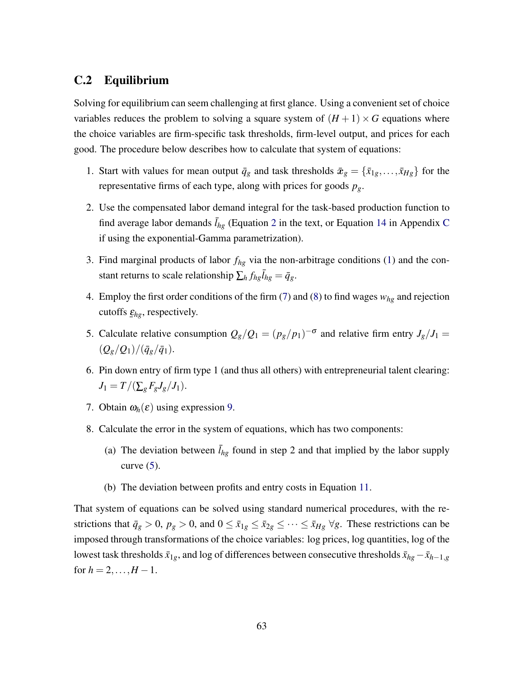## C.2 Equilibrium

Solving for equilibrium can seem challenging at first glance. Using a convenient set of choice variables reduces the problem to solving a square system of  $(H + 1) \times G$  equations where the choice variables are firm-specific task thresholds, firm-level output, and prices for each good. The procedure below describes how to calculate that system of equations:

- 1. Start with values for mean output  $\bar{q}_g$  and task thresholds  $\bar{x}_g = {\bar{x}_1}_g, \dots, \bar{x}_{Hg}$  for the representative firms of each type, along with prices for goods *pg*.
- 2. Use the compensated labor demand integral for the task-based production function to find average labor demands  $\bar{l}_{hg}$  (Equation [2](#page-9-0) in the text, or Equation [14](#page-62-0) in Appendix [C](#page-61-0) if using the exponential-Gamma parametrization).
- 3. Find marginal products of labor  $f_{hg}$  via the non-arbitrage conditions [\(1\)](#page-8-1) and the constant returns to scale relationship  $\sum_h f_{hg} \overline{I}_{hg} = \overline{q}_g$ .
- 4. Employ the first order conditions of the firm [\(7\)](#page-17-1) and [\(8\)](#page-17-0) to find wages *whg* and rejection cutoffs  $\underline{\varepsilon}_{hg}$ , respectively.
- 5. Calculate relative consumption  $Q_g/Q_1 = (p_g/p_1)^{-\sigma}$  and relative firm entry  $J_g/J_1 =$  $(Q_g/Q_1)/(\bar{q}_g/\bar{q}_1).$
- 6. Pin down entry of firm type 1 (and thus all others) with entrepreneurial talent clearing:  $J_1 = T/(\sum_{g} F_{g} J_{g}/J_1).$
- 7. Obtain  $\omega_h(\varepsilon)$  using expression [9.](#page-19-1)
- 8. Calculate the error in the system of equations, which has two components:
	- (a) The deviation between  $\bar{l}_{hg}$  found in step 2 and that implied by the labor supply curve  $(5)$ .
	- (b) The deviation between profits and entry costs in Equation [11.](#page-19-0)

That system of equations can be solved using standard numerical procedures, with the restrictions that  $\bar{q}_g > 0$ ,  $p_g > 0$ , and  $0 \le \bar{x}_{1g} \le \bar{x}_{2g} \le \cdots \le \bar{x}_{Hg} \ \forall g$ . These restrictions can be imposed through transformations of the choice variables: log prices, log quantities, log of the lowest task thresholds  $\bar{x}_{1g}$ , and log of differences between consecutive thresholds  $\bar{x}_{hg}-\bar{x}_{h-1,g}$ for  $h = 2, ..., H - 1$ .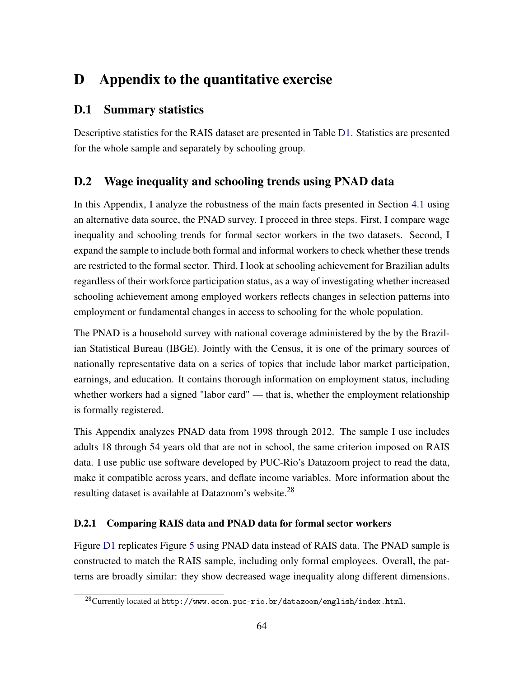# D Appendix to the quantitative exercise

# D.1 Summary statistics

Descriptive statistics for the RAIS dataset are presented in Table [D1.](#page-65-0) Statistics are presented for the whole sample and separately by schooling group.

# D.2 Wage inequality and schooling trends using PNAD data

In this Appendix, I analyze the robustness of the main facts presented in Section [4.1](#page-24-0) using an alternative data source, the PNAD survey. I proceed in three steps. First, I compare wage inequality and schooling trends for formal sector workers in the two datasets. Second, I expand the sample to include both formal and informal workers to check whether these trends are restricted to the formal sector. Third, I look at schooling achievement for Brazilian adults regardless of their workforce participation status, as a way of investigating whether increased schooling achievement among employed workers reflects changes in selection patterns into employment or fundamental changes in access to schooling for the whole population.

The PNAD is a household survey with national coverage administered by the by the Brazilian Statistical Bureau (IBGE). Jointly with the Census, it is one of the primary sources of nationally representative data on a series of topics that include labor market participation, earnings, and education. It contains thorough information on employment status, including whether workers had a signed "labor card" — that is, whether the employment relationship is formally registered.

This Appendix analyzes PNAD data from 1998 through 2012. The sample I use includes adults 18 through 54 years old that are not in school, the same criterion imposed on RAIS data. I use public use software developed by PUC-Rio's Datazoom project to read the data, make it compatible across years, and deflate income variables. More information about the resulting dataset is available at Datazoom's website.<sup>28</sup>

## D.2.1 Comparing RAIS data and PNAD data for formal sector workers

Figure [D1](#page-66-0) replicates Figure [5](#page-25-0) using PNAD data instead of RAIS data. The PNAD sample is constructed to match the RAIS sample, including only formal employees. Overall, the patterns are broadly similar: they show decreased wage inequality along different dimensions.

<sup>28</sup>Currently located at http://www.econ.puc-rio.br/datazoom/english/index.html.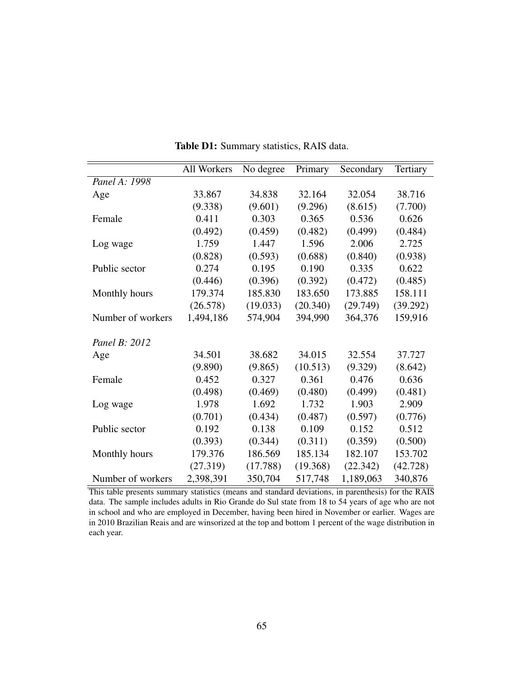<span id="page-65-0"></span>

|                   | All Workers | No degree | Primary  | Secondary | Tertiary |
|-------------------|-------------|-----------|----------|-----------|----------|
| Panel A: 1998     |             |           |          |           |          |
| Age               | 33.867      | 34.838    | 32.164   | 32.054    | 38.716   |
|                   | (9.338)     | (9.601)   | (9.296)  | (8.615)   | (7.700)  |
| Female            | 0.411       | 0.303     | 0.365    | 0.536     | 0.626    |
|                   | (0.492)     | (0.459)   | (0.482)  | (0.499)   | (0.484)  |
| Log wage          | 1.759       | 1.447     | 1.596    | 2.006     | 2.725    |
|                   | (0.828)     | (0.593)   | (0.688)  | (0.840)   | (0.938)  |
| Public sector     | 0.274       | 0.195     | 0.190    | 0.335     | 0.622    |
|                   | (0.446)     | (0.396)   | (0.392)  | (0.472)   | (0.485)  |
| Monthly hours     | 179.374     | 185.830   | 183.650  | 173.885   | 158.111  |
|                   | (26.578)    | (19.033)  | (20.340) | (29.749)  | (39.292) |
| Number of workers | 1,494,186   | 574,904   | 394,990  | 364,376   | 159,916  |
|                   |             |           |          |           |          |
| Panel B: 2012     |             |           |          |           |          |
| Age               | 34.501      | 38.682    | 34.015   | 32.554    | 37.727   |
|                   | (9.890)     | (9.865)   | (10.513) | (9.329)   | (8.642)  |
| Female            | 0.452       | 0.327     | 0.361    | 0.476     | 0.636    |
|                   | (0.498)     | (0.469)   | (0.480)  | (0.499)   | (0.481)  |
| Log wage          | 1.978       | 1.692     | 1.732    | 1.903     | 2.909    |
|                   | (0.701)     | (0.434)   | (0.487)  | (0.597)   | (0.776)  |
| Public sector     | 0.192       | 0.138     | 0.109    | 0.152     | 0.512    |
|                   | (0.393)     | (0.344)   | (0.311)  | (0.359)   | (0.500)  |
| Monthly hours     | 179.376     | 186.569   | 185.134  | 182.107   | 153.702  |
|                   | (27.319)    | (17.788)  | (19.368) | (22.342)  | (42.728) |
| Number of workers | 2,398,391   | 350,704   | 517,748  | 1,189,063 | 340,876  |

Table D1: Summary statistics, RAIS data.

This table presents summary statistics (means and standard deviations, in parenthesis) for the RAIS data. The sample includes adults in Rio Grande do Sul state from 18 to 54 years of age who are not in school and who are employed in December, having been hired in November or earlier. Wages are in 2010 Brazilian Reais and are winsorized at the top and bottom 1 percent of the wage distribution in each year.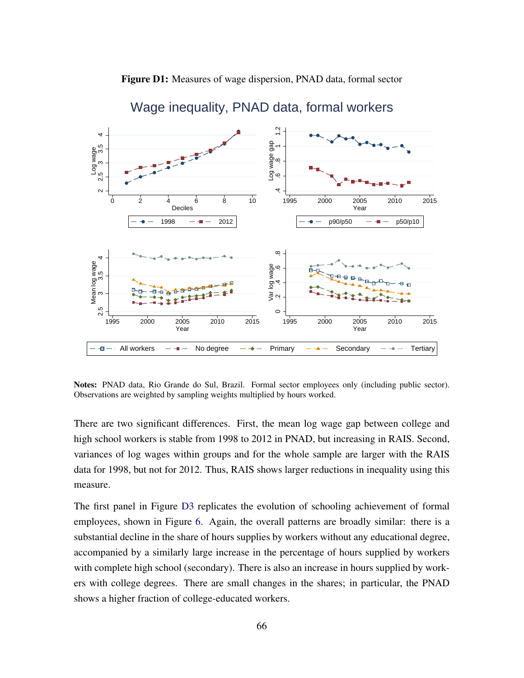<span id="page-66-0"></span>



## Wage inequality, PNAD data, formal workers

Notes: PNAD data, Rio Grande do Sul, Brazil. Formal sector employees only (including public sector). Observations are weighted by sampling weights multiplied by hours worked.

There are two significant differences. First, the mean log wage gap between college and high school workers is stable from 1998 to 2012 in PNAD, but increasing in RAIS. Second, variances of log wages within groups and for the whole sample are larger with the RAIS data for 1998, but not for 2012. Thus, RAIS shows larger reductions in inequality using this measure.

The first panel in Figure [D3](#page-69-0) replicates the evolution of schooling achievement of formal employees, shown in Figure [6.](#page-26-0) Again, the overall patterns are broadly similar: there is a substantial decline in the share of hours supplies by workers without any educational degree, accompanied by a similarly large increase in the percentage of hours supplied by workers with complete high school (secondary). There is also an increase in hours supplied by workers with college degrees. There are small changes in the shares; in particular, the PNAD shows a higher fraction of college-educated workers.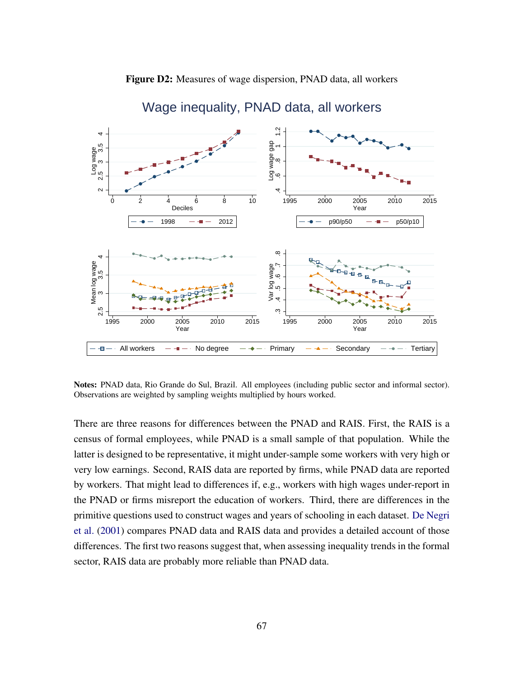<span id="page-67-0"></span>

# Figure D2: Measures of wage dispersion, PNAD data, all workers

Notes: PNAD data, Rio Grande do Sul, Brazil. All employees (including public sector and informal sector). Observations are weighted by sampling weights multiplied by hours worked.

 $\overline{a}$ 

1995 2000 2005 2010 2015

1995 2000 2005 2010 2015

**Year** *New York Structure 1999 <b>Propriet Proprietation Contract Contract Contract Contract Contract Contract Contract Contract Contract Contract Contract Contract Contract Contract Contract Contract Contract Contrac* 

All workers  $\begin{array}{cccc} -\bullet-\bullet\!\!\!\!\!&\bullet\!\!\!\!&\bullet\end{array}$  No degree  $\begin{array}{cccc} -\bullet-\bullet\!\!\!\!\!&\bullet\end{array}$  Primary  $\begin{array}{cccc} -\bullet-\bullet\!\!\!\!\!&\bullet\end{array}$  Tertiary

There are three reasons for differences between the PNAD and RAIS. First, the RAIS is a census of formal employees, while PNAD is a small sample of that population. While the latter is designed to be representative, it might under-sample some workers with very high or very low earnings. Second, RAIS data are reported by firms, while PNAD data are reported by workers. That might lead to differences if, e.g., workers with high wages under-report in the PNAD or firms misreport the education of workers. Third, there are differences in the primitive questions used to construct wages and years of schooling in each dataset. [De Negri](#page-45-3) [et al.](#page-45-3) [\(2001\)](#page-45-3) compares PNAD data and RAIS data and provides a detailed account of those differences. The first two reasons suggest that, when assessing inequality trends in the formal sector, RAIS data are probably more reliable than PNAD data.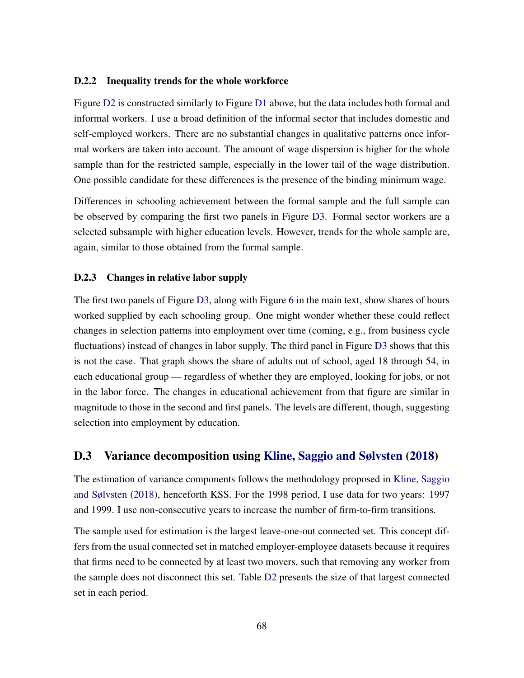#### D.2.2 Inequality trends for the whole workforce

Figure [D2](#page-67-0) is constructed similarly to Figure [D1](#page-66-0) above, but the data includes both formal and informal workers. I use a broad definition of the informal sector that includes domestic and self-employed workers. There are no substantial changes in qualitative patterns once informal workers are taken into account. The amount of wage dispersion is higher for the whole sample than for the restricted sample, especially in the lower tail of the wage distribution. One possible candidate for these differences is the presence of the binding minimum wage.

Differences in schooling achievement between the formal sample and the full sample can be observed by comparing the first two panels in Figure [D3.](#page-69-0) Formal sector workers are a selected subsample with higher education levels. However, trends for the whole sample are, again, similar to those obtained from the formal sample.

### D.2.3 Changes in relative labor supply

The first two panels of Figure [D3,](#page-69-0) along with Figure [6](#page-26-0) in the main text, show shares of hours worked supplied by each schooling group. One might wonder whether these could reflect changes in selection patterns into employment over time (coming, e.g., from business cycle fluctuations) instead of changes in labor supply. The third panel in Figure [D3](#page-69-0) shows that this is not the case. That graph shows the share of adults out of school, aged 18 through 54, in each educational group — regardless of whether they are employed, looking for jobs, or not in the labor force. The changes in educational achievement from that figure are similar in magnitude to those in the second and first panels. The levels are different, though, suggesting selection into employment by education.

### D.3 Variance decomposition using [Kline, Saggio and Sølvsten](#page-47-0) [\(2018\)](#page-47-0)

The estimation of variance components follows the methodology proposed in [Kline, Saggio](#page-47-0) [and Sølvsten](#page-47-0) [\(2018\)](#page-47-0), henceforth KSS. For the 1998 period, I use data for two years: 1997 and 1999. I use non-consecutive years to increase the number of firm-to-firm transitions.

The sample used for estimation is the largest leave-one-out connected set. This concept differs from the usual connected set in matched employer-employee datasets because it requires that firms need to be connected by at least two movers, such that removing any worker from the sample does not disconnect this set. Table [D2](#page-70-0) presents the size of that largest connected set in each period.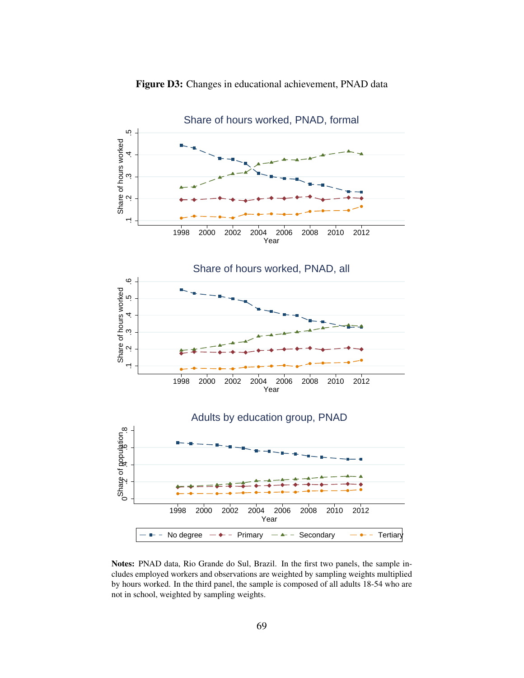<span id="page-69-0"></span>

Figure D3: Changes in educational achievement, PNAD data

Notes: PNAD data, Rio Grande do Sul, Brazil. In the first two panels, the sample includes employed workers and observations are weighted by sampling weights multiplied by hours worked. In the third panel, the sample is composed of all adults 18-54 who are not in school, weighted by sampling weights.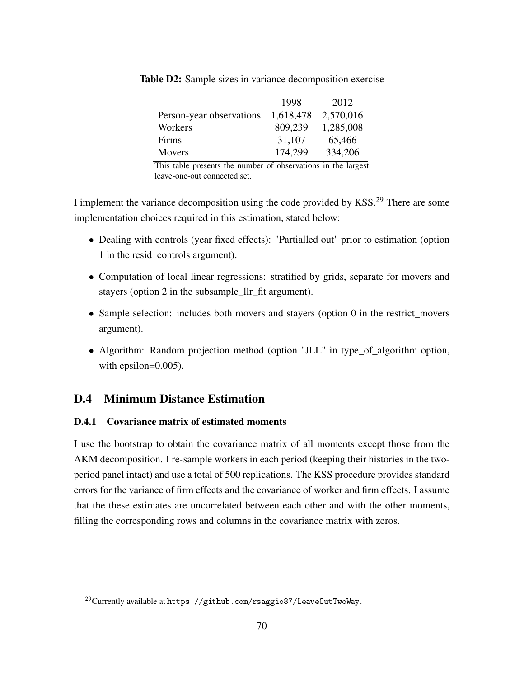|                          | 1998      | 2012      |
|--------------------------|-----------|-----------|
| Person-year observations | 1,618,478 | 2,570,016 |
| Workers                  | 809,239   | 1,285,008 |
| Firms                    | 31,107    | 65,466    |
| <b>Movers</b>            | 174,299   | 334,206   |
|                          |           |           |

<span id="page-70-0"></span>Table D2: Sample sizes in variance decomposition exercise

This table presents the number of observations in the largest leave-one-out connected set.

I implement the variance decomposition using the code provided by KSS.<sup>29</sup> There are some implementation choices required in this estimation, stated below:

- Dealing with controls (year fixed effects): "Partialled out" prior to estimation (option 1 in the resid\_controls argument).
- Computation of local linear regressions: stratified by grids, separate for movers and stayers (option 2 in the subsample\_llr\_fit argument).
- Sample selection: includes both movers and stayers (option 0 in the restrict\_movers argument).
- Algorithm: Random projection method (option "JLL" in type\_of\_algorithm option, with epsilon=0.005).

# D.4 Minimum Distance Estimation

### D.4.1 Covariance matrix of estimated moments

I use the bootstrap to obtain the covariance matrix of all moments except those from the AKM decomposition. I re-sample workers in each period (keeping their histories in the twoperiod panel intact) and use a total of 500 replications. The KSS procedure provides standard errors for the variance of firm effects and the covariance of worker and firm effects. I assume that the these estimates are uncorrelated between each other and with the other moments, filling the corresponding rows and columns in the covariance matrix with zeros.

<sup>&</sup>lt;sup>29</sup>Currently available at https://github.com/rsaggio87/LeaveOutTwoWay.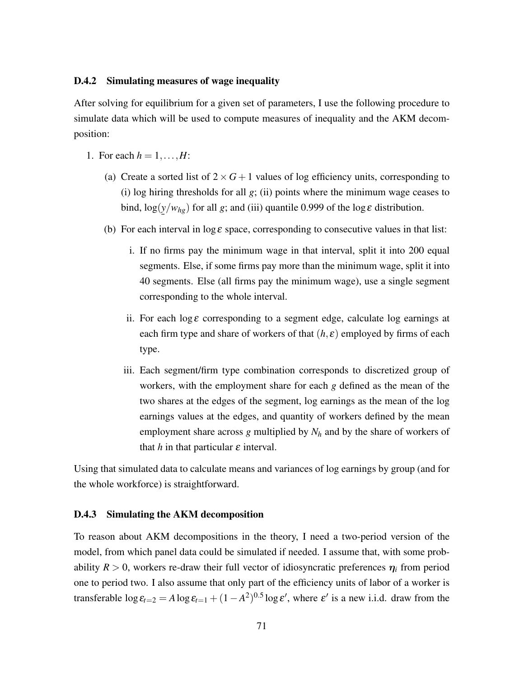### D.4.2 Simulating measures of wage inequality

After solving for equilibrium for a given set of parameters, I use the following procedure to simulate data which will be used to compute measures of inequality and the AKM decomposition:

- 1. For each  $h = 1, \ldots, H$ :
	- (a) Create a sorted list of  $2 \times G + 1$  values of log efficiency units, corresponding to (i) log hiring thresholds for all *g*; (ii) points where the minimum wage ceases to bind,  $\log(y/w_{hg})$  for all *g*; and (iii) quantile 0.999 of the  $\log \varepsilon$  distribution. ¯
	- (b) For each interval in  $\log \varepsilon$  space, corresponding to consecutive values in that list:
		- i. If no firms pay the minimum wage in that interval, split it into 200 equal segments. Else, if some firms pay more than the minimum wage, split it into 40 segments. Else (all firms pay the minimum wage), use a single segment corresponding to the whole interval.
		- ii. For each log  $\varepsilon$  corresponding to a segment edge, calculate log earnings at each firm type and share of workers of that  $(h, \varepsilon)$  employed by firms of each type.
		- iii. Each segment/firm type combination corresponds to discretized group of workers, with the employment share for each *g* defined as the mean of the two shares at the edges of the segment, log earnings as the mean of the log earnings values at the edges, and quantity of workers defined by the mean employment share across *g* multiplied by *N<sup>h</sup>* and by the share of workers of that  $h$  in that particular  $\varepsilon$  interval.

Using that simulated data to calculate means and variances of log earnings by group (and for the whole workforce) is straightforward.

#### D.4.3 Simulating the AKM decomposition

To reason about AKM decompositions in the theory, I need a two-period version of the model, from which panel data could be simulated if needed. I assume that, with some probability  $R > 0$ , workers re-draw their full vector of idiosyncratic preferences  $\eta_i$  from period one to period two. I also assume that only part of the efficiency units of labor of a worker is transferable  $\log \epsilon_{t=2} = A \log \epsilon_{t=1} + (1 - A^2)^{0.5} \log \epsilon'$ , where  $\epsilon'$  is a new i.i.d. draw from the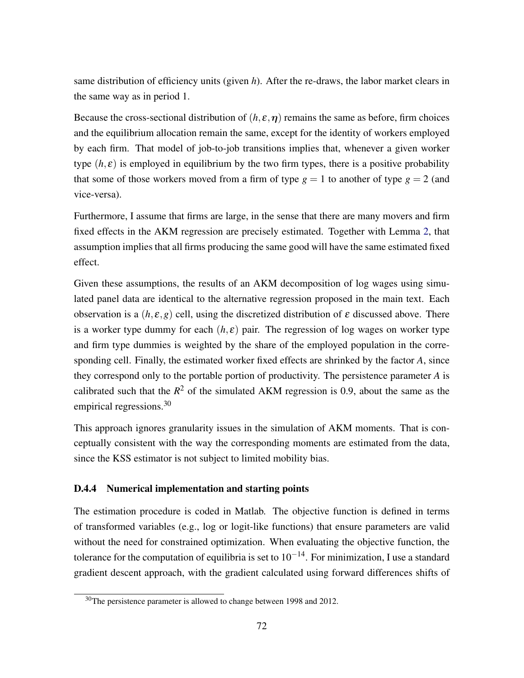same distribution of efficiency units (given *h*). After the re-draws, the labor market clears in the same way as in period 1.

Because the cross-sectional distribution of  $(h, \varepsilon, \eta)$  remains the same as before, firm choices and the equilibrium allocation remain the same, except for the identity of workers employed by each firm. That model of job-to-job transitions implies that, whenever a given worker type  $(h, \varepsilon)$  is employed in equilibrium by the two firm types, there is a positive probability that some of those workers moved from a firm of type  $g = 1$  to another of type  $g = 2$  (and vice-versa).

Furthermore, I assume that firms are large, in the sense that there are many movers and firm fixed effects in the AKM regression are precisely estimated. Together with Lemma [2,](#page-17-0) that assumption implies that all firms producing the same good will have the same estimated fixed effect.

Given these assumptions, the results of an AKM decomposition of log wages using simulated panel data are identical to the alternative regression proposed in the main text. Each observation is a  $(h, \varepsilon, g)$  cell, using the discretized distribution of  $\varepsilon$  discussed above. There is a worker type dummy for each  $(h, \varepsilon)$  pair. The regression of log wages on worker type and firm type dummies is weighted by the share of the employed population in the corresponding cell. Finally, the estimated worker fixed effects are shrinked by the factor *A*, since they correspond only to the portable portion of productivity. The persistence parameter *A* is calibrated such that the  $R^2$  of the simulated AKM regression is 0.9, about the same as the empirical regressions.<sup>30</sup>

This approach ignores granularity issues in the simulation of AKM moments. That is conceptually consistent with the way the corresponding moments are estimated from the data, since the KSS estimator is not subject to limited mobility bias.

## D.4.4 Numerical implementation and starting points

The estimation procedure is coded in Matlab. The objective function is defined in terms of transformed variables (e.g., log or logit-like functions) that ensure parameters are valid without the need for constrained optimization. When evaluating the objective function, the tolerance for the computation of equilibria is set to  $10^{-14}$ . For minimization, I use a standard gradient descent approach, with the gradient calculated using forward differences shifts of

<sup>&</sup>lt;sup>30</sup>The persistence parameter is allowed to change between 1998 and 2012.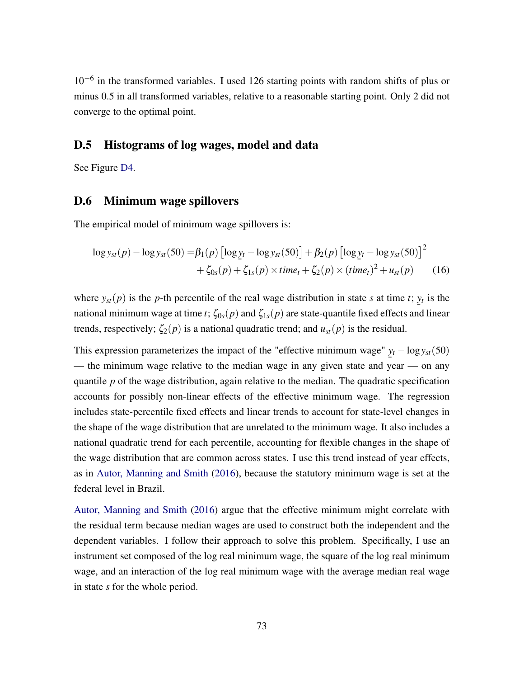10−<sup>6</sup> in the transformed variables. I used 126 starting points with random shifts of plus or minus 0.5 in all transformed variables, relative to a reasonable starting point. Only 2 did not converge to the optimal point.

## D.5 Histograms of log wages, model and data

See Figure [D4.](#page-74-0)

## D.6 Minimum wage spillovers

The empirical model of minimum wage spillovers is:

$$
\log y_{st}(p) - \log y_{st}(50) = \beta_1(p) \left[ \log y_t - \log y_{st}(50) \right] + \beta_2(p) \left[ \log y_t - \log y_{st}(50) \right]^2 + \zeta_{0s}(p) + \zeta_{1s}(p) \times time_t + \zeta_2(p) \times (time_t)^2 + u_{st}(p)
$$
(16)

where  $y_{st}(p)$  is the *p*-th percentile of the real wage distribution in state *s* at time *t*;  $y_t$  is the national minimum wage at time *t*;  $\zeta_{0s}(p)$  and  $\zeta_{1s}(p)$  are state-quantile fixed effects and linear trends, respectively;  $\zeta_2(p)$  is a national quadratic trend; and  $u_{st}(p)$  is the residual.

This expression parameterizes the impact of the "effective minimum wage"  $y_t - log y_{st}(50)$ — the minimum wage relative to the median wage in any given state and year — on any quantile *p* of the wage distribution, again relative to the median. The quadratic specification accounts for possibly non-linear effects of the effective minimum wage. The regression includes state-percentile fixed effects and linear trends to account for state-level changes in the shape of the wage distribution that are unrelated to the minimum wage. It also includes a national quadratic trend for each percentile, accounting for flexible changes in the shape of the wage distribution that are common across states. I use this trend instead of year effects, as in [Autor, Manning and Smith](#page-44-0) [\(2016\)](#page-44-0), because the statutory minimum wage is set at the federal level in Brazil.

[Autor, Manning and Smith](#page-44-0) [\(2016\)](#page-44-0) argue that the effective minimum might correlate with the residual term because median wages are used to construct both the independent and the dependent variables. I follow their approach to solve this problem. Specifically, I use an instrument set composed of the log real minimum wage, the square of the log real minimum wage, and an interaction of the log real minimum wage with the average median real wage in state *s* for the whole period.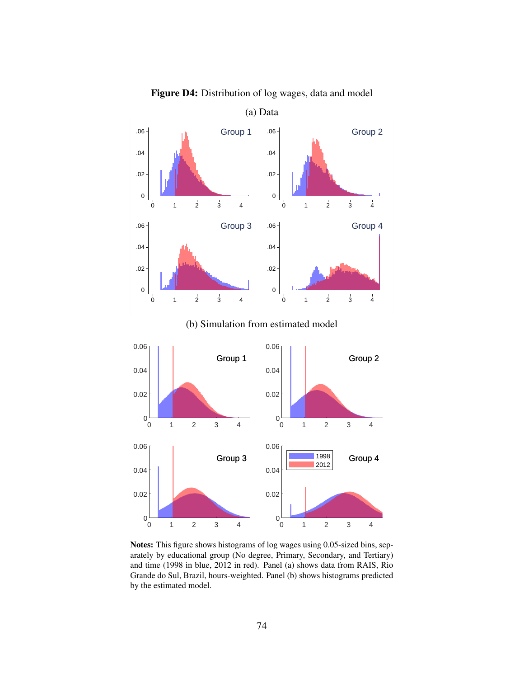<span id="page-74-0"></span>

Figure D4: Distribution of log wages, data and model

Notes: This figure shows histograms of log wages using 0.05-sized bins, separately by educational group (No degree, Primary, Secondary, and Tertiary) and time (1998 in blue, 2012 in red). Panel (a) shows data from RAIS, Rio Grande do Sul, Brazil, hours-weighted. Panel (b) shows histograms predicted by the estimated model.

 $0\frac{L}{0}$ 

0.02

0 1 2 3 4

0 1 2 3 4

 $0<sub>0</sub>$ 

0.02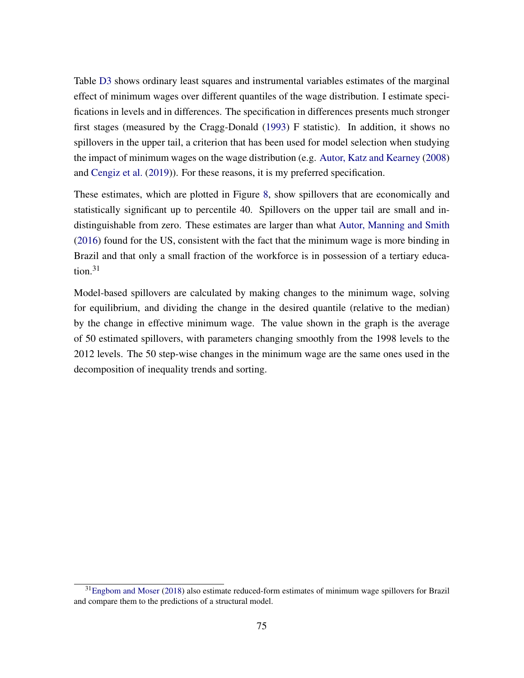Table [D3](#page-76-0) shows ordinary least squares and instrumental variables estimates of the marginal effect of minimum wages over different quantiles of the wage distribution. I estimate specifications in levels and in differences. The specification in differences presents much stronger first stages (measured by the Cragg-Donald [\(1993\)](#page-45-0) F statistic). In addition, it shows no spillovers in the upper tail, a criterion that has been used for model selection when studying the impact of minimum wages on the wage distribution (e.g. [Autor, Katz and Kearney](#page-44-1) [\(2008\)](#page-44-1) and [Cengiz et al.](#page-44-2) [\(2019\)](#page-44-2)). For these reasons, it is my preferred specification.

These estimates, which are plotted in Figure [8,](#page-41-0) show spillovers that are economically and statistically significant up to percentile 40. Spillovers on the upper tail are small and indistinguishable from zero. These estimates are larger than what [Autor, Manning and Smith](#page-44-0) [\(2016\)](#page-44-0) found for the US, consistent with the fact that the minimum wage is more binding in Brazil and that only a small fraction of the workforce is in possession of a tertiary education.<sup>31</sup>

Model-based spillovers are calculated by making changes to the minimum wage, solving for equilibrium, and dividing the change in the desired quantile (relative to the median) by the change in effective minimum wage. The value shown in the graph is the average of 50 estimated spillovers, with parameters changing smoothly from the 1998 levels to the 2012 levels. The 50 step-wise changes in the minimum wage are the same ones used in the decomposition of inequality trends and sorting.

 $31$ [Engbom and Moser](#page-45-1) [\(2018\)](#page-45-1) also estimate reduced-form estimates of minimum wage spillovers for Brazil and compare them to the predictions of a structural model.